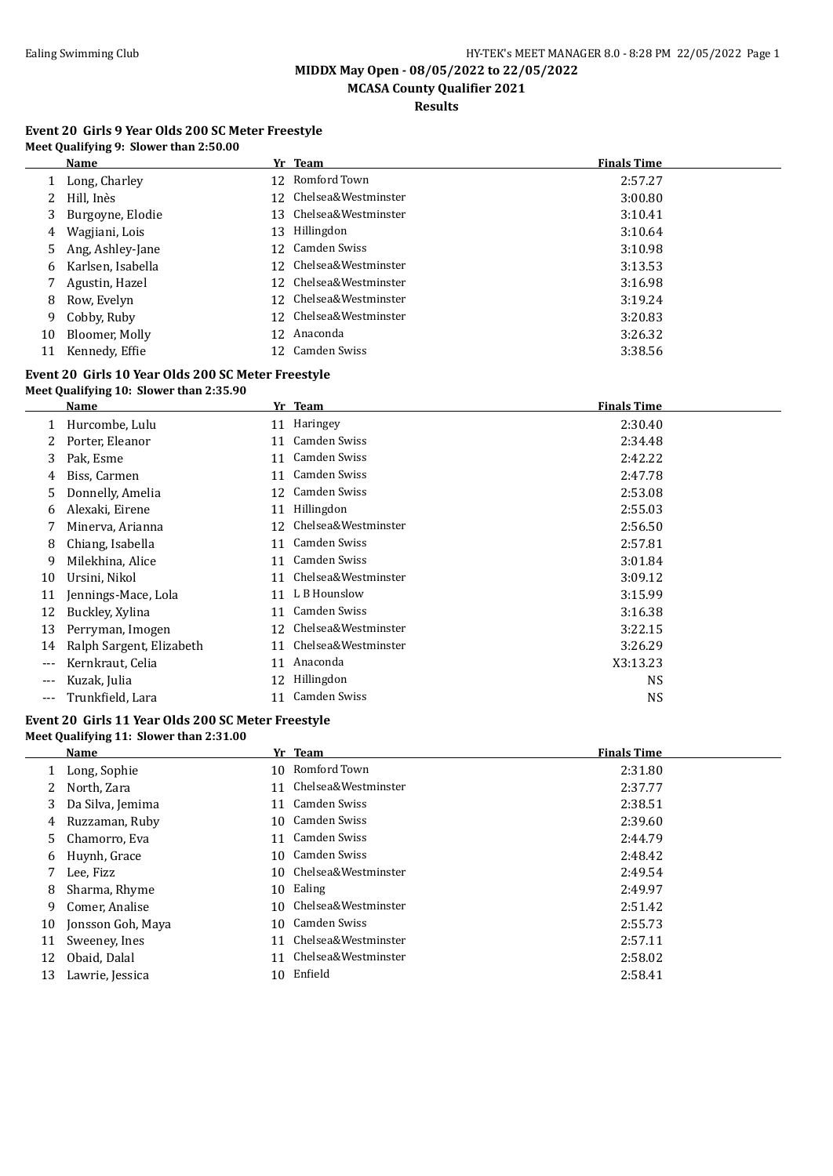**MCASA County Qualifier 2021**

**Results**

#### **Event 20 Girls 9 Year Olds 200 SC Meter Freestyle Meet Qualifying 9: Slower than 2:50.00**

|    | Name              |     | Yr Team                | <b>Finals Time</b> |
|----|-------------------|-----|------------------------|--------------------|
|    | Long, Charley     | 12. | Romford Town           | 2:57.27            |
|    | Hill, Inès        |     | 12 Chelsea&Westminster | 3:00.80            |
| 3  | Burgoyne, Elodie  |     | 13 Chelsea&Westminster | 3:10.41            |
| 4  | Wagjiani, Lois    | 13  | Hillingdon             | 3:10.64            |
| 5  | Ang, Ashley-Jane  |     | 12 Camden Swiss        | 3:10.98            |
| 6  | Karlsen, Isabella | 12. | Chelsea&Westminster    | 3:13.53            |
|    | Agustin, Hazel    |     | 12 Chelsea&Westminster | 3:16.98            |
| 8  | Row, Evelyn       |     | 12 Chelsea&Westminster | 3:19.24            |
| 9  | Cobby, Ruby       |     | 12 Chelsea&Westminster | 3:20.83            |
| 10 | Bloomer, Molly    |     | 12 Anaconda            | 3:26.32            |
| 11 | Kennedy, Effie    |     | 12 Camden Swiss        | 3:38.56            |

#### **Event 20 Girls 10 Year Olds 200 SC Meter Freestyle Meet Qualifying 10: Slower than 2:35.90**

|       | Name                     |    | Yr Team             | <b>Finals Time</b> |
|-------|--------------------------|----|---------------------|--------------------|
|       | Hurcombe, Lulu           | 11 | Haringey            | 2:30.40            |
|       | Porter, Eleanor          | 11 | Camden Swiss        | 2:34.48            |
| 3     | Pak, Esme                | 11 | Camden Swiss        | 2:42.22            |
| 4     | Biss, Carmen             | 11 | Camden Swiss        | 2:47.78            |
| 5.    | Donnelly, Amelia         | 12 | Camden Swiss        | 2:53.08            |
| 6     | Alexaki, Eirene          | 11 | Hillingdon          | 2:55.03            |
|       | Minerva, Arianna         | 12 | Chelsea&Westminster | 2:56.50            |
| 8     | Chiang, Isabella         | 11 | Camden Swiss        | 2:57.81            |
| 9     | Milekhina, Alice         | 11 | Camden Swiss        | 3:01.84            |
| 10    | Ursini, Nikol            | 11 | Chelsea&Westminster | 3:09.12            |
| 11    | Jennings-Mace, Lola      | 11 | L B Hounslow        | 3:15.99            |
| 12    | Buckley, Xylina          | 11 | Camden Swiss        | 3:16.38            |
| 13    | Perryman, Imogen         | 12 | Chelsea&Westminster | 3:22.15            |
| 14    | Ralph Sargent, Elizabeth | 11 | Chelsea&Westminster | 3:26.29            |
| $---$ | Kernkraut, Celia         | 11 | Anaconda            | X3:13.23           |
| $---$ | Kuzak, Julia             | 12 | Hillingdon          | <b>NS</b>          |
| $---$ | Trunkfield, Lara         | 11 | Camden Swiss        | <b>NS</b>          |
|       |                          |    |                     |                    |

#### **Event 20 Girls 11 Year Olds 200 SC Meter Freestyle Meet Qualifying 11: Slower than 2:31.00**

|    | Name              |     | Yr Team             | <b>Finals Time</b> |
|----|-------------------|-----|---------------------|--------------------|
|    | Long, Sophie      | 10. | Romford Town        | 2:31.80            |
| 2  | North, Zara       |     | Chelsea&Westminster | 2:37.77            |
| 3  | Da Silva, Jemima  | 11  | Camden Swiss        | 2:38.51            |
| 4  | Ruzzaman, Ruby    | 10. | Camden Swiss        | 2:39.60            |
| 5. | Chamorro, Eva     | 11  | Camden Swiss        | 2:44.79            |
| 6  | Huynh, Grace      |     | 10 Camden Swiss     | 2:48.42            |
|    | Lee, Fizz         | 10. | Chelsea&Westminster | 2:49.54            |
| 8  | Sharma, Rhyme     | 10  | Ealing              | 2:49.97            |
| 9  | Comer, Analise    | 10. | Chelsea&Westminster | 2:51.42            |
| 10 | Jonsson Goh, Maya | 10. | Camden Swiss        | 2:55.73            |
| 11 | Sweeney, Ines     | 11  | Chelsea&Westminster | 2:57.11            |
| 12 | Obaid, Dalal      | 11  | Chelsea&Westminster | 2:58.02            |
| 13 | Lawrie, Jessica   | 10. | Enfield             | 2:58.41            |
|    |                   |     |                     |                    |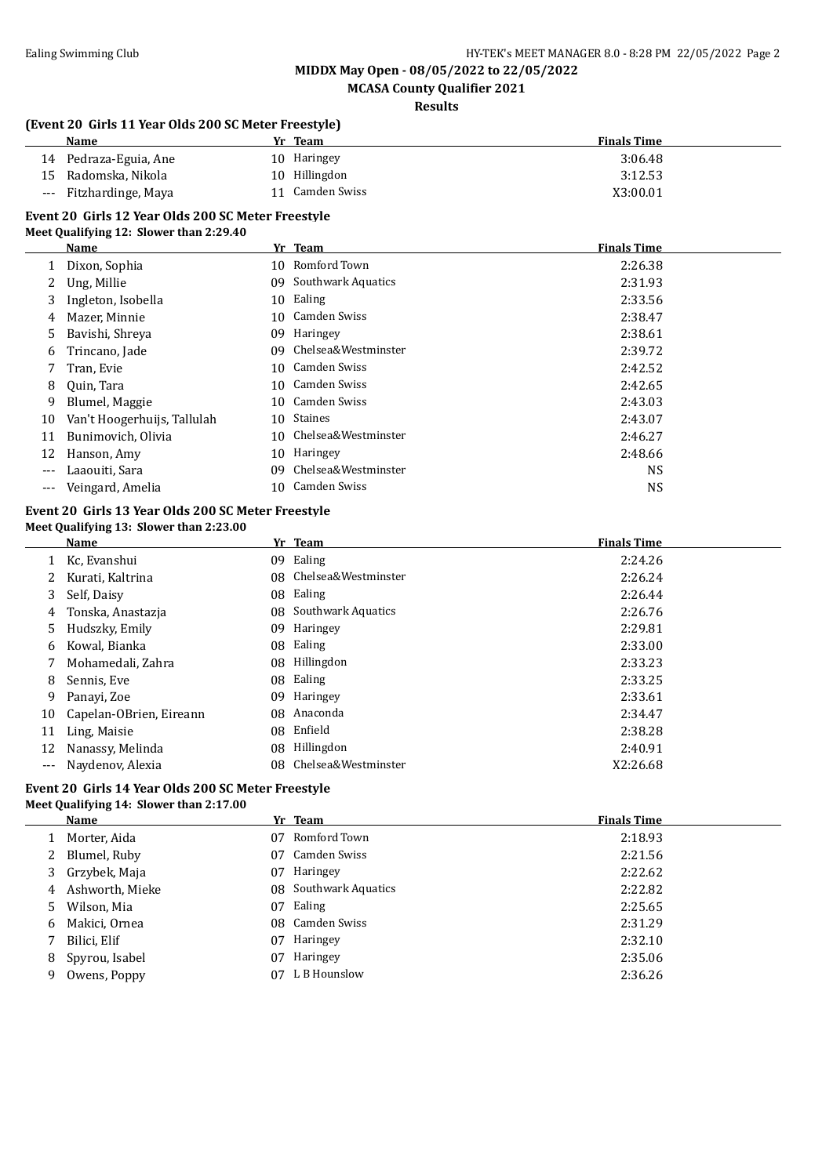**MCASA County Qualifier 2021**

**Results**

#### **(Event 20 Girls 11 Year Olds 200 SC Meter Freestyle)**

| <b>Name</b>            | Yr Team       | <b>Finals Time</b> |
|------------------------|---------------|--------------------|
| 14 Pedraza-Eguia, Ane  | 10 Haringey   | 3:06.48            |
| 15 Radomska, Nikola    | 10 Hillingdon | 3:12.53            |
| --- Fitzhardinge, Maya | Camden Swiss  | X3:00.01           |

### **Event 20 Girls 12 Year Olds 200 SC Meter Freestyle**

|                   | Name                        |     | Yr Team             | <b>Finals Time</b> |
|-------------------|-----------------------------|-----|---------------------|--------------------|
|                   | Dixon, Sophia               | 10  | Romford Town        | 2:26.38            |
| 2                 | Ung, Millie                 | 09  | Southwark Aquatics  | 2:31.93            |
| 3                 | Ingleton, Isobella          | 10  | Ealing              | 2:33.56            |
| 4                 | Mazer, Minnie               | 10  | Camden Swiss        | 2:38.47            |
| 5.                | Bavishi, Shreya             | 09  | Haringey            | 2:38.61            |
| 6                 | Trincano, Jade              | 09  | Chelsea&Westminster | 2:39.72            |
|                   | Tran, Evie                  |     | 10 Camden Swiss     | 2:42.52            |
| 8                 | Ouin, Tara                  | 10. | Camden Swiss        | 2:42.65            |
| 9                 | Blumel, Maggie              |     | 10 Camden Swiss     | 2:43.03            |
| 10                | Van't Hoogerhuijs, Tallulah | 10  | Staines             | 2:43.07            |
| 11                | Bunimovich, Olivia          | 10  | Chelsea&Westminster | 2:46.27            |
| 12                | Hanson, Amy                 | 10  | Haringey            | 2:48.66            |
| ---               | Laaouiti, Sara              | 09  | Chelsea&Westminster | <b>NS</b>          |
| $\qquad \qquad -$ | Veingard, Amelia            | 10  | Camden Swiss        | <b>NS</b>          |

# **Event 20 Girls 13 Year Olds 200 SC Meter Freestyle**

|  | Meet Qualifying 13: Slower than 2:23.00 |
|--|-----------------------------------------|
|--|-----------------------------------------|

|       | Name                    |     | Yr Team             | <b>Finals Time</b> |  |
|-------|-------------------------|-----|---------------------|--------------------|--|
|       | 1 Kc, Evanshui          | 09. | Ealing              | 2:24.26            |  |
|       | Kurati, Kaltrina        | 08. | Chelsea&Westminster | 2:26.24            |  |
| 3     | Self, Daisy             | 08  | Ealing              | 2:26.44            |  |
| 4     | Tonska, Anastazja       | 08  | Southwark Aquatics  | 2:26.76            |  |
| 5     | Hudszky, Emily          | 09  | Haringey            | 2:29.81            |  |
| 6     | Kowal, Bianka           | 08  | Ealing              | 2:33.00            |  |
| 7     | Mohamedali, Zahra       | 08  | Hillingdon          | 2:33.23            |  |
| 8     | Sennis, Eve             |     | 08 Ealing           | 2:33.25            |  |
| 9     | Panayi, Zoe             | 09  | Haringey            | 2:33.61            |  |
| 10    | Capelan-OBrien, Eireann | 08  | Anaconda            | 2:34.47            |  |
| 11    | Ling, Maisie            | 08  | Enfield             | 2:38.28            |  |
| 12    | Nanassy, Melinda        | 08  | Hillingdon          | 2:40.91            |  |
| $---$ | Naydenov, Alexia        | 08. | Chelsea&Westminster | X2:26.68           |  |

#### **Event 20 Girls 14 Year Olds 200 SC Meter Freestyle Meet Qualifying 14: Slower than 2:17.00**

|   | Name            |    | Yr Team               | <b>Finals Time</b> |
|---|-----------------|----|-----------------------|--------------------|
|   | Morter, Aida    | 07 | Romford Town          | 2:18.93            |
| 2 | Blumel, Ruby    | 07 | Camden Swiss          | 2:21.56            |
|   | 3 Grzybek, Maja | 07 | Haringey              | 2:22.62            |
| 4 | Ashworth, Mieke |    | 08 Southwark Aquatics | 2:22.82            |
| 5 | Wilson, Mia     | 07 | Ealing                | 2:25.65            |
| 6 | Makici, Ornea   |    | 08 Camden Swiss       | 2:31.29            |
|   | Bilici, Elif    | 07 | Haringey              | 2:32.10            |
| 8 | Spyrou, Isabel  | 07 | Haringey              | 2:35.06            |
| 9 | Owens, Poppy    | 07 | L B Hounslow          | 2:36.26            |
|   |                 |    |                       |                    |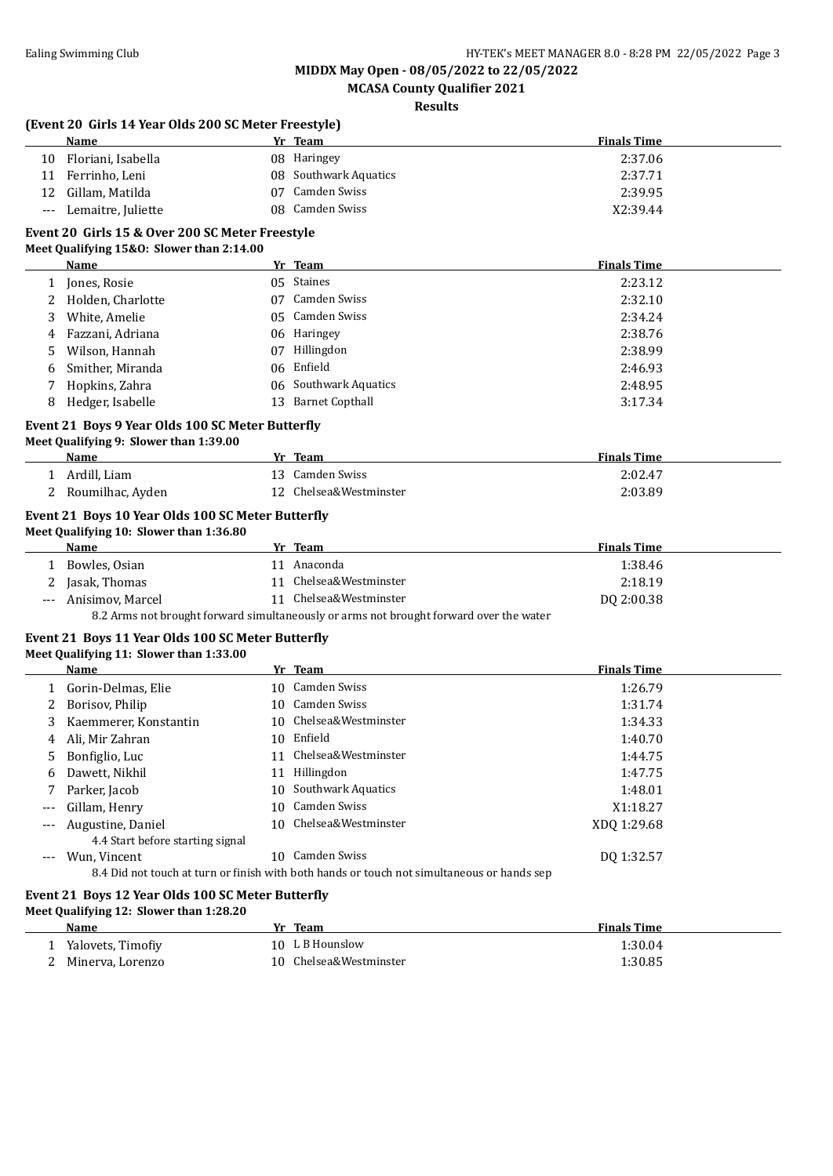**MCASA County Qualifier 2021**

**Results**

|       | (Event 20 Girls 14 Year Olds 200 SC Meter Freestyle)<br><b>Name</b>                          |    | Yr Team                                                                                    | <b>Finals Time</b> |
|-------|----------------------------------------------------------------------------------------------|----|--------------------------------------------------------------------------------------------|--------------------|
|       | Floriani, Isabella                                                                           |    | 08 Haringey                                                                                | 2:37.06            |
| 10    |                                                                                              |    |                                                                                            |                    |
| 11    | Ferrinho, Leni                                                                               |    | 08 Southwark Aquatics<br><b>Camden Swiss</b>                                               | 2:37.71            |
| 12    | Gillam, Matilda                                                                              | 07 |                                                                                            | 2:39.95            |
|       | Lemaitre, Juliette                                                                           |    | 08 Camden Swiss                                                                            | X2:39.44           |
|       | Event 20 Girls 15 & Over 200 SC Meter Freestyle<br>Meet Qualifying 15&0: Slower than 2:14.00 |    |                                                                                            |                    |
|       | Name                                                                                         |    | Yr Team                                                                                    | <b>Finals Time</b> |
|       | 1 Jones, Rosie                                                                               |    | 05 Staines                                                                                 | 2:23.12            |
| 2     | Holden, Charlotte                                                                            |    | 07 Camden Swiss                                                                            | 2:32.10            |
| 3     | White, Amelie                                                                                |    | 05 Camden Swiss                                                                            | 2:34.24            |
| 4     | Fazzani, Adriana                                                                             |    | 06 Haringey                                                                                | 2:38.76            |
| 5.    | Wilson, Hannah                                                                               |    | 07 Hillingdon                                                                              | 2:38.99            |
| 6     | Smither, Miranda                                                                             |    | 06 Enfield                                                                                 | 2:46.93            |
| 7     | Hopkins, Zahra                                                                               |    | 06 Southwark Aquatics                                                                      | 2:48.95            |
| 8     | Hedger, Isabelle                                                                             | 13 | <b>Barnet Copthall</b>                                                                     | 3:17.34            |
|       | Event 21 Boys 9 Year Olds 100 SC Meter Butterfly                                             |    |                                                                                            |                    |
|       | Meet Qualifying 9: Slower than 1:39.00                                                       |    |                                                                                            |                    |
|       | <b>Name</b>                                                                                  |    | Yr Team                                                                                    | <b>Finals Time</b> |
|       | 1 Ardill, Liam                                                                               |    | 13 Camden Swiss                                                                            | 2:02.47            |
|       | 2 Roumilhac, Ayden                                                                           |    | 12 Chelsea&Westminster                                                                     | 2:03.89            |
|       |                                                                                              |    |                                                                                            |                    |
|       | Event 21 Boys 10 Year Olds 100 SC Meter Butterfly<br>Meet Qualifying 10: Slower than 1:36.80 |    |                                                                                            |                    |
|       | Name                                                                                         |    | Yr Team                                                                                    | <b>Finals Time</b> |
|       | 1 Bowles, Osian                                                                              |    | 11 Anaconda                                                                                | 1:38.46            |
| 2     | Jasak, Thomas                                                                                |    | 11 Chelsea&Westminster                                                                     | 2:18.19            |
| $---$ | Anisimov, Marcel                                                                             |    | 11 Chelsea&Westminster                                                                     | DQ 2:00.38         |
|       |                                                                                              |    | 8.2 Arms not brought forward simultaneously or arms not brought forward over the water     |                    |
|       |                                                                                              |    |                                                                                            |                    |
|       | Event 21 Boys 11 Year Olds 100 SC Meter Butterfly                                            |    |                                                                                            |                    |
|       | Meet Qualifying 11: Slower than 1:33.00                                                      |    |                                                                                            |                    |
|       | Name                                                                                         |    | Yr Team                                                                                    | <b>Finals Time</b> |
|       | 1 Gorin-Delmas, Elie                                                                         |    | 10 Camden Swiss                                                                            | 1:26.79            |
| 2     | Borisov, Philip                                                                              |    | 10 Camden Swiss                                                                            | 1:31.74            |
| 3     | Kaemmerer, Konstantin                                                                        |    | 10 Chelsea&Westminster                                                                     | 1:34.33            |
| 4     | Ali, Mir Zahran                                                                              |    | 10 Enfield                                                                                 | 1:40.70            |
|       | Bonfiglio, Luc                                                                               |    | 11 Chelsea&Westminster                                                                     | 1:44.75            |
| 6     | Dawett, Nikhil                                                                               |    | 11 Hillingdon                                                                              | 1:47.75            |
|       | Parker, Jacob                                                                                |    | 10 Southwark Aquatics                                                                      | 1:48.01            |
|       | Gillam, Henry                                                                                | 10 | Camden Swiss                                                                               | X1:18.27           |
|       | Augustine, Daniel                                                                            | 10 | Chelsea&Westminster                                                                        | XDQ 1:29.68        |
|       | 4.4 Start before starting signal                                                             |    |                                                                                            |                    |
| $---$ | Wun, Vincent                                                                                 |    | 10 Camden Swiss                                                                            | DQ 1:32.57         |
|       |                                                                                              |    | 8.4 Did not touch at turn or finish with both hands or touch not simultaneous or hands sep |                    |
|       | Event 21 Boys 12 Year Olds 100 SC Meter Butterfly                                            |    |                                                                                            |                    |
|       | Meet Qualifying 12: Slower than 1:28.20                                                      |    |                                                                                            |                    |
|       | <b>Name</b>                                                                                  |    | Yr Team                                                                                    | <b>Finals Time</b> |
|       | 1 Yalovets, Timofiy                                                                          |    | 10 L B Hounslow                                                                            | 1:30.04            |
|       | 2 Minerva, Lorenzo                                                                           |    | 10 Chelsea&Westminster                                                                     | 1:30.85            |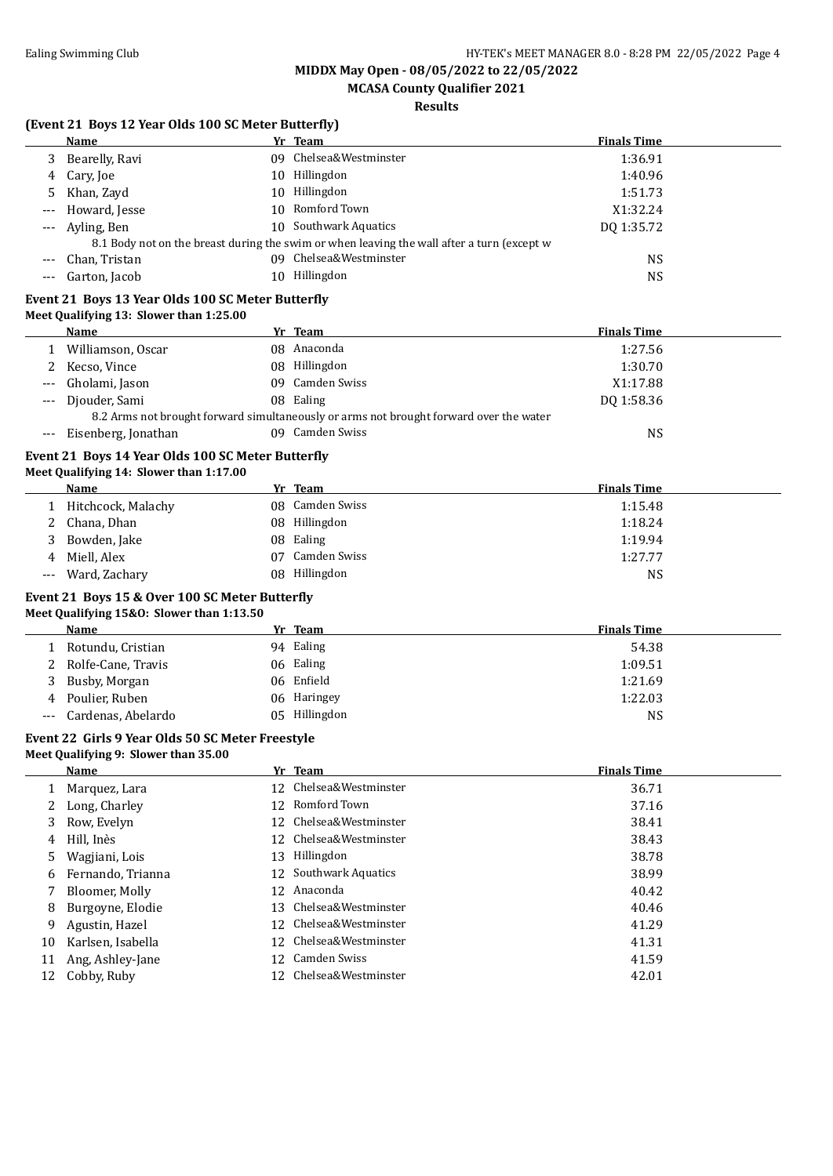**MCASA County Qualifier 2021**

### **Results**

# **(Event 21 Boys 12 Year Olds 100 SC Meter Butterfly)**

|       | (Event 21 Boys 12 Year Olds 100 SC Meter Butterfly)<br>Name                                  |    | Yr Team                                                                                    | <b>Finals Time</b> |
|-------|----------------------------------------------------------------------------------------------|----|--------------------------------------------------------------------------------------------|--------------------|
| 3     | Bearelly, Ravi                                                                               |    | 09 Chelsea&Westminster                                                                     | 1:36.91            |
| 4     | Cary, Joe                                                                                    |    | 10 Hillingdon                                                                              | 1:40.96            |
|       | Khan, Zayd                                                                                   |    | 10 Hillingdon                                                                              | 1:51.73            |
|       | Howard, Jesse                                                                                |    | 10 Romford Town                                                                            | X1:32.24           |
|       | Ayling, Ben                                                                                  |    | 10 Southwark Aquatics                                                                      | DQ 1:35.72         |
| ---   |                                                                                              |    | 8.1 Body not on the breast during the swim or when leaving the wall after a turn (except w |                    |
|       | Chan, Tristan                                                                                |    | 09 Chelsea&Westminster                                                                     | <b>NS</b>          |
|       | Garton, Jacob                                                                                |    | 10 Hillingdon                                                                              | <b>NS</b>          |
|       |                                                                                              |    |                                                                                            |                    |
|       | Event 21 Boys 13 Year Olds 100 SC Meter Butterfly<br>Meet Qualifying 13: Slower than 1:25.00 |    |                                                                                            |                    |
|       | <b>Name</b>                                                                                  |    | Yr Team                                                                                    | <b>Finals Time</b> |
|       | 1 Williamson, Oscar                                                                          |    | 08 Anaconda                                                                                | 1:27.56            |
|       | Kecso, Vince                                                                                 |    | 08 Hillingdon                                                                              | 1:30.70            |
|       | Gholami, Jason                                                                               |    | 09 Camden Swiss                                                                            | X1:17.88           |
|       | Djouder, Sami                                                                                |    | 08 Ealing                                                                                  | DQ 1:58.36         |
|       |                                                                                              |    | 8.2 Arms not brought forward simultaneously or arms not brought forward over the water     |                    |
| $---$ | Eisenberg, Jonathan                                                                          |    | 09 Camden Swiss                                                                            | <b>NS</b>          |
|       | Event 21 Boys 14 Year Olds 100 SC Meter Butterfly                                            |    |                                                                                            |                    |
|       | Meet Qualifying 14: Slower than 1:17.00                                                      |    |                                                                                            |                    |
|       | Name                                                                                         |    | Yr Team                                                                                    | <b>Finals Time</b> |
|       | 1 Hitchcock, Malachy                                                                         |    | 08 Camden Swiss                                                                            | 1:15.48            |
| 2     | Chana, Dhan                                                                                  |    | 08 Hillingdon                                                                              | 1:18.24            |
| 3     | Bowden, Jake                                                                                 |    | 08 Ealing                                                                                  | 1:19.94            |
| 4     | Miell, Alex                                                                                  |    | 07 Camden Swiss                                                                            | 1:27.77            |
|       | Ward, Zachary                                                                                |    | 08 Hillingdon                                                                              | <b>NS</b>          |
|       |                                                                                              |    |                                                                                            |                    |
|       | Event 21 Boys 15 & Over 100 SC Meter Butterfly<br>Meet Qualifying 15&0: Slower than 1:13.50  |    |                                                                                            |                    |
|       | Name                                                                                         |    | Yr Team                                                                                    | <b>Finals Time</b> |
| 1     | Rotundu, Cristian                                                                            |    | 94 Ealing                                                                                  | 54.38              |
| 2     | Rolfe-Cane, Travis                                                                           |    | 06 Ealing                                                                                  | 1:09.51            |
| 3     | Busby, Morgan                                                                                |    | 06 Enfield                                                                                 | 1:21.69            |
| 4     | Poulier, Ruben                                                                               |    | 06 Haringey                                                                                | 1:22.03            |
| $---$ | Cardenas, Abelardo                                                                           |    | 05 Hillingdon                                                                              | <b>NS</b>          |
|       |                                                                                              |    |                                                                                            |                    |
|       | Event 22 Girls 9 Year Olds 50 SC Meter Freestyle<br>Meet Qualifying 9: Slower than 35.00     |    |                                                                                            |                    |
|       | <b>Name</b>                                                                                  |    | Yr Team                                                                                    | <b>Finals Time</b> |
| 1     | Marquez, Lara                                                                                | 12 | Chelsea&Westminster                                                                        | 36.71              |
| 2     | Long, Charley                                                                                | 12 | Romford Town                                                                               | 37.16              |
| 3     | Row, Evelyn                                                                                  |    | 12 Chelsea&Westminster                                                                     | 38.41              |
| 4     | Hill, Inès                                                                                   | 12 | Chelsea&Westminster                                                                        | 38.43              |
| 5     | Wagjiani, Lois                                                                               | 13 | Hillingdon                                                                                 | 38.78              |
| 6     | Fernando, Trianna                                                                            |    | 12 Southwark Aquatics                                                                      | 38.99              |
| 7     | Bloomer, Molly                                                                               |    | 12 Anaconda                                                                                | 40.42              |
| 8     | Burgoyne, Elodie                                                                             | 13 | Chelsea&Westminster                                                                        | 40.46              |
| 9     | Agustin, Hazel                                                                               | 12 | Chelsea&Westminster                                                                        | 41.29              |
| 10    | Karlsen, Isabella                                                                            |    | 12 Chelsea&Westminster                                                                     | 41.31              |
|       |                                                                                              |    | 12 Camden Swiss                                                                            |                    |
| 11    | Ang, Ashley-Jane                                                                             |    |                                                                                            | 41.59              |

11 Ang, Asincy-jane<br>12 Cobby, Ruby 12 Chelsea&Westminster 42.01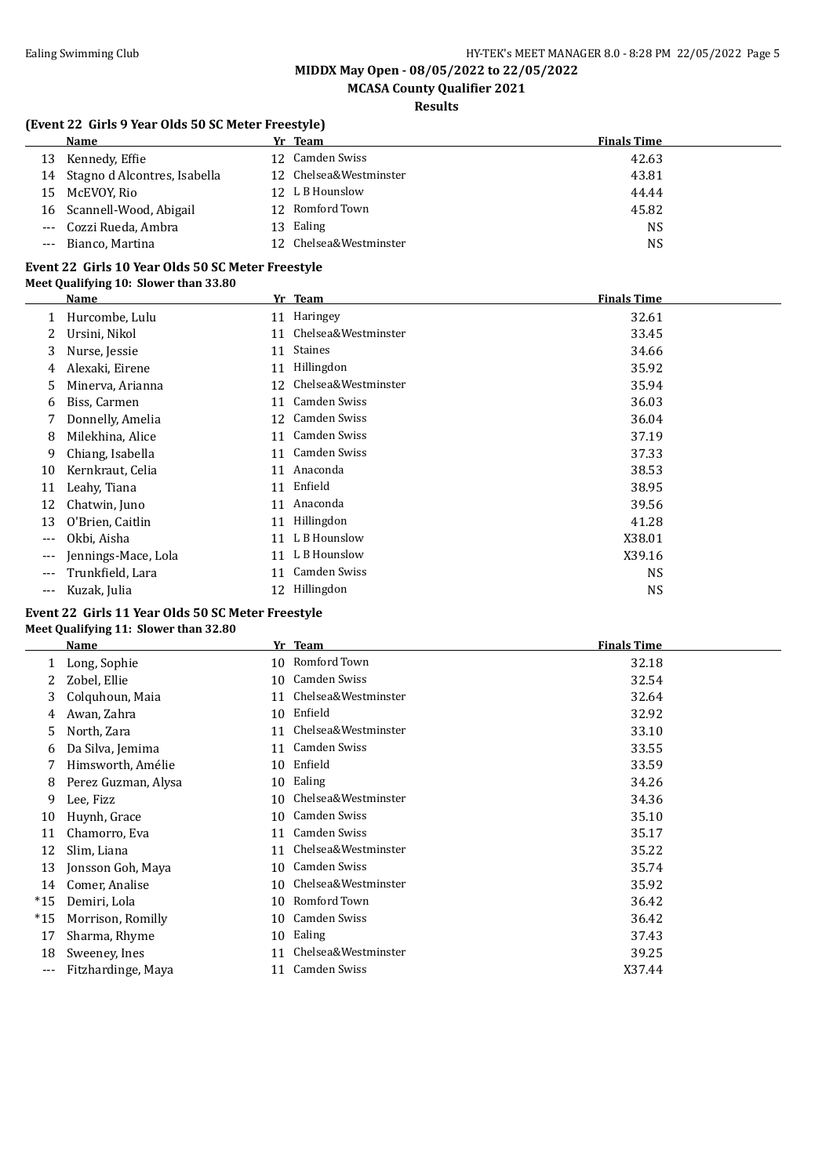# **MCASA County Qualifier 2021**

### **Results**

### **(Event 22 Girls 9 Year Olds 50 SC Meter Freestyle)**

|    | Name                         | Yr Team                | <b>Finals Time</b> |
|----|------------------------------|------------------------|--------------------|
| 13 | Kennedy, Effie               | 12 Camden Swiss        | 42.63              |
| 14 | Stagno d Alcontres, Isabella | 12 Chelsea&Westminster | 43.81              |
| 15 | McEVOY, Rio                  | 12 L B Hounslow        | 44.44              |
|    | 16 Scannell-Wood, Abigail    | 12 Romford Town        | 45.82              |
|    | --- Cozzi Rueda, Ambra       | 13 Ealing              | <b>NS</b>          |
|    | --- Bianco, Martina          | 12 Chelsea&Westminster | NS                 |

#### **Event 22 Girls 10 Year Olds 50 SC Meter Freestyle Meet Qualifying 10: Slower than 33.80**

|       | Name                |    | Yr Team             | <b>Finals Time</b> |
|-------|---------------------|----|---------------------|--------------------|
|       | Hurcombe, Lulu      |    | 11 Haringey         | 32.61              |
| 2     | Ursini, Nikol       | 11 | Chelsea&Westminster | 33.45              |
| 3     | Nurse, Jessie       | 11 | <b>Staines</b>      | 34.66              |
| 4     | Alexaki, Eirene     | 11 | Hillingdon          | 35.92              |
| 5     | Minerva, Arianna    | 12 | Chelsea&Westminster | 35.94              |
| 6     | Biss, Carmen        | 11 | Camden Swiss        | 36.03              |
| 7     | Donnelly, Amelia    | 12 | Camden Swiss        | 36.04              |
| 8     | Milekhina, Alice    | 11 | Camden Swiss        | 37.19              |
| 9     | Chiang, Isabella    |    | 11 Camden Swiss     | 37.33              |
| 10    | Kernkraut, Celia    | 11 | Anaconda            | 38.53              |
| 11    | Leahy, Tiana        | 11 | Enfield             | 38.95              |
| 12    | Chatwin, Juno       | 11 | Anaconda            | 39.56              |
| 13    | O'Brien, Caitlin    | 11 | Hillingdon          | 41.28              |
| ---   | Okbi, Aisha         | 11 | L B Hounslow        | X38.01             |
| ---   | Jennings-Mace, Lola | 11 | L B Hounslow        | X39.16             |
| ---   | Trunkfield, Lara    | 11 | <b>Camden Swiss</b> | <b>NS</b>          |
| $---$ | Kuzak, Julia        | 12 | Hillingdon          | <b>NS</b>          |

#### **Event 22 Girls 11 Year Olds 50 SC Meter Freestyle Meet Qualifying 11: Slower than 32.80**

|       | Name                | Yr | <b>Team</b>         | <b>Finals Time</b> |
|-------|---------------------|----|---------------------|--------------------|
|       | Long, Sophie        | 10 | Romford Town        | 32.18              |
|       | Zobel, Ellie        | 10 | Camden Swiss        | 32.54              |
| 3     | Colquhoun, Maia     | 11 | Chelsea&Westminster | 32.64              |
| 4     | Awan, Zahra         | 10 | Enfield             | 32.92              |
| 5     | North, Zara         | 11 | Chelsea&Westminster | 33.10              |
| 6     | Da Silva, Jemima    | 11 | Camden Swiss        | 33.55              |
|       | Himsworth, Amélie   | 10 | Enfield             | 33.59              |
| 8     | Perez Guzman, Alysa | 10 | Ealing              | 34.26              |
| 9     | Lee, Fizz           | 10 | Chelsea&Westminster | 34.36              |
| 10    | Huynh, Grace        | 10 | Camden Swiss        | 35.10              |
| 11    | Chamorro, Eva       | 11 | Camden Swiss        | 35.17              |
| 12    | Slim, Liana         | 11 | Chelsea&Westminster | 35.22              |
| 13    | Jonsson Goh, Maya   | 10 | Camden Swiss        | 35.74              |
| 14    | Comer, Analise      | 10 | Chelsea&Westminster | 35.92              |
| $*15$ | Demiri, Lola        | 10 | Romford Town        | 36.42              |
| $*15$ | Morrison, Romilly   | 10 | Camden Swiss        | 36.42              |
| 17    | Sharma, Rhyme       | 10 | Ealing              | 37.43              |
| 18    | Sweeney, Ines       | 11 | Chelsea&Westminster | 39.25              |
| ---   | Fitzhardinge, Maya  | 11 | Camden Swiss        | X37.44             |
|       |                     |    |                     |                    |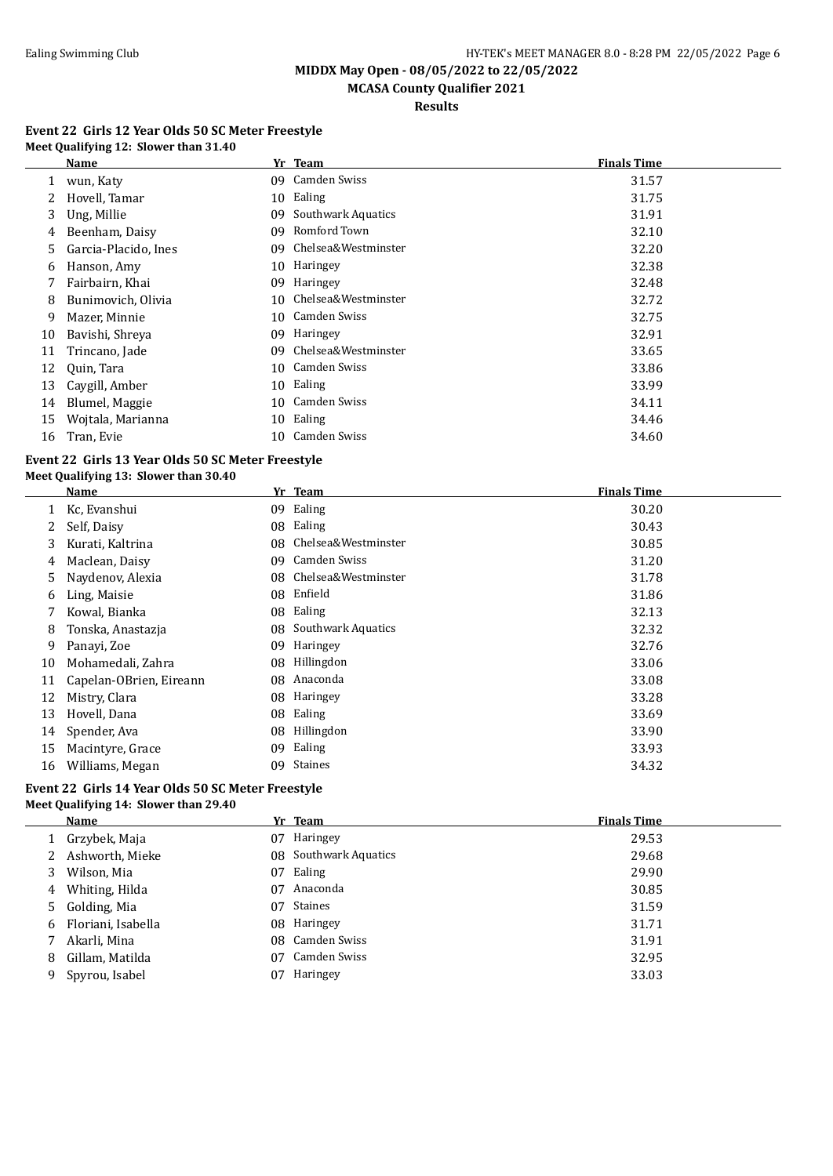$\overline{a}$ 

**MIDDX May Open - 08/05/2022 to 22/05/2022 MCASA County Qualifier 2021**

**Results**

#### **Event 22 Girls 12 Year Olds 50 SC Meter Freestyle Meet Qualifying 12: Slower than 31.40**

|    | <b>Name</b>          |     | Yr Team             | <b>Finals Time</b> |
|----|----------------------|-----|---------------------|--------------------|
|    | wun, Katy            | 09. | Camden Swiss        | 31.57              |
|    | Hovell, Tamar        | 10  | Ealing              | 31.75              |
| 3. | Ung, Millie          | 09  | Southwark Aquatics  | 31.91              |
| 4  | Beenham, Daisy       | 09  | Romford Town        | 32.10              |
| 5. | Garcia-Placido, Ines | 09  | Chelsea&Westminster | 32.20              |
| 6. | Hanson, Amy          | 10  | Haringey            | 32.38              |
|    | Fairbairn, Khai      | 09  | Haringey            | 32.48              |
| 8  | Bunimovich, Olivia   | 10  | Chelsea&Westminster | 32.72              |
| 9  | Mazer, Minnie        | 10  | Camden Swiss        | 32.75              |
| 10 | Bavishi, Shreya      | 09  | Haringey            | 32.91              |
| 11 | Trincano, Jade       | 09  | Chelsea&Westminster | 33.65              |
| 12 | Quin, Tara           | 10  | Camden Swiss        | 33.86              |
| 13 | Caygill, Amber       |     | 10 Ealing           | 33.99              |
| 14 | Blumel, Maggie       | 10  | Camden Swiss        | 34.11              |
| 15 | Wojtala, Marianna    | 10  | Ealing              | 34.46              |
| 16 | Tran, Evie           | 10  | Camden Swiss        | 34.60              |

#### **Event 22 Girls 13 Year Olds 50 SC Meter Freestyle Meet Qualifying 13: Slower than 30.40**

| Meet Qualifying 13: Slower than 30.40 |  |  |
|---------------------------------------|--|--|
|                                       |  |  |

|    | Name                    | Yr | <b>Team</b>         | <b>Finals Time</b> |
|----|-------------------------|----|---------------------|--------------------|
|    | Kc, Evanshui            | 09 | Ealing              | 30.20              |
| 2  | Self, Daisy             | 08 | Ealing              | 30.43              |
| 3  | Kurati, Kaltrina        | 08 | Chelsea&Westminster | 30.85              |
| 4  | Maclean, Daisy          | 09 | Camden Swiss        | 31.20              |
| 5. | Naydenov, Alexia        | 08 | Chelsea&Westminster | 31.78              |
| 6  | Ling, Maisie            | 08 | Enfield             | 31.86              |
| 7  | Kowal, Bianka           | 08 | Ealing              | 32.13              |
| 8  | Tonska, Anastazja       | 08 | Southwark Aquatics  | 32.32              |
| 9  | Panayi, Zoe             | 09 | Haringey            | 32.76              |
| 10 | Mohamedali, Zahra       | 08 | Hillingdon          | 33.06              |
| 11 | Capelan-OBrien, Eireann | 08 | Anaconda            | 33.08              |
| 12 | Mistry, Clara           | 08 | Haringey            | 33.28              |
| 13 | Hovell, Dana            | 08 | Ealing              | 33.69              |
| 14 | Spender, Ava            | 08 | Hillingdon          | 33.90              |
| 15 | Macintyre, Grace        | 09 | Ealing              | 33.93              |
| 16 | Williams, Megan         | 09 | <b>Staines</b>      | 34.32              |

#### **Event 22 Girls 14 Year Olds 50 SC Meter Freestyle Meet Qualifying 14: Slower than 29.40**

|    | Name               |    | Yr Team               | <b>Finals Time</b> |
|----|--------------------|----|-----------------------|--------------------|
|    | 1 Grzybek, Maja    | 07 | Haringey              | 29.53              |
|    | Ashworth, Mieke    |    | 08 Southwark Aquatics | 29.68              |
| 3  | Wilson, Mia        | 07 | Ealing                | 29.90              |
| 4  | Whiting, Hilda     | 07 | Anaconda              | 30.85              |
|    | 5 Golding, Mia     | 07 | Staines               | 31.59              |
| 6  | Floriani, Isabella |    | 08 Haringey           | 31.71              |
|    | Akarli, Mina       |    | 08 Camden Swiss       | 31.91              |
| 8  | Gillam, Matilda    | 07 | Camden Swiss          | 32.95              |
| 9. | Spyrou, Isabel     | 07 | Haringey              | 33.03              |
|    |                    |    |                       |                    |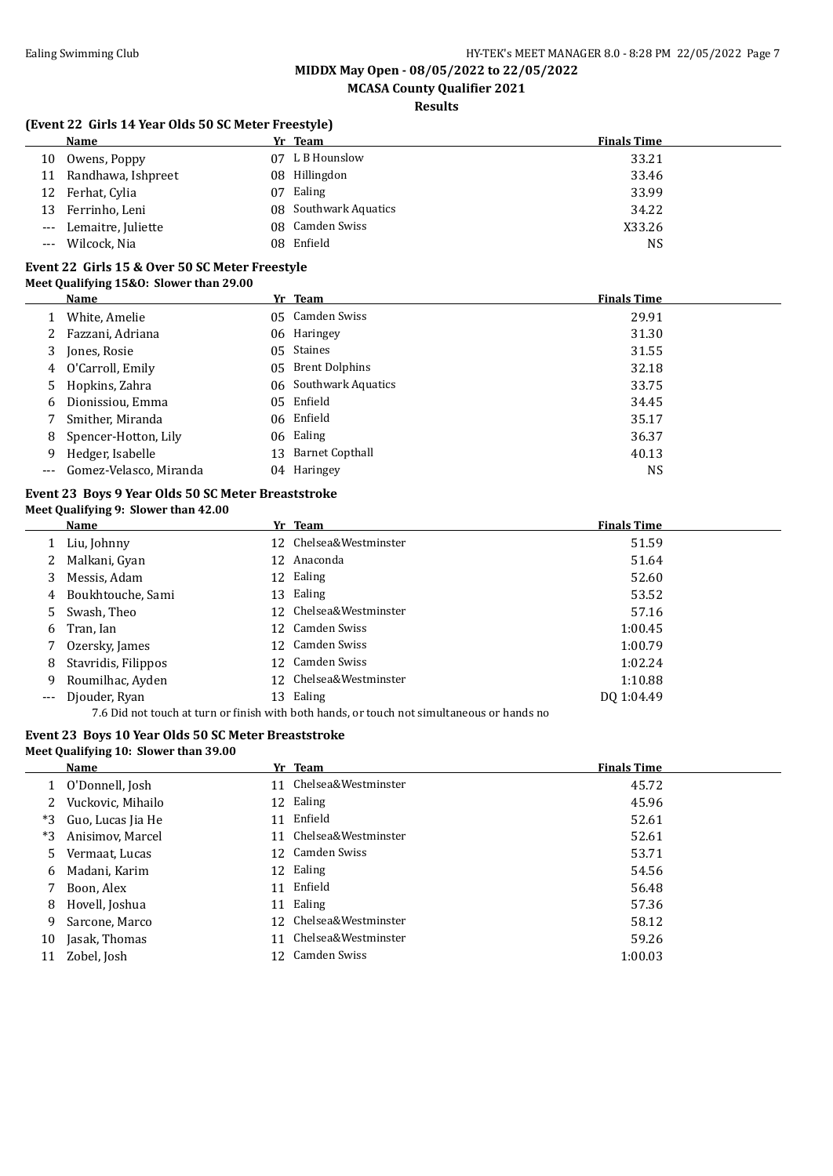### **MCASA County Qualifier 2021**

### **Results**

#### **(Event 22 Girls 14 Year Olds 50 SC Meter Freestyle)**

|       | Name                   | Yr Team               | <b>Finals Time</b> |
|-------|------------------------|-----------------------|--------------------|
|       | 10 Owens, Poppy        | 07 L B Hounslow       | 33.21              |
|       | 11 Randhawa, Ishpreet  | 08 Hillingdon         | 33.46              |
|       | 12 Ferhat, Cylia       | 07 Ealing             | 33.99              |
|       | 13 Ferrinho, Leni      | 08 Southwark Aquatics | 34.22              |
|       | --- Lemaitre, Juliette | 08 Camden Swiss       | X33.26             |
| $---$ | Wilcock, Nia           | 08 Enfield            | NS                 |

#### **Event 22 Girls 15 & Over 50 SC Meter Freestyle Meet Qualifying 15&O: Slower than 29.00**

|   | Name                       | Yr Team               | <b>Finals Time</b> |
|---|----------------------------|-----------------------|--------------------|
|   | White, Amelie              | 05 Camden Swiss       | 29.91              |
| 2 | Fazzani, Adriana           | 06 Haringey           | 31.30              |
| 3 | Jones, Rosie               | 05 Staines            | 31.55              |
| 4 | O'Carroll, Emily           | 05 Brent Dolphins     | 32.18              |
|   | 5 Hopkins, Zahra           | 06 Southwark Aquatics | 33.75              |
| 6 | Dionissiou, Emma           | 05 Enfield            | 34.45              |
|   | Smither, Miranda           | 06 Enfield            | 35.17              |
| 8 | Spencer-Hotton, Lily       | 06 Ealing             | 36.37              |
| 9 | Hedger, Isabelle           | 13 Barnet Copthall    | 40.13              |
|   | --- Gomez-Velasco, Miranda | 04 Haringey           | <b>NS</b>          |

#### **Event 23 Boys 9 Year Olds 50 SC Meter Breaststroke Meet Qualifying 9: Slower than 42.00**

7.6 Did not touch at turn or finish with both hands, or touch not simultaneous or hands no

### **Event 23 Boys 10 Year Olds 50 SC Meter Breaststroke**

### **Meet Qualifying 10: Slower than 39.00**

|    | Name              |    | Yr Team                | <b>Finals Time</b> |
|----|-------------------|----|------------------------|--------------------|
|    | 1 O'Donnell, Josh |    | 11 Chelsea&Westminster | 45.72              |
|    | Vuckovic, Mihailo |    | 12 Ealing              | 45.96              |
| *3 | Guo, Lucas Jia He | 11 | Enfield                | 52.61              |
| *3 | Anisimov, Marcel  |    | 11 Chelsea&Westminster | 52.61              |
| 5. | Vermaat, Lucas    |    | 12 Camden Swiss        | 53.71              |
| 6  | Madani, Karim     |    | 12 Ealing              | 54.56              |
|    | Boon, Alex        | 11 | Enfield                | 56.48              |
| 8  | Hovell, Joshua    | 11 | Ealing                 | 57.36              |
| 9  | Sarcone, Marco    |    | 12 Chelsea&Westminster | 58.12              |
| 10 | Jasak, Thomas     |    | 11 Chelsea&Westminster | 59.26              |
| 11 | Zobel, Josh       |    | 12 Camden Swiss        | 1:00.03            |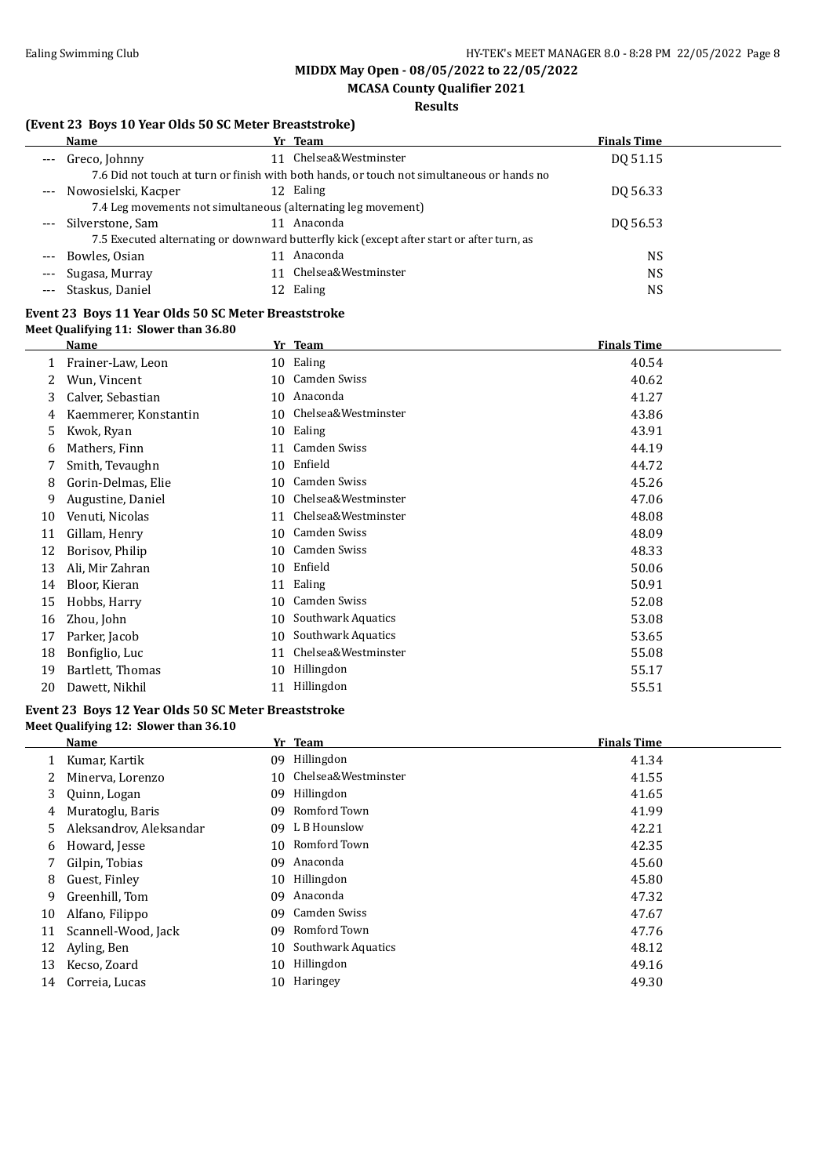**MIDDX May Open - 08/05/2022 to 22/05/2022 MCASA County Qualifier 2021**

### **Results**

### **(Event 23 Boys 10 Year Olds 50 SC Meter Breaststroke)**

#### **Event 23 Boys 11 Year Olds 50 SC Meter Breaststroke Meet Qualifying 11: Slower than 36.80**

|    | Name                  |    | Yr Team                   | <b>Finals Time</b> |
|----|-----------------------|----|---------------------------|--------------------|
|    | Frainer-Law, Leon     |    | 10 Ealing                 | 40.54              |
| 2  | Wun, Vincent          | 10 | Camden Swiss              | 40.62              |
| 3  | Calver, Sebastian     | 10 | Anaconda                  | 41.27              |
| 4  | Kaemmerer, Konstantin | 10 | Chelsea&Westminster       | 43.86              |
| 5  | Kwok, Ryan            | 10 | Ealing                    | 43.91              |
| 6  | Mathers, Finn         | 11 | Camden Swiss              | 44.19              |
|    | Smith, Tevaughn       | 10 | Enfield                   | 44.72              |
| 8  | Gorin-Delmas, Elie    | 10 | Camden Swiss              | 45.26              |
| 9  | Augustine, Daniel     | 10 | Chelsea&Westminster       | 47.06              |
| 10 | Venuti, Nicolas       | 11 | Chelsea&Westminster       | 48.08              |
| 11 | Gillam, Henry         | 10 | Camden Swiss              | 48.09              |
| 12 | Borisov, Philip       | 10 | Camden Swiss              | 48.33              |
| 13 | Ali, Mir Zahran       | 10 | Enfield                   | 50.06              |
| 14 | Bloor, Kieran         | 11 | Ealing                    | 50.91              |
| 15 | Hobbs, Harry          | 10 | Camden Swiss              | 52.08              |
| 16 | Zhou, John            | 10 | Southwark Aquatics        | 53.08              |
| 17 | Parker, Jacob         | 10 | <b>Southwark Aquatics</b> | 53.65              |
| 18 | Bonfiglio, Luc        | 11 | Chelsea&Westminster       | 55.08              |
| 19 | Bartlett, Thomas      | 10 | Hillingdon                | 55.17              |
| 20 | Dawett, Nikhil        | 11 | Hillingdon                | 55.51              |

#### **Event 23 Boys 12 Year Olds 50 SC Meter Breaststroke Meet Qualifying 12: Slower than 36.10**

|    | Name                    |     | Yr Team             | <b>Finals Time</b> |
|----|-------------------------|-----|---------------------|--------------------|
|    | Kumar, Kartik           | 09. | Hillingdon          | 41.34              |
|    | Minerva, Lorenzo        | 10. | Chelsea&Westminster | 41.55              |
| 3  | Quinn, Logan            | 09  | Hillingdon          | 41.65              |
| 4  | Muratoglu, Baris        | 09  | Romford Town        | 41.99              |
| 5. | Aleksandrov, Aleksandar | 09. | L B Hounslow        | 42.21              |
| 6  | Howard, Jesse           | 10. | Romford Town        | 42.35              |
|    | Gilpin, Tobias          | 09. | Anaconda            | 45.60              |
| 8  | Guest, Finley           | 10. | Hillingdon          | 45.80              |
| 9. | Greenhill, Tom          | 09  | Anaconda            | 47.32              |
| 10 | Alfano, Filippo         | 09. | Camden Swiss        | 47.67              |
| 11 | Scannell-Wood, Jack     | 09. | Romford Town        | 47.76              |
| 12 | Ayling, Ben             | 10  | Southwark Aquatics  | 48.12              |
| 13 | Kecso, Zoard            | 10  | Hillingdon          | 49.16              |
| 14 | Correia, Lucas          | 10  | Haringey            | 49.30              |
|    |                         |     |                     |                    |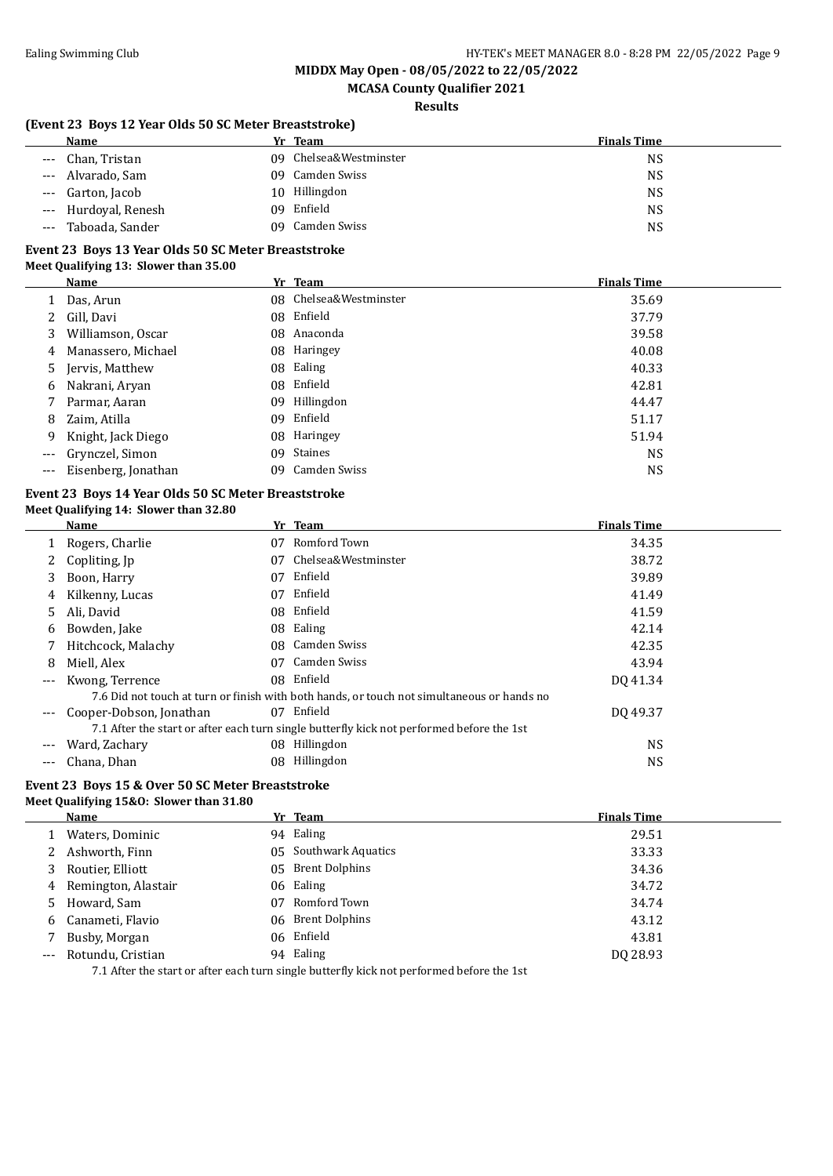### **MCASA County Qualifier 2021**

### **Results**

### **(Event 23 Boys 12 Year Olds 50 SC Meter Breaststroke)**

| Name                      | Yr Team                | <b>Finals Time</b> |
|---------------------------|------------------------|--------------------|
| Chan, Tristan<br>$\cdots$ | 09 Chelsea&Westminster | NS                 |
| Alvarado, Sam<br>$---$    | Camden Swiss<br>09.    | <b>NS</b>          |
| --- Garton, Jacob         | Hillingdon<br>10       | <b>NS</b>          |
| --- Hurdoyal, Renesh      | Enfield<br>09.         | <b>NS</b>          |
| Taboada, Sander<br>$---$  | Camden Swiss<br>09.    | <b>NS</b>          |

#### **Event 23 Boys 13 Year Olds 50 SC Meter Breaststroke Meet Qualifying 13: Slower than 35.00**

|                     | Name                |     | Yr Team                | <b>Finals Time</b> |
|---------------------|---------------------|-----|------------------------|--------------------|
|                     | Das, Arun           |     | 08 Chelsea&Westminster | 35.69              |
| 2                   | Gill, Davi          |     | 08 Enfield             | 37.79              |
| 3                   | Williamson, Oscar   |     | 08 Anaconda            | 39.58              |
| 4                   | Manassero, Michael  |     | 08 Haringey            | 40.08              |
|                     | 5 Jervis, Matthew   |     | 08 Ealing              | 40.33              |
| 6                   | Nakrani, Aryan      |     | 08 Enfield             | 42.81              |
|                     | Parmar, Aaran       | 09. | Hillingdon             | 44.47              |
| 8                   | Zaim, Atilla        |     | 09 Enfield             | 51.17              |
| 9                   | Knight, Jack Diego  |     | 08 Haringey            | 51.94              |
| $---$               | Grynczel, Simon     | 09  | Staines                | <b>NS</b>          |
| $\qquad \qquad - -$ | Eisenberg, Jonathan |     | 09 Camden Swiss        | <b>NS</b>          |

#### **Event 23 Boys 14 Year Olds 50 SC Meter Breaststroke Meet Qualifying 14: Slower than 32.80**

|       | Name                    |    | Yr Team                                                                                    | <b>Finals Time</b> |
|-------|-------------------------|----|--------------------------------------------------------------------------------------------|--------------------|
|       | Rogers, Charlie         | 07 | Romford Town                                                                               | 34.35              |
|       | Copliting, Jp           | 07 | Chelsea&Westminster                                                                        | 38.72              |
| 3     | Boon, Harry             | 07 | Enfield                                                                                    | 39.89              |
| 4     | Kilkenny, Lucas         | 07 | Enfield                                                                                    | 41.49              |
| 5.    | Ali, David              |    | 08 Enfield                                                                                 | 41.59              |
| 6     | Bowden, Jake            | 08 | Ealing                                                                                     | 42.14              |
|       | Hitchcock, Malachy      |    | 08 Camden Swiss                                                                            | 42.35              |
| 8     | Miell, Alex             | 07 | Camden Swiss                                                                               | 43.94              |
| $---$ | Kwong, Terrence         |    | 08 Enfield                                                                                 | DQ 41.34           |
|       |                         |    | 7.6 Did not touch at turn or finish with both hands, or touch not simultaneous or hands no |                    |
| ---   | Cooper-Dobson, Jonathan | 07 | Enfield                                                                                    | DO 49.37           |
|       |                         |    | 7.1 After the start or after each turn single butterfly kick not performed before the 1st  |                    |
| ---   | Ward, Zachary           | 08 | Hillingdon                                                                                 | NS.                |
| ---   | Chana, Dhan             | 08 | Hillingdon                                                                                 | <b>NS</b>          |

# **Event 23 Boys 15 & Over 50 SC Meter Breaststroke**

### **Meet Qualifying 15&O: Slower than 31.80**

|       | Name                |    | Yr Team                                                                                    | <b>Finals Time</b> |
|-------|---------------------|----|--------------------------------------------------------------------------------------------|--------------------|
|       | Waters, Dominic     |    | 94 Ealing                                                                                  | 29.51              |
|       | Ashworth, Finn      |    | 05 Southwark Aquatics                                                                      | 33.33              |
|       | Routier, Elliott    |    | 05 Brent Dolphins                                                                          | 34.36              |
| 4     | Remington, Alastair |    | 06 Ealing                                                                                  | 34.72              |
| 5.    | Howard, Sam         | 07 | Romford Town                                                                               | 34.74              |
| 6     | Canameti, Flavio    |    | 06 Brent Dolphins                                                                          | 43.12              |
|       | Busby, Morgan       |    | 06 Enfield                                                                                 | 43.81              |
| $---$ | Rotundu, Cristian   |    | 94 Ealing                                                                                  | DO 28.93           |
|       |                     |    | 7.1 After the start or after each turn single buttorfly light not parformed before the 1st |                    |

7.1 After the start or after each turn single butterfly kick not performed before the 1st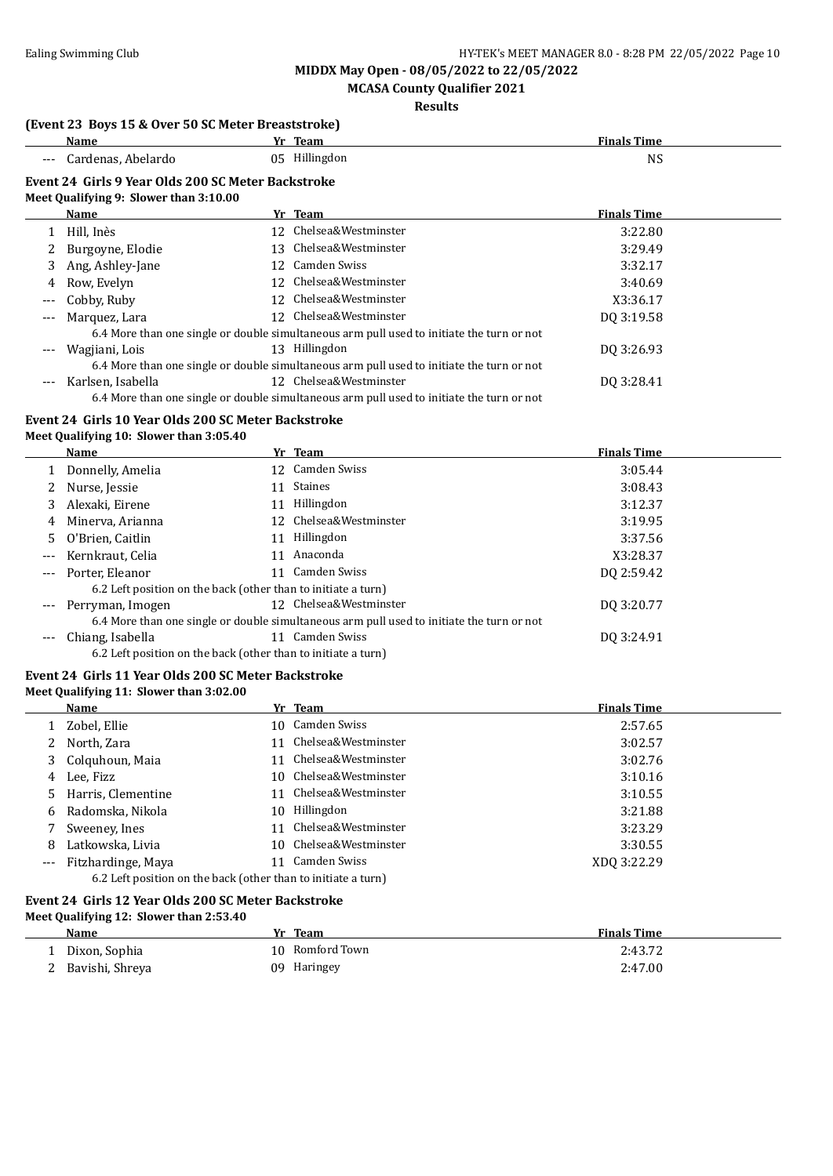### **MCASA County Qualifier 2021**

#### **Results**

#### **(Event 23 Boys 15 & Over 50 SC Meter Breaststroke)**

| Name                                                                                         |  | Yr Team                | <b>Finals Time</b> |  |
|----------------------------------------------------------------------------------------------|--|------------------------|--------------------|--|
| --- Cardenas, Abelardo                                                                       |  | 05 Hillingdon          | NS                 |  |
| Event 24 Girls 9 Year Olds 200 SC Meter Backstroke<br>Meet Qualifying 9: Slower than 3:10.00 |  |                        |                    |  |
| Name                                                                                         |  | Yr Team                | <b>Finals Time</b> |  |
| Hill. Inès                                                                                   |  | 12 Chelsea&Westminster | 3:22.80            |  |

|                     | 1 11111.1110 <i>3</i> |    | 17. Guciocace vestiminici                                                                 | <b>J.44.00</b> |  |
|---------------------|-----------------------|----|-------------------------------------------------------------------------------------------|----------------|--|
|                     | 2 Burgoyne, Elodie    | 13 | Chelsea&Westminster                                                                       | 3:29.49        |  |
|                     | 3 Ang, Ashley-Jane    |    | 12 Camden Swiss                                                                           | 3:32.17        |  |
|                     | 4 Row, Evelyn         |    | 12 Chelsea&Westminster                                                                    | 3:40.69        |  |
|                     | --- Cobby, Ruby       |    | 12 Chelsea&Westminster                                                                    | X3:36.17       |  |
| $\qquad \qquad - -$ | Marquez, Lara         |    | 12 Chelsea&Westminster                                                                    | DQ 3:19.58     |  |
|                     |                       |    | 6.4 More than one single or double simultaneous arm pull used to initiate the turn or not |                |  |
|                     | Wagjiani, Lois        |    | 13 Hillingdon                                                                             | DO 3:26.93     |  |
|                     |                       |    | 6.4 More than one single or double simultaneous arm pull used to initiate the turn or not |                |  |
|                     | Karlsen, Isabella     |    | 12 Chelsea&Westminster                                                                    | DO 3:28.41     |  |
|                     |                       |    | 6.4 More than one single or double simultaneous arm pull used to initiate the turn or not |                |  |

# **Event 24 Girls 10 Year Olds 200 SC Meter Backstroke**

### **Meet Qualifying 10: Slower than 3:05.40**

|                     | <b>Name</b>                                                   |    | Yr Team                                                                                   | <b>Finals Time</b> |
|---------------------|---------------------------------------------------------------|----|-------------------------------------------------------------------------------------------|--------------------|
|                     | Donnelly, Amelia                                              |    | 12 Camden Swiss                                                                           | 3:05.44            |
|                     | Nurse, Jessie                                                 | 11 | Staines                                                                                   | 3:08.43            |
|                     | Alexaki, Eirene                                               | 11 | Hillingdon                                                                                | 3:12.37            |
| 4                   | Minerva, Arianna                                              |    | 12 Chelsea&Westminster                                                                    | 3:19.95            |
| 5.                  | O'Brien, Caitlin                                              | 11 | Hillingdon                                                                                | 3:37.56            |
| $\qquad \qquad - -$ | Kernkraut, Celia                                              | 11 | Anaconda                                                                                  | X3:28.37           |
| $---$               | Porter, Eleanor                                               |    | 11 Camden Swiss                                                                           | DO 2:59.42         |
|                     | 6.2 Left position on the back (other than to initiate a turn) |    |                                                                                           |                    |
| $---$               | Perryman, Imogen                                              |    | 12 Chelsea&Westminster                                                                    | DO 3:20.77         |
|                     |                                                               |    | 6.4 More than one single or double simultaneous arm pull used to initiate the turn or not |                    |
| ---                 | Chiang, Isabella                                              | 11 | Camden Swiss                                                                              | DQ 3:24.91         |
|                     | 6.2 Left position on the back (other than to initiate a turn) |    |                                                                                           |                    |

### **Event 24 Girls 11 Year Olds 200 SC Meter Backstroke**

#### **Meet Qualifying 11: Slower than 3:02.00**

|       | Name                                                          |     | Yr Team                | <b>Finals Time</b> |  |  |
|-------|---------------------------------------------------------------|-----|------------------------|--------------------|--|--|
|       | 1 Zobel, Ellie                                                |     | 10 Camden Swiss        | 2:57.65            |  |  |
|       | North, Zara                                                   |     | 11 Chelsea&Westminster | 3:02.57            |  |  |
| 3     | Colquhoun, Maia                                               |     | 11 Chelsea&Westminster | 3:02.76            |  |  |
| 4     | Lee, Fizz                                                     |     | 10 Chelsea&Westminster | 3:10.16            |  |  |
| 5.    | Harris, Clementine                                            |     | 11 Chelsea&Westminster | 3:10.55            |  |  |
| 6     | Radomska, Nikola                                              | 10. | Hillingdon             | 3:21.88            |  |  |
|       | Sweeney, Ines                                                 |     | 11 Chelsea&Westminster | 3:23.29            |  |  |
| 8     | Latkowska, Livia                                              |     | 10 Chelsea&Westminster | 3:30.55            |  |  |
| $---$ | Fitzhardinge, Maya                                            |     | Camden Swiss           | XDO 3:22.29        |  |  |
|       | 6.2 Left position on the back (other than to initiate a turn) |     |                        |                    |  |  |

#### **Event 24 Girls 12 Year Olds 200 SC Meter Backstroke Meet Qualifying 12: Slower than 2:53.40**

| Name            | Team<br>Yr      | <b>Finals Time</b> |
|-----------------|-----------------|--------------------|
| Dixon, Sophia   | 10 Romford Town | 2:43.72            |
| Bavishi, Shreya | Haringey<br>09. | 2:47.00            |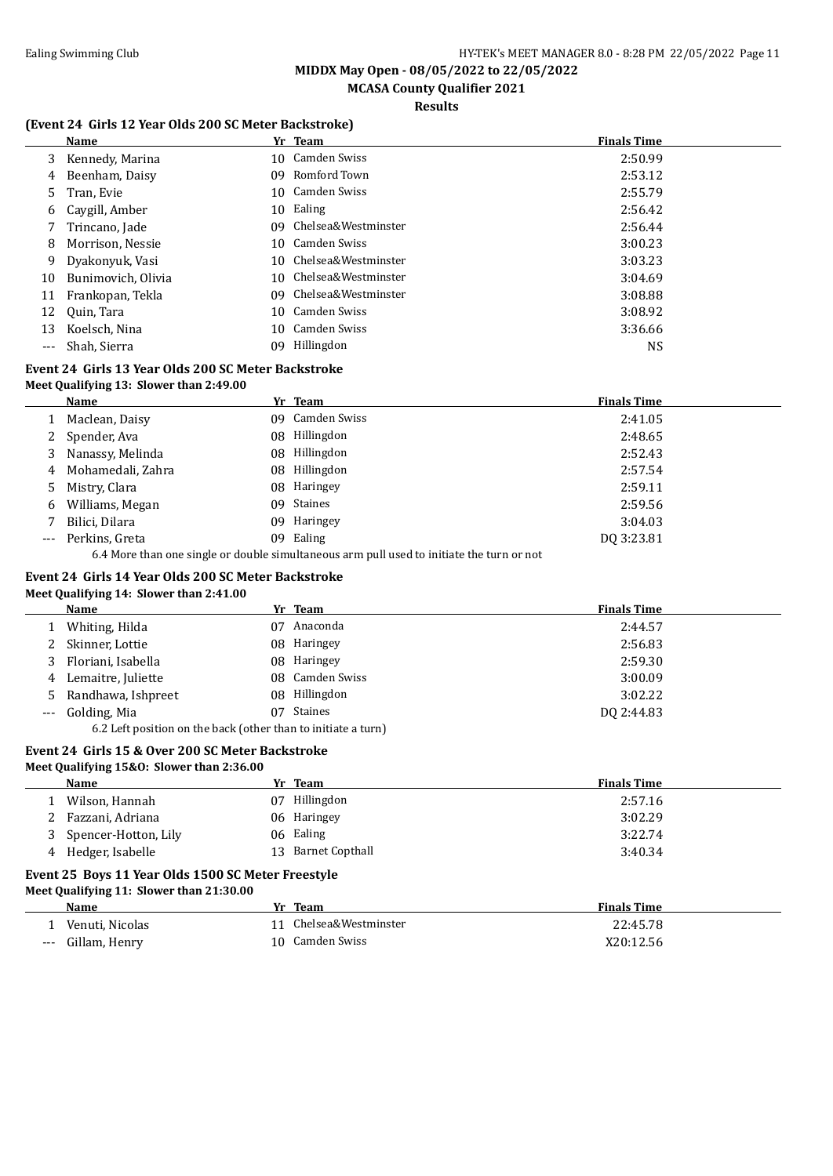# **MCASA County Qualifier 2021**

### **Results**

#### **(Event 24 Girls 12 Year Olds 200 SC Meter Backstroke)**

|     | Name               |     | Yr Team                | <b>Finals Time</b> |
|-----|--------------------|-----|------------------------|--------------------|
| 3   | Kennedy, Marina    |     | 10 Camden Swiss        | 2:50.99            |
| 4   | Beenham, Daisy     | 09  | Romford Town           | 2:53.12            |
| 5.  | Tran, Evie         |     | 10 Camden Swiss        | 2:55.79            |
| 6   | Caygill, Amber     | 10  | Ealing                 | 2:56.42            |
|     | Trincano, Jade     | 09. | Chelsea&Westminster    | 2:56.44            |
| 8   | Morrison, Nessie   |     | 10 Camden Swiss        | 3:00.23            |
| 9   | Dyakonyuk, Vasi    |     | 10 Chelsea&Westminster | 3:03.23            |
| 10  | Bunimovich, Olivia |     | 10 Chelsea&Westminster | 3:04.69            |
| 11  | Frankopan, Tekla   | 09. | Chelsea&Westminster    | 3:08.88            |
| 12  | Quin, Tara         |     | 10 Camden Swiss        | 3:08.92            |
| 13  | Koelsch, Nina      | 10  | Camden Swiss           | 3:36.66            |
| --- | Shah, Sierra       | 09. | Hillingdon             | <b>NS</b>          |

#### **Event 24 Girls 13 Year Olds 200 SC Meter Backstroke Meet Qualifying 13: Slower than 2:49.00**

|       | Name              |     | Yr Team                                                                                   | <b>Finals Time</b> |
|-------|-------------------|-----|-------------------------------------------------------------------------------------------|--------------------|
|       | Maclean, Daisy    | 09. | Camden Swiss                                                                              | 2:41.05            |
| 2     | Spender, Ava      | 08  | Hillingdon                                                                                | 2:48.65            |
| 3     | Nanassy, Melinda  |     | 08 Hillingdon                                                                             | 2:52.43            |
| 4     | Mohamedali, Zahra | 08  | Hillingdon                                                                                | 2:57.54            |
| 5.    | Mistry, Clara     | 08. | Haringey                                                                                  | 2:59.11            |
| 6     | Williams, Megan   |     | 09 Staines                                                                                | 2:59.56            |
|       | Bilici, Dilara    | 09  | Haringey                                                                                  | 3:04.03            |
| $---$ | Perkins, Greta    |     | 09 Ealing                                                                                 | DO 3:23.81         |
|       |                   |     | 6.4 More than one single or double simultaneous arm pull used to initiate the turn or not |                    |

#### **Event 24 Girls 14 Year Olds 200 SC Meter Backstroke**

#### **Meet Qualifying 14: Slower than 2:41.00**

| Name                                                          |     | Yr Team         | <b>Finals Time</b> |
|---------------------------------------------------------------|-----|-----------------|--------------------|
| Whiting, Hilda                                                | 07  | Anaconda        | 2:44.57            |
| 2 Skinner, Lottie                                             | 08. | Haringey        | 2:56.83            |
| Floriani, Isabella                                            |     | 08 Haringey     | 2:59.30            |
| 4 Lemaitre, Juliette                                          |     | 08 Camden Swiss | 3:00.09            |
| 5 Randhawa, Ishpreet                                          |     | 08 Hillingdon   | 3:02.22            |
| --- Golding, Mia                                              | 07. | Staines         | DO 2:44.83         |
| 6.2 Left position on the back (other than to initiate a turn) |     |                 |                    |

#### **Event 24 Girls 15 & Over 200 SC Meter Backstroke Meet Qualifying 15&O: Slower than 2:36.00**

| Name                 |    | Yr Team            | <b>Finals Time</b> |
|----------------------|----|--------------------|--------------------|
| Wilson, Hannah       | 07 | Hillingdon         | 2:57.16            |
| Fazzani, Adriana     |    | 06 Haringey        | 3:02.29            |
| Spencer-Hotton, Lily |    | 06 Ealing          | 3:22.74            |
| 4 Hedger, Isabelle   |    | 13 Barnet Copthall | 3:40.34            |
|                      |    |                    |                    |

#### **Event 25 Boys 11 Year Olds 1500 SC Meter Freestyle Meet Qualifying 11: Slower than 21:30.00**

|       | Name            | Yr | Team                   | <b>Finals Time</b> |
|-------|-----------------|----|------------------------|--------------------|
|       | Venuti. Nicolas |    | 11 Chelsea&Westminster | 22:45.78           |
| $---$ | Gillam, Henry   |    | 10 Camden Swiss        | X20:12.56          |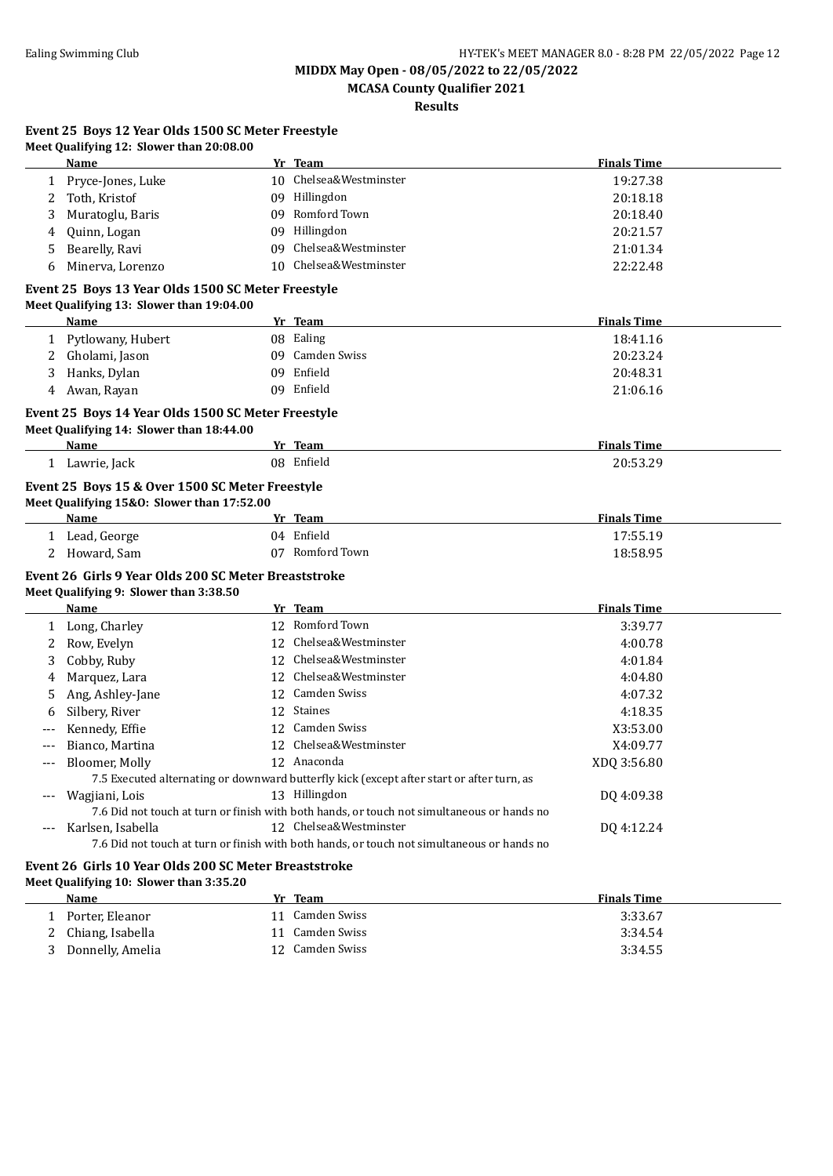**Event 25 Boys 12 Year Olds 1500 SC Meter Freestyle**

**MIDDX May Open - 08/05/2022 to 22/05/2022**

**MCASA County Qualifier 2021**

**Results**

|       | Meet Qualifying 12: Slower than 20:08.00                                                               |    |                                                                                            |                                            |
|-------|--------------------------------------------------------------------------------------------------------|----|--------------------------------------------------------------------------------------------|--------------------------------------------|
|       | Name                                                                                                   |    | Yr Team                                                                                    | <b>Finals Time</b>                         |
|       | 1 Pryce-Jones, Luke                                                                                    |    | 10 Chelsea&Westminster                                                                     | 19:27.38                                   |
| 2     | Toth, Kristof                                                                                          |    | 09 Hillingdon                                                                              | 20:18.18                                   |
| 3     | Muratoglu, Baris                                                                                       |    | 09 Romford Town                                                                            | 20:18.40                                   |
| 4     | Quinn, Logan                                                                                           |    | 09 Hillingdon                                                                              | 20:21.57                                   |
| 5     | Bearelly, Ravi                                                                                         | 09 | Chelsea&Westminster                                                                        | 21:01.34                                   |
| 6     | Minerva, Lorenzo                                                                                       | 10 | Chelsea&Westminster                                                                        | 22:22.48                                   |
|       | Event 25 Boys 13 Year Olds 1500 SC Meter Freestyle<br>Meet Qualifying 13: Slower than 19:04.00<br>Name |    | Yr Team                                                                                    | <b>Finals Time</b>                         |
|       |                                                                                                        |    | 08 Ealing                                                                                  | 18:41.16                                   |
|       | 1 Pytlowany, Hubert                                                                                    |    | 09 Camden Swiss                                                                            |                                            |
| 2     | Gholami, Jason                                                                                         |    | 09 Enfield                                                                                 | 20:23.24                                   |
| 3     | Hanks, Dylan                                                                                           |    |                                                                                            | 20:48.31                                   |
| 4     | Awan, Rayan                                                                                            |    | 09 Enfield                                                                                 | 21:06.16                                   |
|       | Event 25 Boys 14 Year Olds 1500 SC Meter Freestyle<br>Meet Qualifying 14: Slower than 18:44.00         |    |                                                                                            |                                            |
|       | Name                                                                                                   |    | Yr Team                                                                                    | <b>Finals Time</b>                         |
|       | 1 Lawrie, Jack                                                                                         |    | 08 Enfield                                                                                 | 20:53.29                                   |
|       | Name<br>1 Lead, George<br>2 Howard, Sam                                                                |    | Yr Team<br>04 Enfield<br>07 Romford Town                                                   | <b>Finals Time</b><br>17:55.19<br>18:58.95 |
|       | Event 26 Girls 9 Year Olds 200 SC Meter Breaststroke<br>Meet Qualifying 9: Slower than 3:38.50         |    |                                                                                            |                                            |
|       | Name                                                                                                   |    | Yr Team                                                                                    | <b>Finals Time</b>                         |
|       | 1 Long, Charley                                                                                        |    | 12 Romford Town                                                                            | 3:39.77                                    |
| 2     | Row, Evelyn                                                                                            | 12 | Chelsea&Westminster                                                                        | 4:00.78                                    |
| 3     | Cobby, Ruby                                                                                            |    | 12 Chelsea&Westminster                                                                     | 4:01.84                                    |
| 4     | Marquez, Lara                                                                                          | 12 | Chelsea&Westminster                                                                        | 4:04.80                                    |
| 5     | Ang, Ashley-Jane                                                                                       |    | 12 Camden Swiss                                                                            | 4:07.32                                    |
| 6     | Silbery, River                                                                                         |    | 12 Staines                                                                                 | 4:18.35                                    |
| $---$ | Kennedy, Effie                                                                                         |    | 12 Camden Swiss                                                                            | X3:53.00                                   |
| $---$ | Bianco, Martina                                                                                        |    | 12 Chelsea&Westminster                                                                     | X4:09.77                                   |
| $---$ | Bloomer, Molly                                                                                         |    | 12 Anaconda                                                                                | XDQ 3:56.80                                |
|       |                                                                                                        |    | 7.5 Executed alternating or downward butterfly kick (except after start or after turn, as  |                                            |
|       | Wagjiani, Lois                                                                                         |    | 13 Hillingdon                                                                              | DQ 4:09.38                                 |
|       |                                                                                                        |    | 7.6 Did not touch at turn or finish with both hands, or touch not simultaneous or hands no |                                            |
|       | Karlsen, Isabella                                                                                      |    | 12 Chelsea&Westminster                                                                     | DQ 4:12.24                                 |
|       |                                                                                                        |    | 7.6 Did not touch at turn or finish with both hands, or touch not simultaneous or hands no |                                            |
|       | Event 26 Girls 10 Year Olds 200 SC Meter Breaststroke<br>Meet Qualifying 10: Slower than 3:35.20       |    |                                                                                            |                                            |
|       | <b>Name</b>                                                                                            |    | Yr Team                                                                                    | <b>Finals Time</b>                         |
|       | 1 Porter, Eleanor                                                                                      |    | 11 Camden Swiss                                                                            | 3:33.67                                    |
| 2     | Chiang, Isabella                                                                                       |    | 11 Camden Swiss                                                                            | 3:34.54                                    |
| 3     | Donnelly, Amelia                                                                                       |    | 12 Camden Swiss                                                                            | 3:34.55                                    |
|       |                                                                                                        |    |                                                                                            |                                            |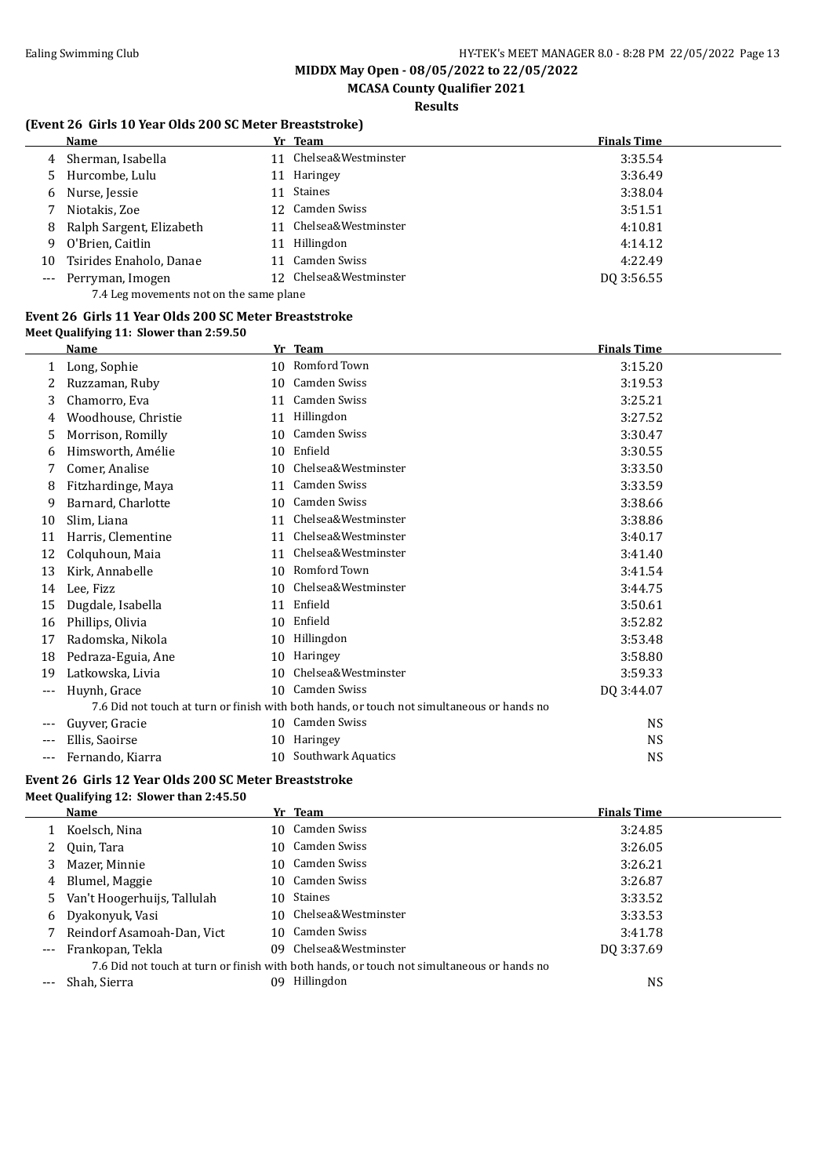# **MCASA County Qualifier 2021**

### **Results**

### **(Event 26 Girls 10 Year Olds 200 SC Meter Breaststroke)**

|    | Name                                    |     | Yr Team                | <b>Finals Time</b> |
|----|-----------------------------------------|-----|------------------------|--------------------|
| 4  | Sherman, Isabella                       | 11  | Chelsea&Westminster    | 3:35.54            |
| 5. | Hurcombe, Lulu                          | 11  | Haringey               | 3:36.49            |
| 6  | Nurse, Jessie                           | 11. | Staines                | 3:38.04            |
|    | Niotakis, Zoe                           |     | 12 Camden Swiss        | 3:51.51            |
| 8  | Ralph Sargent, Elizabeth                | 11  | Chelsea&Westminster    | 4:10.81            |
| 9  | O'Brien, Caitlin                        | 11  | Hillingdon             | 4:14.12            |
| 10 | Tsirides Enaholo, Danae                 | 11  | Camden Swiss           | 4:22.49            |
|    | Perryman, Imogen                        |     | 12 Chelsea&Westminster | DO 3:56.55         |
|    | 7.4 Leg movements not on the same plane |     |                        |                    |

#### **Event 26 Girls 11 Year Olds 200 SC Meter Breaststroke Meet Qualifying 11: Slower than 2:59.50**

|     | Name                |                 | Yr Team                                                                                    | <b>Finals Time</b> |
|-----|---------------------|-----------------|--------------------------------------------------------------------------------------------|--------------------|
| 1   | Long, Sophie        | 10 <sup>1</sup> | Romford Town                                                                               | 3:15.20            |
| 2   | Ruzzaman, Ruby      | 10              | Camden Swiss                                                                               | 3:19.53            |
| 3   | Chamorro, Eva       | 11              | Camden Swiss                                                                               | 3:25.21            |
| 4   | Woodhouse, Christie | 11              | Hillingdon                                                                                 | 3:27.52            |
| 5   | Morrison, Romilly   | 10              | Camden Swiss                                                                               | 3:30.47            |
| 6   | Himsworth, Amélie   | 10              | Enfield                                                                                    | 3:30.55            |
|     | Comer, Analise      | 10              | Chelsea&Westminster                                                                        | 3:33.50            |
| 8   | Fitzhardinge, Maya  | 11              | Camden Swiss                                                                               | 3:33.59            |
| 9   | Barnard, Charlotte  | 10              | Camden Swiss                                                                               | 3:38.66            |
| 10  | Slim, Liana         | 11              | Chelsea&Westminster                                                                        | 3:38.86            |
| 11  | Harris, Clementine  | 11              | Chelsea&Westminster                                                                        | 3:40.17            |
| 12  | Colquhoun, Maia     | 11              | Chelsea&Westminster                                                                        | 3:41.40            |
| 13  | Kirk, Annabelle     | 10              | Romford Town                                                                               | 3:41.54            |
| 14  | Lee, Fizz           | 10              | Chelsea&Westminster                                                                        | 3:44.75            |
| 15  | Dugdale, Isabella   | 11              | Enfield                                                                                    | 3:50.61            |
| 16  | Phillips, Olivia    | 10              | Enfield                                                                                    | 3:52.82            |
| 17  | Radomska, Nikola    | 10              | Hillingdon                                                                                 | 3:53.48            |
| 18  | Pedraza-Eguia, Ane  | 10              | <b>Haringey</b>                                                                            | 3:58.80            |
| 19  | Latkowska, Livia    | 10              | Chelsea&Westminster                                                                        | 3:59.33            |
| --- | Huynh, Grace        | 10 <sup>1</sup> | Camden Swiss                                                                               | DQ 3:44.07         |
|     |                     |                 | 7.6 Did not touch at turn or finish with both hands, or touch not simultaneous or hands no |                    |
| --- | Guyver, Gracie      |                 | 10 Camden Swiss                                                                            | <b>NS</b>          |
| --- | Ellis, Saoirse      | 10              | <b>Haringey</b>                                                                            | NS                 |
| --- | Fernando, Kiarra    | 10              | Southwark Aquatics                                                                         | <b>NS</b>          |

# **Event 26 Girls 12 Year Olds 200 SC Meter Breaststroke**

### **Meet Qualifying 12: Slower than 2:45.50**

| Name                          |     |            | <b>Finals Time</b>                                                                                                                                                                                                                                                  |
|-------------------------------|-----|------------|---------------------------------------------------------------------------------------------------------------------------------------------------------------------------------------------------------------------------------------------------------------------|
| Koelsch, Nina                 |     |            | 3:24.85                                                                                                                                                                                                                                                             |
| Quin, Tara                    |     |            | 3:26.05                                                                                                                                                                                                                                                             |
| Mazer, Minnie                 |     |            | 3:26.21                                                                                                                                                                                                                                                             |
| Blumel, Maggie                |     |            | 3:26.87                                                                                                                                                                                                                                                             |
| 5 Van't Hoogerhuijs, Tallulah |     |            | 3:33.52                                                                                                                                                                                                                                                             |
| Dyakonyuk, Vasi               |     |            | 3:33.53                                                                                                                                                                                                                                                             |
| Reindorf Asamoah-Dan, Vict    |     |            | 3:41.78                                                                                                                                                                                                                                                             |
| Frankopan, Tekla              | 09. |            | DO 3:37.69                                                                                                                                                                                                                                                          |
|                               |     |            |                                                                                                                                                                                                                                                                     |
| Shah, Sierra                  | n۹  | Hillingdon | NS                                                                                                                                                                                                                                                                  |
|                               |     |            | Yr Team<br>10 Camden Swiss<br>10 Camden Swiss<br>10 Camden Swiss<br>10 Camden Swiss<br>10 Staines<br>10 Chelsea&Westminster<br>10 Camden Swiss<br>Chelsea&Westminster<br>7.6 Did not touch at turn or finish with both hands, or touch not simultaneous or hands no |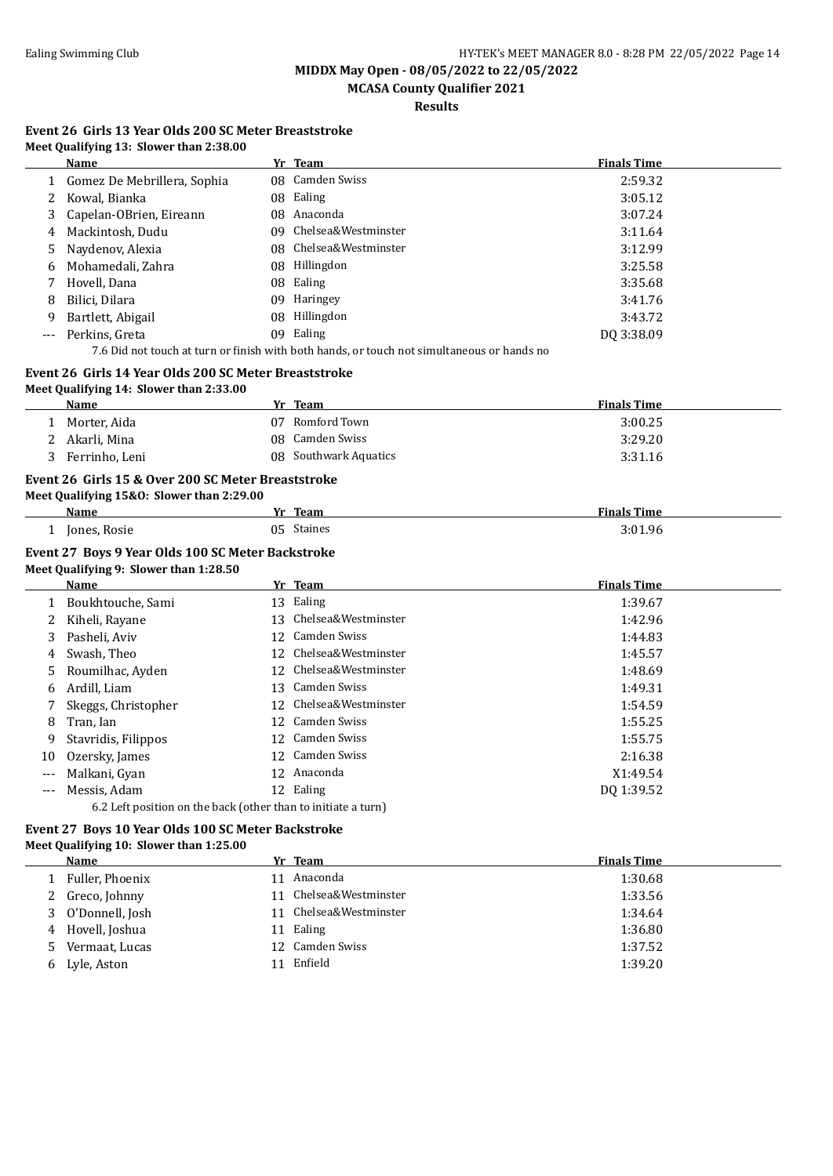**MIDDX May Open - 08/05/2022 to 22/05/2022**

**MCASA County Qualifier 2021**

**Results**

#### **Event 26 Girls 13 Year Olds 200 SC Meter Breaststroke Meet Qualifying 13: Slower than 2:38.00**

|       | <b>Name</b>                                                                                |     | Yr Team                | <b>Finals Time</b> |  |  |
|-------|--------------------------------------------------------------------------------------------|-----|------------------------|--------------------|--|--|
|       | Gomez De Mebrillera, Sophia                                                                |     | 08 Camden Swiss        | 2:59.32            |  |  |
|       | Kowal, Bianka                                                                              |     | 08 Ealing              | 3:05.12            |  |  |
| 3     | Capelan-OBrien, Eireann                                                                    | 08. | Anaconda               | 3:07.24            |  |  |
| 4     | Mackintosh, Dudu                                                                           | 09. | Chelsea&Westminster    | 3:11.64            |  |  |
| 5     | Naydenov, Alexia                                                                           |     | 08 Chelsea&Westminster | 3:12.99            |  |  |
| 6     | Mohamedali, Zahra                                                                          |     | 08 Hillingdon          | 3:25.58            |  |  |
|       | Hovell, Dana                                                                               |     | 08 Ealing              | 3:35.68            |  |  |
| 8     | Bilici, Dilara                                                                             | 09. | Haringey               | 3:41.76            |  |  |
| 9     | Bartlett, Abigail                                                                          | 08. | Hillingdon             | 3:43.72            |  |  |
| $---$ | Perkins, Greta                                                                             | 09. | Ealing                 | DQ 3:38.09         |  |  |
|       | 7.6 Did not touch at turn or finish with both hands, or touch not simultaneous or hands no |     |                        |                    |  |  |
|       | Event 26 Girls 14 Year Olds 200 SC Meter Breaststroke                                      |     |                        |                    |  |  |

# **Meet Qualifying 14: Slower than 2:33.00**

| Name           |    | Team                  | <b>Finals Time</b> |
|----------------|----|-----------------------|--------------------|
| Morter, Aida   | 07 | Romford Town          | 3:00.25            |
| Akarli, Mina   |    | 08 Camden Swiss       | 3:29.20            |
| Ferrinho, Leni |    | 08 Southwark Aquatics | 3:31.16            |

#### **Event 26 Girls 15 & Over 200 SC Meter Breaststroke**

| Meet Qualifying 15&0: Slower than 2:29.00 |            |                    |  |  |  |
|-------------------------------------------|------------|--------------------|--|--|--|
| <b>Name</b>                               | Yr Team    | <b>Finals Time</b> |  |  |  |
| Jones, Rosie                              | 05 Staines | 3:01.96            |  |  |  |

#### **Event 27 Boys 9 Year Olds 100 SC Meter Backstroke**

| Meet Qualifying 9: Slower than 1:28.50 |  |  |
|----------------------------------------|--|--|
|                                        |  |  |

|       | Name                                                          |     | Yr Team             | <b>Finals Time</b> |
|-------|---------------------------------------------------------------|-----|---------------------|--------------------|
|       | Boukhtouche, Sami                                             |     | 13 Ealing           | 1:39.67            |
|       | Kiheli, Rayane                                                | 13  | Chelsea&Westminster | 1:42.96            |
| 3     | Pasheli, Aviv                                                 | 12  | Camden Swiss        | 1:44.83            |
| 4     | Swash, Theo                                                   | 12  | Chelsea&Westminster | 1:45.57            |
| 5.    | Roumilhac, Ayden                                              | 12. | Chelsea&Westminster | 1:48.69            |
| 6     | Ardill, Liam                                                  | 13  | Camden Swiss        | 1:49.31            |
|       | Skeggs, Christopher                                           | 12. | Chelsea&Westminster | 1:54.59            |
| 8     | Tran. Ian                                                     | 12  | Camden Swiss        | 1:55.25            |
| 9     | Stavridis, Filippos                                           |     | 12 Camden Swiss     | 1:55.75            |
| 10    | Ozersky, James                                                | 12  | Camden Swiss        | 2:16.38            |
| $---$ | Malkani, Gyan                                                 |     | 12 Anaconda         | X1:49.54           |
| $---$ | Messis, Adam                                                  |     | 12 Ealing           | DQ 1:39.52         |
|       | 6.2 Left position on the back (other than to initiate a turn) |     |                     |                    |

### 6.2 Left position on the back (other than to initiate a turn)

# **Event 27 Boys 10 Year Olds 100 SC Meter Backstroke**

### **Meet Qualifying 10: Slower than 1:25.00**

|    | Name              |    | Yr Team             | <b>Finals Time</b> |
|----|-------------------|----|---------------------|--------------------|
|    | Fuller, Phoenix   | 11 | Anaconda            | 1:30.68            |
|    | 2 Greco, Johnny   | 11 | Chelsea&Westminster | 1:33.56            |
|    | 3 O'Donnell, Josh | 11 | Chelsea&Westminster | 1:34.64            |
|    | 4 Hovell, Joshua  |    | 11 Ealing           | 1:36.80            |
| 5. | Vermaat, Lucas    |    | 12 Camden Swiss     | 1:37.52            |
| 6  | Lyle, Aston       |    | 11 Enfield          | 1:39.20            |
|    |                   |    |                     |                    |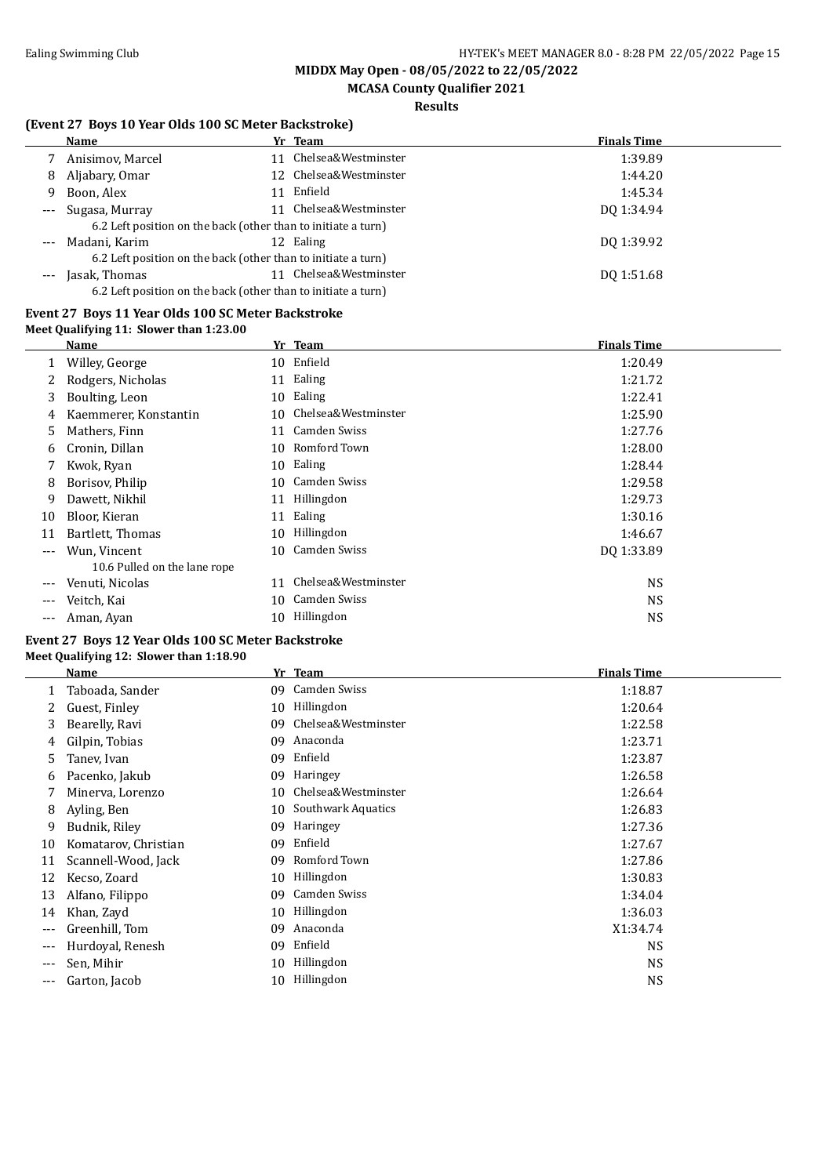# **MCASA County Qualifier 2021**

### **Results**

### **(Event 27 Boys 10 Year Olds 100 SC Meter Backstroke)**

|          | TERCHE 27 DOYS TO TCAL ORD TOO SCIPICIO DACKSHORG             |    |                        |                    |  |  |
|----------|---------------------------------------------------------------|----|------------------------|--------------------|--|--|
|          | Name                                                          |    | Yr Team                | <b>Finals Time</b> |  |  |
|          | Anisimov, Marcel                                              |    | 11 Chelsea&Westminster | 1:39.89            |  |  |
| 8        | Aljabary, Omar                                                |    | 12 Chelsea&Westminster | 1:44.20            |  |  |
| 9        | Boon, Alex                                                    | 11 | Enfield                | 1:45.34            |  |  |
| $---$    | Sugasa, Murray                                                |    | Chelsea&Westminster    | DO 1:34.94         |  |  |
|          | 6.2 Left position on the back (other than to initiate a turn) |    |                        |                    |  |  |
| $\cdots$ | Madani, Karim                                                 |    | 12 Ealing              | DQ 1:39.92         |  |  |
|          | 6.2 Left position on the back (other than to initiate a turn) |    |                        |                    |  |  |
| $---$    | Jasak, Thomas                                                 |    | Chelsea&Westminster    | DO 1:51.68         |  |  |
|          | 6.2 Left position on the back (other than to initiate a turn) |    |                        |                    |  |  |
|          |                                                               |    |                        |                    |  |  |

#### **Event 27 Boys 11 Year Olds 100 SC Meter Backstroke Meet Qualifying 11: Slower than 1:23.00**

|     | <b>Name</b>                  |    | Yr Team             | <b>Finals Time</b> |
|-----|------------------------------|----|---------------------|--------------------|
| 1   | Willey, George               |    | 10 Enfield          | 1:20.49            |
| 2   | Rodgers, Nicholas            | 11 | Ealing              | 1:21.72            |
| 3   | Boulting, Leon               | 10 | Ealing              | 1:22.41            |
| 4   | Kaemmerer, Konstantin        | 10 | Chelsea&Westminster | 1:25.90            |
| 5   | Mathers, Finn                | 11 | Camden Swiss        | 1:27.76            |
| 6   | Cronin, Dillan               | 10 | Romford Town        | 1:28.00            |
|     | Kwok, Ryan                   | 10 | Ealing              | 1:28.44            |
| 8   | Borisov, Philip              | 10 | Camden Swiss        | 1:29.58            |
| 9   | Dawett, Nikhil               | 11 | Hillingdon          | 1:29.73            |
| 10  | Bloor, Kieran                | 11 | Ealing              | 1:30.16            |
| 11  | Bartlett, Thomas             | 10 | Hillingdon          | 1:46.67            |
| --- | Wun, Vincent                 | 10 | Camden Swiss        | DQ 1:33.89         |
|     | 10.6 Pulled on the lane rope |    |                     |                    |
|     | Venuti, Nicolas              | 11 | Chelsea&Westminster | <b>NS</b>          |
| --- | Veitch, Kai                  | 10 | Camden Swiss        | NS.                |
| --- | Aman, Ayan                   |    | 10 Hillingdon       | NS                 |

#### **Event 27 Boys 12 Year Olds 100 SC Meter Backstroke Meet Qualifying 12: Slower than 1:18.90**

|     | Name                 |    | Yr Team             | <b>Finals Time</b> |
|-----|----------------------|----|---------------------|--------------------|
|     | Taboada, Sander      | 09 | <b>Camden Swiss</b> | 1:18.87            |
|     | Guest, Finley        | 10 | Hillingdon          | 1:20.64            |
| 3   | Bearelly, Ravi       | 09 | Chelsea&Westminster | 1:22.58            |
| 4   | Gilpin, Tobias       | 09 | Anaconda            | 1:23.71            |
| 5   | Tanev, Ivan          | 09 | Enfield             | 1:23.87            |
| 6   | Pacenko, Jakub       | 09 | Haringey            | 1:26.58            |
|     | Minerva, Lorenzo     | 10 | Chelsea&Westminster | 1:26.64            |
| 8   | Ayling, Ben          | 10 | Southwark Aquatics  | 1:26.83            |
| 9   | Budnik, Riley        | 09 | Haringey            | 1:27.36            |
| 10  | Komatarov, Christian | 09 | Enfield             | 1:27.67            |
| 11  | Scannell-Wood, Jack  | 09 | Romford Town        | 1:27.86            |
| 12  | Kecso, Zoard         | 10 | Hillingdon          | 1:30.83            |
| 13  | Alfano, Filippo      | 09 | Camden Swiss        | 1:34.04            |
| 14  | Khan, Zayd           | 10 | Hillingdon          | 1:36.03            |
| --- | Greenhill, Tom       | 09 | Anaconda            | X1:34.74           |
| --- | Hurdoyal, Renesh     | 09 | Enfield             | <b>NS</b>          |
| --- | Sen, Mihir           | 10 | Hillingdon          | <b>NS</b>          |
| --- | Garton, Jacob        | 10 | Hillingdon          | <b>NS</b>          |
|     |                      |    |                     |                    |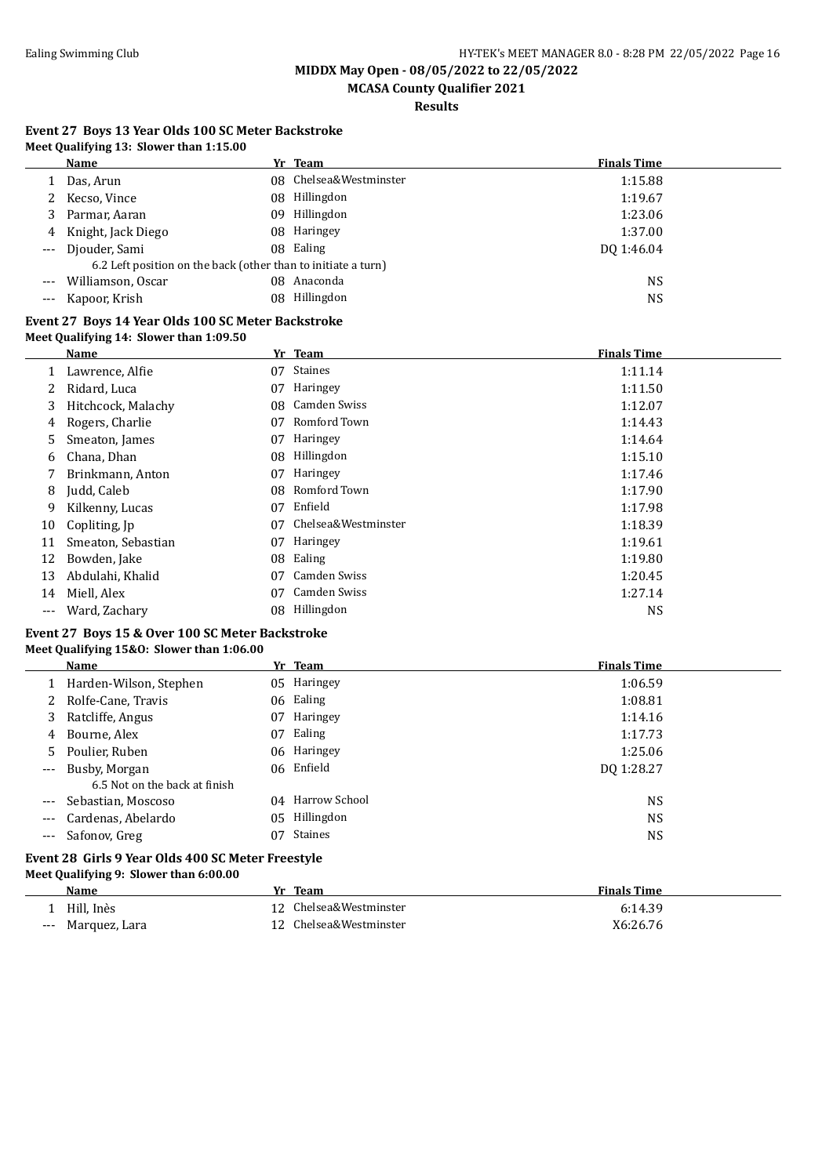**MCASA County Qualifier 2021**

**Results**

|  |                                         | Event 27 Boys 13 Year Olds 100 SC Meter Backstroke |  |
|--|-----------------------------------------|----------------------------------------------------|--|
|  | Meet Qualifying 13: Slower than 1:15.00 |                                                    |  |

|       | Name                                                          |  | Yr Team                | <b>Finals Time</b> |  |
|-------|---------------------------------------------------------------|--|------------------------|--------------------|--|
|       | Das, Arun                                                     |  | 08 Chelsea&Westminster | 1:15.88            |  |
|       | Kecso, Vince                                                  |  | 08 Hillingdon          | 1:19.67            |  |
|       | Parmar, Aaran                                                 |  | 09 Hillingdon          | 1:23.06            |  |
|       | 4 Knight, Jack Diego                                          |  | 08 Haringey            | 1:37.00            |  |
| $---$ | Djouder, Sami                                                 |  | 08 Ealing              | DO 1:46.04         |  |
|       | 6.2 Left position on the back (other than to initiate a turn) |  |                        |                    |  |
|       | Williamson, Oscar                                             |  | 08 Anaconda            | NS                 |  |
|       | Kapoor, Krish                                                 |  | 08 Hillingdon          | NS                 |  |
|       |                                                               |  |                        |                    |  |

#### **Event 27 Boys 14 Year Olds 100 SC Meter Backstroke Meet Qualifying 14: Slower than 1:09.50**

|     | Name               |     | Yr Team             | <b>Finals Time</b> |
|-----|--------------------|-----|---------------------|--------------------|
|     | Lawrence, Alfie    | 07  | Staines             | 1:11.14            |
|     | Ridard, Luca       | 07  | Haringey            | 1:11.50            |
| 3   | Hitchcock, Malachy | 08. | Camden Swiss        | 1:12.07            |
| 4   | Rogers, Charlie    | 07  | Romford Town        | 1:14.43            |
| 5.  | Smeaton, James     | 07  | Haringey            | 1:14.64            |
| 6   | Chana, Dhan        | 08  | Hillingdon          | 1:15.10            |
|     | Brinkmann, Anton   | 07  | Haringey            | 1:17.46            |
| 8   | Judd, Caleb        | 08  | Romford Town        | 1:17.90            |
| 9   | Kilkenny, Lucas    | 07  | Enfield             | 1:17.98            |
| 10  | Copliting, Jp      | 07  | Chelsea&Westminster | 1:18.39            |
| 11  | Smeaton, Sebastian | 07  | Haringey            | 1:19.61            |
| 12  | Bowden, Jake       | 08  | Ealing              | 1:19.80            |
| 13  | Abdulahi, Khalid   | 07  | Camden Swiss        | 1:20.45            |
| 14  | Miell, Alex        | 07  | <b>Camden Swiss</b> | 1:27.14            |
| --- | Ward, Zachary      | 08. | Hillingdon          | NS                 |

#### **Event 27 Boys 15 & Over 100 SC Meter Backstroke Meet Qualifying 15&O: Slower than 1:06.00**

|                                                   | Name                          |    | Yr Team          | <b>Finals Time</b> |
|---------------------------------------------------|-------------------------------|----|------------------|--------------------|
|                                                   | 1 Harden-Wilson, Stephen      |    | 05 Haringey      | 1:06.59            |
|                                                   | 2 Rolfe-Cane, Travis          |    | 06 Ealing        | 1:08.81            |
| 3                                                 | Ratcliffe, Angus              | 07 | Haringey         | 1:14.16            |
| 4                                                 | Bourne, Alex                  | 07 | Ealing           | 1:17.73            |
| 5.                                                | Poulier, Ruben                |    | 06 Haringey      | 1:25.06            |
| $---$                                             | Busby, Morgan                 |    | 06 Enfield       | DQ 1:28.27         |
|                                                   | 6.5 Not on the back at finish |    |                  |                    |
| $---$                                             | Sebastian, Moscoso            |    | 04 Harrow School | <b>NS</b>          |
| $---$                                             | Cardenas, Abelardo            | 05 | Hillingdon       | <b>NS</b>          |
| $\cdots$                                          | Safonov, Greg                 | 07 | <b>Staines</b>   | NS                 |
| Event 28 Girls 9 Year Olds 400 SC Meter Freestyle |                               |    |                  |                    |

### **Meet Qualifying 9: Slower than 6:00.00**

|       | Name          | Yr Team                | <b>Finals Time</b> |
|-------|---------------|------------------------|--------------------|
|       | Hill, Inès    | 12 Chelsea&Westminster | 6:14.39            |
| $---$ | Marquez, Lara | 12 Chelsea&Westminster | X6:26.76           |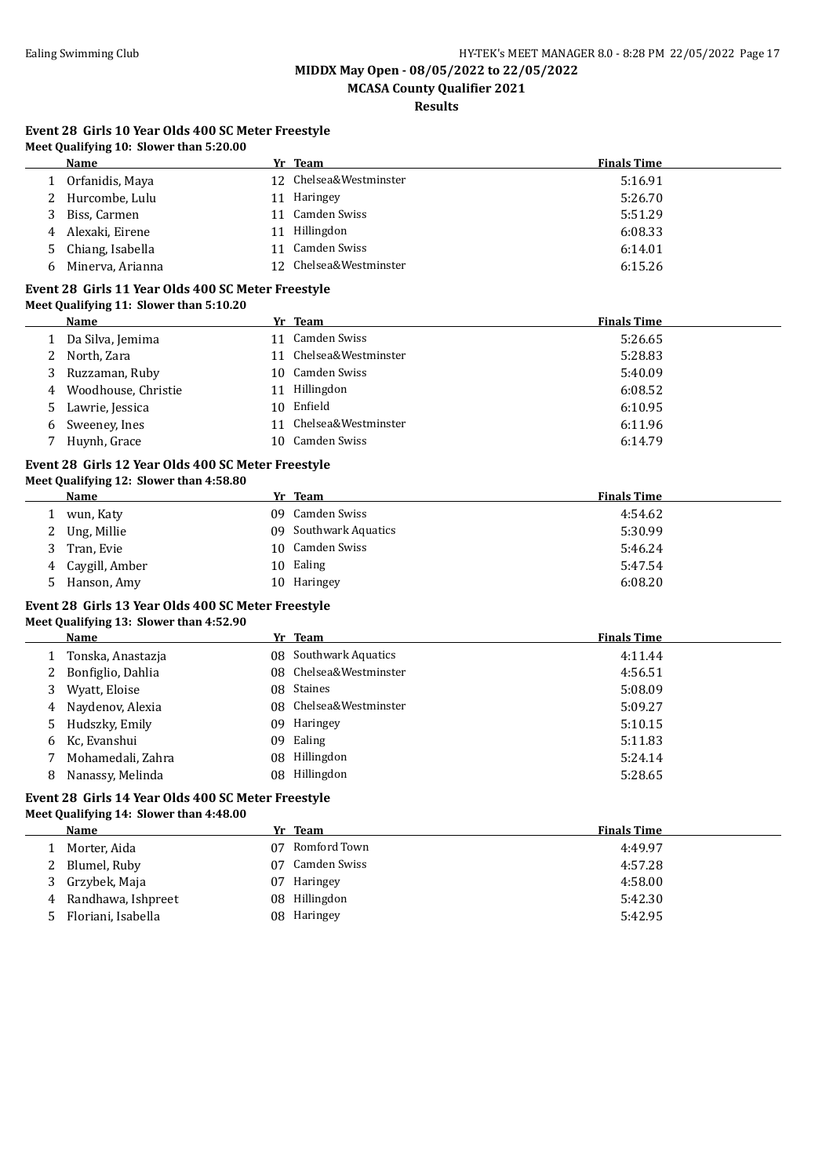**MCASA County Qualifier 2021**

**Results**

#### **Event 28 Girls 10 Year Olds 400 SC Meter Freestyle Meet Qualifying 10: Slower than 5:20.00**

|    | Name             |    | Yr Team                | <b>Finals Time</b> |
|----|------------------|----|------------------------|--------------------|
|    | Orfanidis, Maya  |    | 12 Chelsea&Westminster | 5:16.91            |
|    | Hurcombe, Lulu   | 11 | Haringey               | 5:26.70            |
|    | Biss, Carmen     |    | 11 Camden Swiss        | 5:51.29            |
| 4  | Alexaki, Eirene  |    | 11 Hillingdon          | 6:08.33            |
| 5. | Chiang, Isabella |    | 11 Camden Swiss        | 6:14.01            |
| 6  | Minerva, Arianna |    | 12 Chelsea&Westminster | 6:15.26            |

#### **Event 28 Girls 11 Year Olds 400 SC Meter Freestyle Meet Qualifying 11: Slower than 5:10.20**

|    | Name                |     | Yr Team                | <b>Finals Time</b> |
|----|---------------------|-----|------------------------|--------------------|
|    | Da Silva, Jemima    | 11  | Camden Swiss           | 5:26.65            |
| 2  | North, Zara         |     | 11 Chelsea&Westminster | 5:28.83            |
|    | Ruzzaman, Ruby      | 10. | Camden Swiss           | 5:40.09            |
| 4  | Woodhouse, Christie | 11  | Hillingdon             | 6:08.52            |
| 5. | Lawrie, Jessica     | 10  | Enfield                | 6:10.95            |
| 6  | Sweeney, Ines       |     | 11 Chelsea&Westminster | 6:11.96            |
|    | Huynh, Grace        | 10. | Camden Swiss           | 6:14.79            |

#### **Event 28 Girls 12 Year Olds 400 SC Meter Freestyle Meet Qualifying 12: Slower than 4:58.80**

|   | Name           | Yr Team               | <b>Finals Time</b> |
|---|----------------|-----------------------|--------------------|
|   | wun, Katy      | 09 Camden Swiss       | 4:54.62            |
| 2 | Ung, Millie    | 09 Southwark Aquatics | 5:30.99            |
|   | Tran, Evie     | 10 Camden Swiss       | 5:46.24            |
| 4 | Caygill, Amber | 10 Ealing             | 5:47.54            |
| ∽ | Hanson, Amy    | 10 Haringey           | 6:08.20            |

# **Event 28 Girls 13 Year Olds 400 SC Meter Freestyle**

#### **Meet Qualifying 13: Slower than 4:52.90**

|   | <b>Name</b>       |     | Yr Team                | <b>Finals Time</b> |
|---|-------------------|-----|------------------------|--------------------|
|   | Tonska, Anastazja |     | 08 Southwark Aquatics  | 4:11.44            |
|   | Bonfiglio, Dahlia |     | 08 Chelsea&Westminster | 4:56.51            |
| 3 | Wyatt, Eloise     |     | 08 Staines             | 5:08.09            |
| 4 | Naydenov, Alexia  |     | 08 Chelsea&Westminster | 5:09.27            |
|   | 5 Hudszky, Emily  | 09. | Haringey               | 5:10.15            |
|   | 6 Kc, Evanshui    | 09. | Ealing                 | 5:11.83            |
|   | Mohamedali, Zahra |     | 08 Hillingdon          | 5:24.14            |
| 8 | Nanassy, Melinda  |     | 08 Hillingdon          | 5:28.65            |

#### **Event 28 Girls 14 Year Olds 400 SC Meter Freestyle Meet Qualifying 14: Slower than 4:48.00**

|   | Name                 | Yr Team             | <b>Finals Time</b> |
|---|----------------------|---------------------|--------------------|
|   | Morter, Aida         | Romford Town<br>07. | 4:49.97            |
|   | 2 Blumel, Ruby       | Camden Swiss<br>07. | 4:57.28            |
|   | 3 Grzybek, Maja      | Haringey<br>07      | 4:58.00            |
|   | 4 Randhawa, Ishpreet | 08 Hillingdon       | 5:42.30            |
| ᄂ | Floriani, Isabella   | 08 Haringey         | 5:42.95            |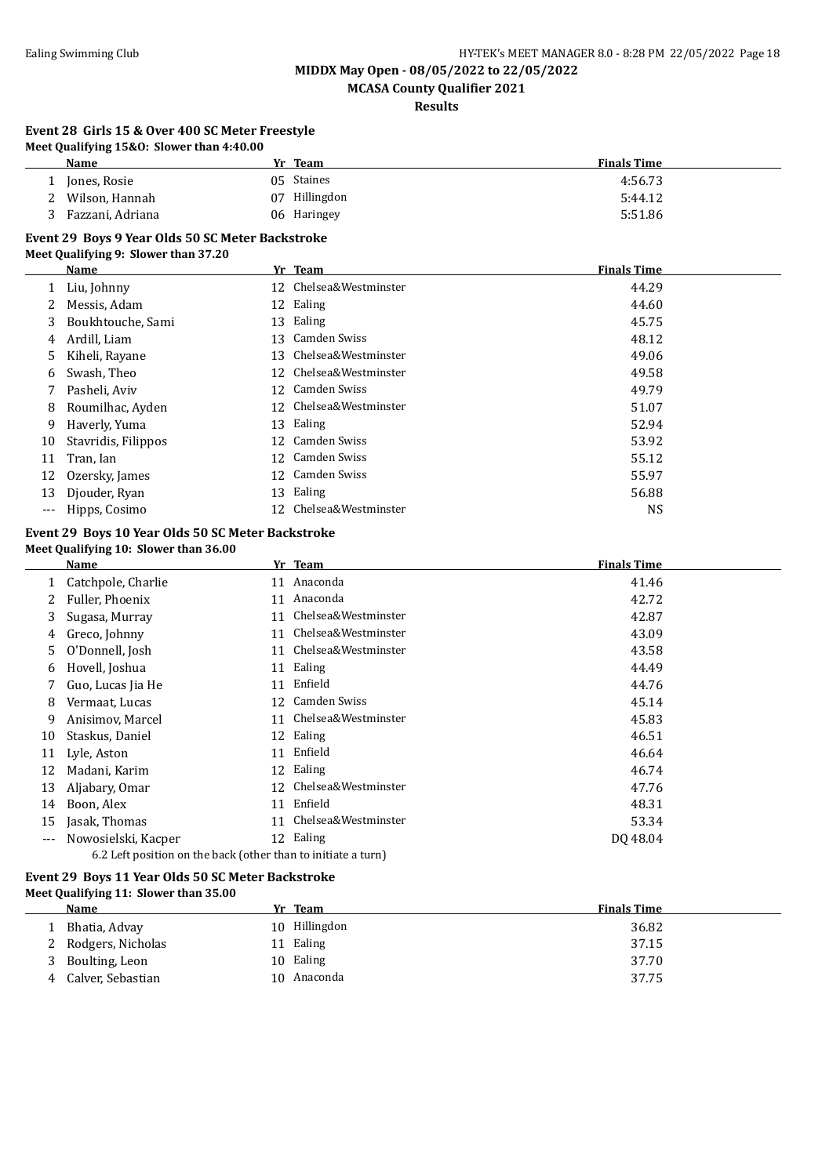**MCASA County Qualifier 2021**

**Results**

#### **Event 28 Girls 15 & Over 400 SC Meter Freestyle Meet Qualifying 15&O: Slower than 4:40.00**

| Name             | Yr Team          | <b>Finals Time</b> |
|------------------|------------------|--------------------|
| Jones, Rosie     | 05 Staines       | 4:56.73            |
| Wilson, Hannah   | Hillingdon<br>07 | 5:44.12            |
| Fazzani, Adriana | 06 Haringey      | 5:51.86            |

#### **Event 29 Boys 9 Year Olds 50 SC Meter Backstroke**

#### **Meet Qualifying 9: Slower than 37.20**

|       | Name                |    | Yr Team             | <b>Finals Time</b> |
|-------|---------------------|----|---------------------|--------------------|
|       | Liu, Johnny         | 12 | Chelsea&Westminster | 44.29              |
|       | Messis, Adam        |    | 12 Ealing           | 44.60              |
| 3     | Boukhtouche, Sami   | 13 | Ealing              | 45.75              |
| 4     | Ardill, Liam        | 13 | Camden Swiss        | 48.12              |
| 5.    | Kiheli, Rayane      | 13 | Chelsea&Westminster | 49.06              |
| 6     | Swash, Theo         | 12 | Chelsea&Westminster | 49.58              |
|       | Pasheli, Aviv       | 12 | Camden Swiss        | 49.79              |
| 8     | Roumilhac, Ayden    | 12 | Chelsea&Westminster | 51.07              |
| 9     | Haverly, Yuma       | 13 | Ealing              | 52.94              |
| 10    | Stavridis, Filippos | 12 | Camden Swiss        | 53.92              |
| 11    | Tran, Ian           | 12 | Camden Swiss        | 55.12              |
| 12    | Ozersky, James      | 12 | Camden Swiss        | 55.97              |
| 13    | Djouder, Ryan       | 13 | Ealing              | 56.88              |
| $---$ | Hipps, Cosimo       | 12 | Chelsea&Westminster | <b>NS</b>          |

#### **Event 29 Boys 10 Year Olds 50 SC Meter Backstroke Meet Qualifying 10: Slower than 36.00**

|       | Name                                                          | Yr | <b>Team</b>         | <b>Finals Time</b> |
|-------|---------------------------------------------------------------|----|---------------------|--------------------|
|       | Catchpole, Charlie                                            | 11 | Anaconda            | 41.46              |
| 2     | Fuller, Phoenix                                               | 11 | Anaconda            | 42.72              |
| 3     | Sugasa, Murray                                                | 11 | Chelsea&Westminster | 42.87              |
| 4     | Greco, Johnny                                                 | 11 | Chelsea&Westminster | 43.09              |
| 5     | O'Donnell, Josh                                               | 11 | Chelsea&Westminster | 43.58              |
| 6     | Hovell, Joshua                                                | 11 | Ealing              | 44.49              |
|       | Guo, Lucas Jia He                                             | 11 | Enfield             | 44.76              |
| 8     | Vermaat, Lucas                                                | 12 | Camden Swiss        | 45.14              |
| 9     | Anisimov, Marcel                                              | 11 | Chelsea&Westminster | 45.83              |
| 10    | Staskus, Daniel                                               | 12 | Ealing              | 46.51              |
| 11    | Lyle, Aston                                                   | 11 | Enfield             | 46.64              |
| 12    | Madani, Karim                                                 | 12 | Ealing              | 46.74              |
| 13    | Aljabary, Omar                                                | 12 | Chelsea&Westminster | 47.76              |
| 14    | Boon, Alex                                                    | 11 | Enfield             | 48.31              |
| 15    | Jasak, Thomas                                                 | 11 | Chelsea&Westminster | 53.34              |
| $---$ | Nowosielski, Kacper                                           |    | 12 Ealing           | DQ 48.04           |
|       | 6.2 Left position on the back (other than to initiate a turn) |    |                     |                    |

#### **Event 29 Boys 11 Year Olds 50 SC Meter Backstroke Meet Qualifying 11: Slower than 35.00**

|   | Name              | Yr Team       | <b>Finals Time</b> |
|---|-------------------|---------------|--------------------|
|   | Bhatia, Advay     | 10 Hillingdon | 36.82              |
|   | Rodgers, Nicholas | 11 Ealing     | 37.15              |
| 3 | Boulting, Leon    | 10 Ealing     | 37.70              |
| 4 | Calver, Sebastian | 10 Anaconda   | 37.75              |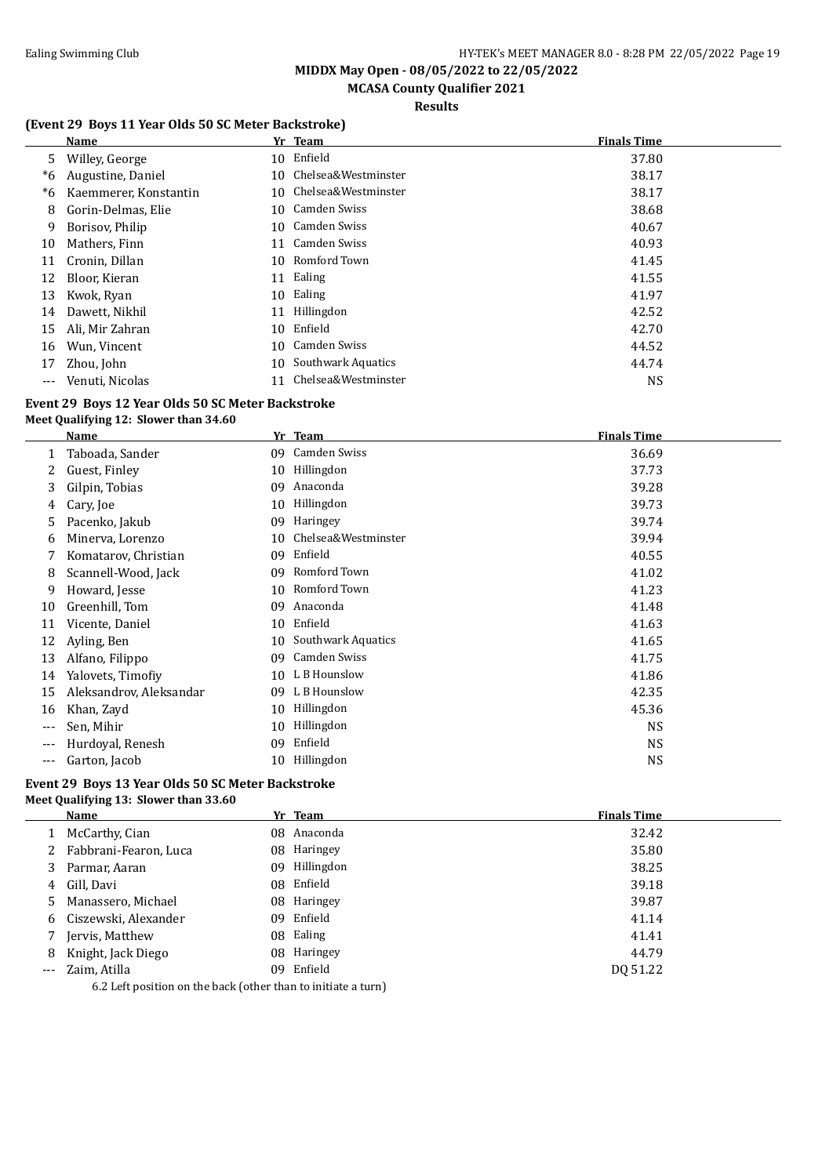# **MCASA County Qualifier 2021**

### **Results**

### **(Event 29 Boys 11 Year Olds 50 SC Meter Backstroke)**

|     | <b>Name</b>           |     | Yr Team                | <b>Finals Time</b> |
|-----|-----------------------|-----|------------------------|--------------------|
| 5   | Willey, George        |     | 10 Enfield             | 37.80              |
| *6  | Augustine, Daniel     | 10. | Chelsea&Westminster    | 38.17              |
| *6  | Kaemmerer, Konstantin |     | 10 Chelsea&Westminster | 38.17              |
| 8   | Gorin-Delmas, Elie    | 10. | Camden Swiss           | 38.68              |
| 9   | Borisov, Philip       |     | 10 Camden Swiss        | 40.67              |
| 10  | Mathers, Finn         | 11  | Camden Swiss           | 40.93              |
| 11  | Cronin, Dillan        | 10  | Romford Town           | 41.45              |
| 12  | Bloor, Kieran         | 11  | Ealing                 | 41.55              |
| 13  | Kwok, Ryan            | 10  | Ealing                 | 41.97              |
| 14  | Dawett, Nikhil        | 11  | Hillingdon             | 42.52              |
| 15  | Ali, Mir Zahran       | 10  | Enfield                | 42.70              |
| 16  | Wun, Vincent          | 10  | Camden Swiss           | 44.52              |
| 17  | Zhou, John            | 10  | Southwark Aquatics     | 44.74              |
| --- | Venuti, Nicolas       | 11  | Chelsea&Westminster    | <b>NS</b>          |

#### **Event 29 Boys 12 Year Olds 50 SC Meter Backstroke Meet Qualifying 12: Slower than 34.60**

|       | Name                    | Yr | <b>Team</b>         | <b>Finals Time</b> |
|-------|-------------------------|----|---------------------|--------------------|
|       | Taboada, Sander         | 09 | Camden Swiss        | 36.69              |
|       | Guest, Finley           | 10 | Hillingdon          | 37.73              |
| 3     | Gilpin, Tobias          | 09 | Anaconda            | 39.28              |
| 4     | Cary, Joe               | 10 | Hillingdon          | 39.73              |
| 5     | Pacenko, Jakub          | 09 | Haringey            | 39.74              |
| 6     | Minerva, Lorenzo        | 10 | Chelsea&Westminster | 39.94              |
|       | Komatarov, Christian    | 09 | Enfield             | 40.55              |
| 8     | Scannell-Wood, Jack     | 09 | Romford Town        | 41.02              |
| 9     | Howard, Jesse           | 10 | Romford Town        | 41.23              |
| 10    | Greenhill, Tom          | 09 | Anaconda            | 41.48              |
| 11    | Vicente, Daniel         | 10 | Enfield             | 41.63              |
| 12    | Ayling, Ben             | 10 | Southwark Aquatics  | 41.65              |
| 13    | Alfano, Filippo         | 09 | Camden Swiss        | 41.75              |
| 14    | Yalovets, Timofiy       | 10 | L B Hounslow        | 41.86              |
| 15    | Aleksandrov, Aleksandar | 09 | L B Hounslow        | 42.35              |
| 16    | Khan, Zayd              | 10 | Hillingdon          | 45.36              |
| $---$ | Sen, Mihir              | 10 | Hillingdon          | <b>NS</b>          |
| $---$ | Hurdoyal, Renesh        | 09 | Enfield             | <b>NS</b>          |
|       | Garton, Jacob           | 10 | Hillingdon          | <b>NS</b>          |

#### **Event 29 Boys 13 Year Olds 50 SC Meter Backstroke Meet Qualifying 13: Slower than 33.60**

|       | Name                                                          | Yr Team       | <b>Finals Time</b> |
|-------|---------------------------------------------------------------|---------------|--------------------|
|       | McCarthy, Cian                                                | 08 Anaconda   | 32.42              |
|       | Fabbrani-Fearon, Luca                                         | 08 Haringey   | 35.80              |
| 3     | Parmar, Aaran                                                 | 09 Hillingdon | 38.25              |
| 4     | Gill. Davi                                                    | 08 Enfield    | 39.18              |
| 5     | Manassero, Michael                                            | 08 Haringey   | 39.87              |
| 6     | Ciszewski, Alexander                                          | 09 Enfield    | 41.14              |
|       | Jervis, Matthew                                               | 08 Ealing     | 41.41              |
| 8     | Knight, Jack Diego                                            | 08 Haringey   | 44.79              |
| $---$ | Zaim, Atilla                                                  | 09 Enfield    | DO 51.22           |
|       | 6.2 Left position on the back (other than to initiate a turn) |               |                    |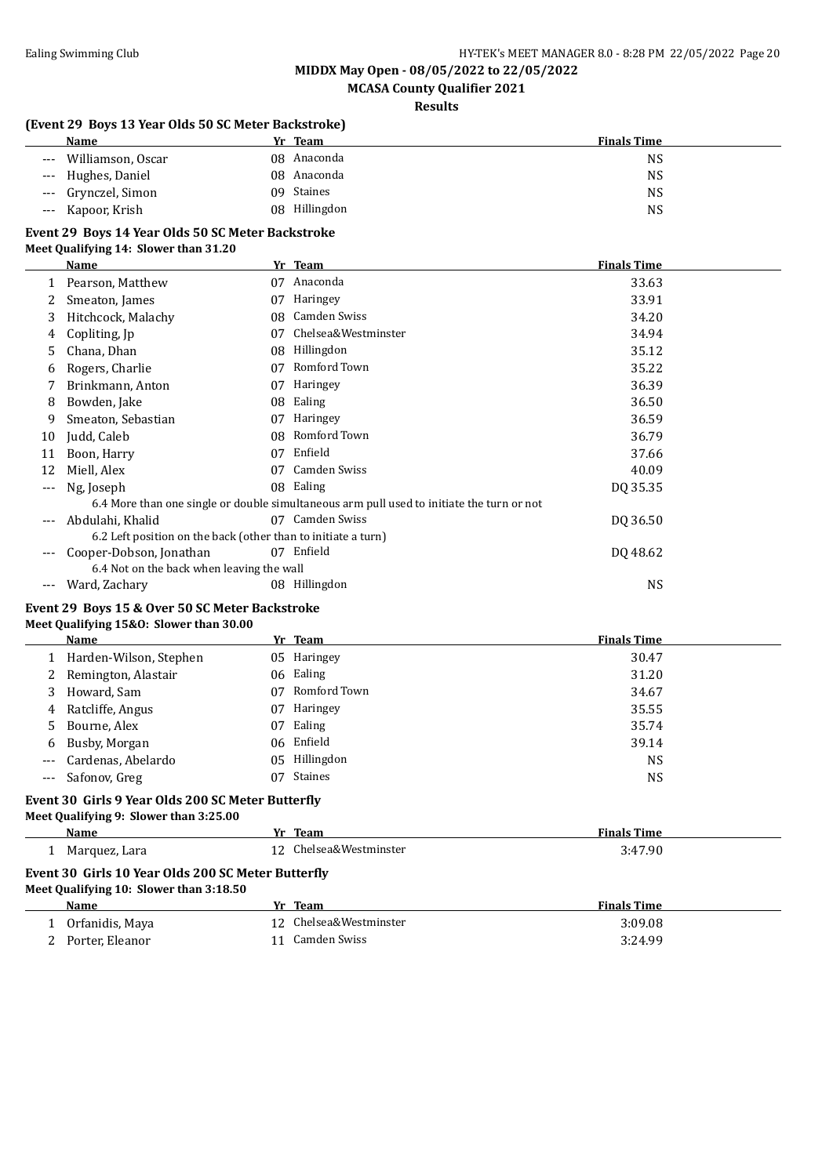# **MCASA County Qualifier 2021**

#### **Results**

#### **(Event 29 Boys 13 Year Olds 50 SC Meter Backstroke)**

| Name                       | Yr Team       | <b>Finals Time</b> |
|----------------------------|---------------|--------------------|
| Williamson, Oscar<br>$---$ | 08 Anaconda   | NS                 |
| --- Hughes, Daniel         | 08 Anaconda   | NS                 |
| --- Grynczel, Simon        | 09 Staines    | NS                 |
| --- Kapoor, Krish          | 08 Hillingdon | NS                 |

#### **Event 29 Boys 14 Year Olds 50 SC Meter Backstroke**

#### **Meet Qualifying 14: Slower than 31.20**

|     | Name                                                          | Yr | <b>Team</b>                                                                               | <b>Finals Time</b> |
|-----|---------------------------------------------------------------|----|-------------------------------------------------------------------------------------------|--------------------|
|     | Pearson, Matthew                                              | 07 | Anaconda                                                                                  | 33.63              |
|     | Smeaton, James                                                | 07 | Haringey                                                                                  | 33.91              |
| 3   | Hitchcock, Malachy                                            | 08 | Camden Swiss                                                                              | 34.20              |
| 4   | Copliting, Jp                                                 | 07 | Chelsea&Westminster                                                                       | 34.94              |
| 5   | Chana, Dhan                                                   | 08 | Hillingdon                                                                                | 35.12              |
| b   | Rogers, Charlie                                               | 07 | Romford Town                                                                              | 35.22              |
|     | Brinkmann, Anton                                              | 07 | Haringey                                                                                  | 36.39              |
| 8   | Bowden, Jake                                                  | 08 | Ealing                                                                                    | 36.50              |
| 9   | Smeaton, Sebastian                                            | 07 | Haringey                                                                                  | 36.59              |
| 10  | Judd, Caleb                                                   | 08 | Romford Town                                                                              | 36.79              |
| 11  | Boon, Harry                                                   | 07 | Enfield                                                                                   | 37.66              |
| 12  | Miell, Alex                                                   | 07 | Camden Swiss                                                                              | 40.09              |
| --- | Ng, Joseph                                                    |    | 08 Ealing                                                                                 | DQ 35.35           |
|     |                                                               |    | 6.4 More than one single or double simultaneous arm pull used to initiate the turn or not |                    |
| --- | Abdulahi, Khalid                                              | 07 | Camden Swiss                                                                              | DQ 36.50           |
|     | 6.2 Left position on the back (other than to initiate a turn) |    |                                                                                           |                    |
| --- | Cooper-Dobson, Jonathan                                       | 07 | Enfield                                                                                   | DQ 48.62           |
|     | 6.4 Not on the back when leaving the wall                     |    |                                                                                           |                    |
| --- | Ward, Zachary                                                 | 08 | Hillingdon                                                                                | <b>NS</b>          |

# **Event 29 Boys 15 & Over 50 SC Meter Backstroke**

#### **Meet Qualifying 15&O: Slower than 30.00**

| Name                     |    | Yr Team       | <b>Finals Time</b> |
|--------------------------|----|---------------|--------------------|
| 1 Harden-Wilson, Stephen |    | 05 Haringey   | 30.47              |
| 2 Remington, Alastair    |    | 06 Ealing     | 31.20              |
| 3 Howard, Sam            | 07 | Romford Town  | 34.67              |
| 4 Ratcliffe, Angus       | 07 | Haringey      | 35.55              |
| 5 Bourne, Alex           | 07 | Ealing        | 35.74              |
| 6 Busby, Morgan          |    | 06 Enfield    | 39.14              |
| --- Cardenas, Abelardo   |    | 05 Hillingdon | <b>NS</b>          |
| --- Safonov, Greg        |    | 07 Staines    | <b>NS</b>          |

### **Event 30 Girls 9 Year Olds 200 SC Meter Butterfly**

### **Meet Qualifying 9: Slower than 3:25.00**

| Name                                                                                          |  | Yr Team                | <b>Finals Time</b> |  |  |
|-----------------------------------------------------------------------------------------------|--|------------------------|--------------------|--|--|
| Marquez, Lara                                                                                 |  | 12 Chelsea&Westminster | 3:47.90            |  |  |
| Event 30 Girls 10 Year Olds 200 SC Meter Butterfly<br>Meet Qualifying 10: Slower than 3:18.50 |  |                        |                    |  |  |
| Name                                                                                          |  | Yr Team                | <b>Finals Time</b> |  |  |
| Orfanidis, Maya                                                                               |  | 12 Chelsea&Westminster | 3:09.08            |  |  |
| Porter, Eleanor                                                                               |  | Camden Swiss           | 3:24.99            |  |  |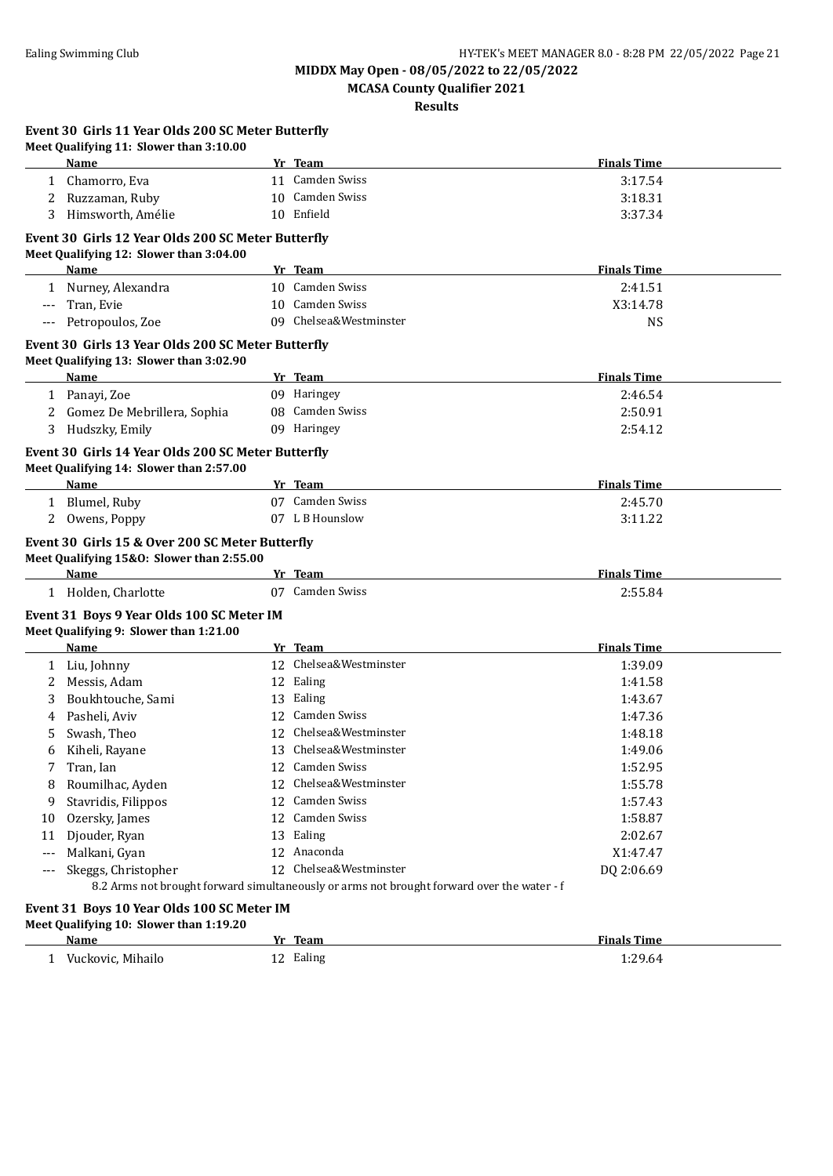**MCASA County Qualifier 2021**

**Results**

|                     | Event 30 Girls 11 Year Olds 200 SC Meter Butterfly<br>Meet Qualifying 11: Slower than 3:10.00 |                                                                                            |                    |
|---------------------|-----------------------------------------------------------------------------------------------|--------------------------------------------------------------------------------------------|--------------------|
|                     | <b>Name</b>                                                                                   | Yr Team                                                                                    | <b>Finals Time</b> |
| 1                   | Chamorro, Eva                                                                                 | 11 Camden Swiss                                                                            | 3:17.54            |
| 2                   | Ruzzaman, Ruby                                                                                | 10 Camden Swiss                                                                            | 3:18.31            |
| 3                   | Himsworth, Amélie                                                                             | 10 Enfield                                                                                 | 3:37.34            |
|                     | Event 30 Girls 12 Year Olds 200 SC Meter Butterfly                                            |                                                                                            |                    |
|                     | Meet Qualifying 12: Slower than 3:04.00                                                       |                                                                                            |                    |
|                     | Name                                                                                          | Yr Team                                                                                    | <b>Finals Time</b> |
|                     | 1 Nurney, Alexandra                                                                           | 10 Camden Swiss                                                                            | 2:41.51            |
| $\qquad \qquad - -$ | Tran, Evie                                                                                    | 10 Camden Swiss                                                                            | X3:14.78           |
| $---$               | Petropoulos, Zoe                                                                              | 09 Chelsea&Westminster                                                                     | <b>NS</b>          |
|                     | Event 30 Girls 13 Year Olds 200 SC Meter Butterfly                                            |                                                                                            |                    |
|                     | Meet Qualifying 13: Slower than 3:02.90                                                       |                                                                                            |                    |
|                     | Name                                                                                          | Yr Team                                                                                    | <b>Finals Time</b> |
|                     | 1 Panayi, Zoe                                                                                 | 09 Haringey                                                                                | 2:46.54            |
| 2                   | Gomez De Mebrillera, Sophia                                                                   | 08 Camden Swiss                                                                            | 2:50.91            |
| 3                   | Hudszky, Emily                                                                                | 09 Haringey                                                                                | 2:54.12            |
|                     | Event 30 Girls 14 Year Olds 200 SC Meter Butterfly                                            |                                                                                            |                    |
|                     | Meet Qualifying 14: Slower than 2:57.00                                                       |                                                                                            |                    |
|                     | Name                                                                                          | Yr Team                                                                                    | <b>Finals Time</b> |
|                     | 1 Blumel, Ruby                                                                                | 07 Camden Swiss                                                                            | 2:45.70            |
| 2                   | Owens, Poppy                                                                                  | 07 L B Hounslow                                                                            | 3:11.22            |
|                     | Meet Qualifying 15&0: Slower than 2:55.00<br>Name                                             | Yr Team                                                                                    | <b>Finals Time</b> |
|                     | 1 Holden, Charlotte                                                                           | 07 Camden Swiss                                                                            | 2:55.84            |
|                     | Event 31 Boys 9 Year Olds 100 SC Meter IM                                                     |                                                                                            |                    |
|                     | Meet Qualifying 9: Slower than 1:21.00                                                        |                                                                                            |                    |
|                     | Name                                                                                          | Yr Team                                                                                    | <b>Finals Time</b> |
|                     | 1 Liu, Johnny                                                                                 | 12 Chelsea&Westminster                                                                     | 1:39.09            |
| 2                   | Messis, Adam                                                                                  | 12 Ealing                                                                                  | 1:41.58            |
| 3                   | Boukhtouche, Sami                                                                             | 13 Ealing                                                                                  | 1:43.67            |
| 4                   | Pasheli, Aviv                                                                                 | 12 Camden Swiss                                                                            | 1:47.36            |
| 5                   | Swash, Theo                                                                                   | 12 Chelsea&Westminster                                                                     | 1:48.18            |
| 6                   | Kiheli, Rayane                                                                                | 13 Chelsea&Westminster                                                                     | 1:49.06            |
| 7                   | Tran, Ian                                                                                     | 12 Camden Swiss                                                                            | 1:52.95            |
| 8                   | Roumilhac, Ayden                                                                              | 12 Chelsea&Westminster                                                                     | 1:55.78            |
| 9                   | Stavridis, Filippos                                                                           | 12 Camden Swiss                                                                            | 1:57.43            |
| 10                  | Ozersky, James                                                                                | 12 Camden Swiss                                                                            | 1:58.87            |
| 11                  | Djouder, Ryan                                                                                 | 13 Ealing                                                                                  | 2:02.67            |
| $---$               | Malkani, Gyan                                                                                 | 12 Anaconda                                                                                | X1:47.47           |
|                     | Skeggs, Christopher                                                                           | 12 Chelsea&Westminster                                                                     | DQ 2:06.69         |
| $---$               |                                                                                               | 8.2 Arms not brought forward simultaneously or arms not brought forward over the water - f |                    |
|                     |                                                                                               |                                                                                            |                    |
|                     | Event 31 Boys 10 Year Olds 100 SC Meter IM<br>Meet Qualifying 10: Slower than 1:19.20         |                                                                                            |                    |
|                     |                                                                                               |                                                                                            |                    |

| Name                 | Team<br>$V_{\mathbf{m}}$ | <b>Finals Time</b> |
|----------------------|--------------------------|--------------------|
| Vuckovic.<br>Mihailo | Ealing<br>--             | 1:29.64            |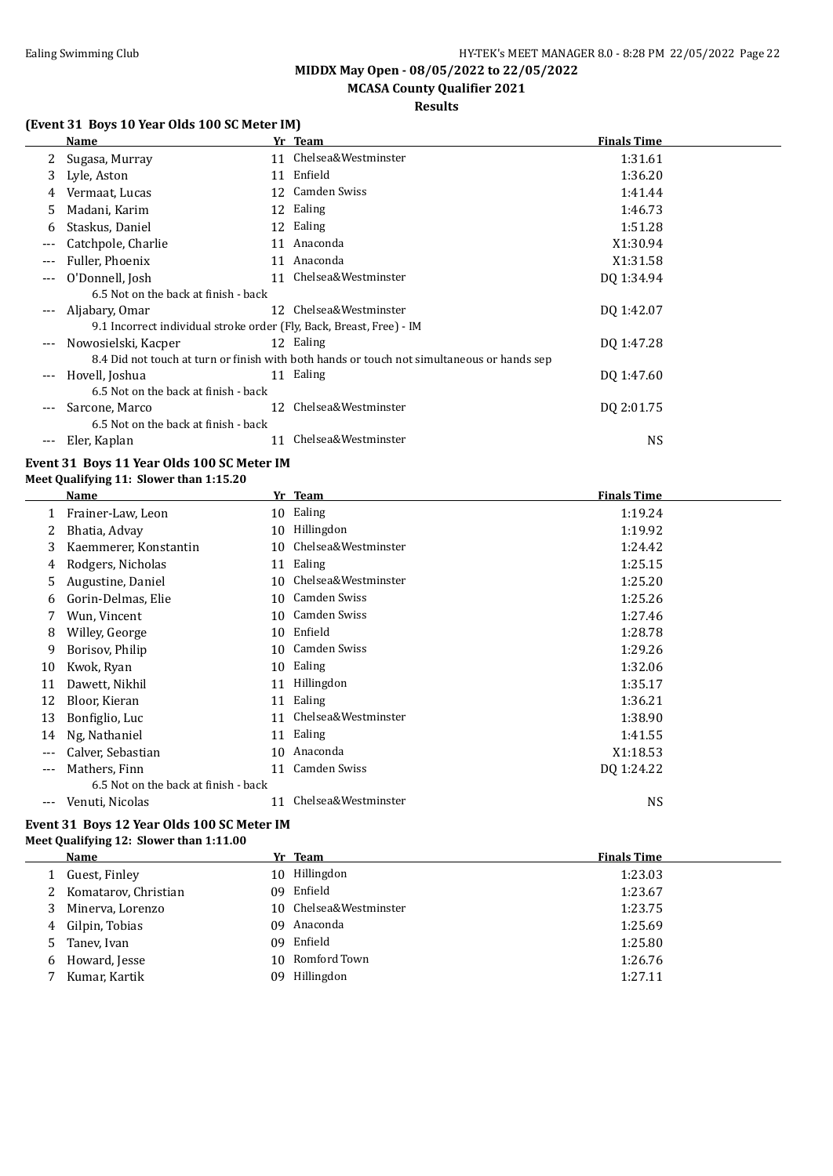# **MCASA County Qualifier 2021**

### **Results**

### **(Event 31 Boys 10 Year Olds 100 SC Meter IM)**

|                     | Name                                                                 |    | Yr Team                                                                                    | <b>Finals Time</b> |
|---------------------|----------------------------------------------------------------------|----|--------------------------------------------------------------------------------------------|--------------------|
|                     | Sugasa, Murray                                                       |    | 11 Chelsea&Westminster                                                                     | 1:31.61            |
| 3                   | Lyle, Aston                                                          | 11 | Enfield                                                                                    | 1:36.20            |
| 4                   | Vermaat, Lucas                                                       |    | 12 Camden Swiss                                                                            | 1:41.44            |
| 5                   | Madani, Karim                                                        |    | 12 Ealing                                                                                  | 1:46.73            |
| 6                   | Staskus, Daniel                                                      |    | 12 Ealing                                                                                  | 1:51.28            |
| ---                 | Catchpole, Charlie                                                   | 11 | Anaconda                                                                                   | X1:30.94           |
| ---                 | Fuller, Phoenix                                                      | 11 | Anaconda                                                                                   | X1:31.58           |
| ---                 | O'Donnell, Josh                                                      | 11 | Chelsea&Westminster                                                                        | DQ 1:34.94         |
|                     | 6.5 Not on the back at finish - back                                 |    |                                                                                            |                    |
| ---                 | Aljabary, Omar                                                       |    | 12 Chelsea&Westminster                                                                     | DQ 1:42.07         |
|                     | 9.1 Incorrect individual stroke order (Fly, Back, Breast, Free) - IM |    |                                                                                            |                    |
| $\cdots$            | Nowosielski, Kacper                                                  |    | 12 Ealing                                                                                  | DO 1:47.28         |
|                     |                                                                      |    | 8.4 Did not touch at turn or finish with both hands or touch not simultaneous or hands sep |                    |
| $\qquad \qquad - -$ | Hovell, Joshua                                                       |    | 11 Ealing                                                                                  | DO 1:47.60         |
|                     | 6.5 Not on the back at finish - back                                 |    |                                                                                            |                    |
|                     | Sarcone, Marco                                                       | 12 | Chelsea&Westminster                                                                        | DQ 2:01.75         |
|                     | 6.5 Not on the back at finish - back                                 |    |                                                                                            |                    |
| ---                 | Eler, Kaplan                                                         |    | Chelsea&Westminster                                                                        | <b>NS</b>          |

#### **Event 31 Boys 11 Year Olds 100 SC Meter IM Meet Qualifying 11: Slower than 1:15.20**

|                     | Name                                 | Yr | Team                | <b>Finals Time</b> |
|---------------------|--------------------------------------|----|---------------------|--------------------|
|                     | Frainer-Law, Leon                    | 10 | Ealing              | 1:19.24            |
| 2                   | Bhatia, Advay                        | 10 | Hillingdon          | 1:19.92            |
| 3                   | Kaemmerer, Konstantin                | 10 | Chelsea&Westminster | 1:24.42            |
| 4                   | Rodgers, Nicholas                    | 11 | Ealing              | 1:25.15            |
| 5                   | Augustine, Daniel                    | 10 | Chelsea&Westminster | 1:25.20            |
| 6                   | Gorin-Delmas, Elie                   | 10 | Camden Swiss        | 1:25.26            |
| 7                   | Wun, Vincent                         | 10 | Camden Swiss        | 1:27.46            |
| 8                   | Willey, George                       | 10 | Enfield             | 1:28.78            |
| 9                   | Borisov, Philip                      | 10 | Camden Swiss        | 1:29.26            |
| 10                  | Kwok, Ryan                           | 10 | Ealing              | 1:32.06            |
| 11                  | Dawett, Nikhil                       | 11 | Hillingdon          | 1:35.17            |
| 12                  | Bloor, Kieran                        | 11 | Ealing              | 1:36.21            |
| 13                  | Bonfiglio, Luc                       | 11 | Chelsea&Westminster | 1:38.90            |
| 14                  | Ng, Nathaniel                        | 11 | Ealing              | 1:41.55            |
| $---$               | Calver, Sebastian                    | 10 | Anaconda            | X1:18.53           |
| $---$               | Mathers, Finn                        | 11 | Camden Swiss        | DO 1:24.22         |
|                     | 6.5 Not on the back at finish - back |    |                     |                    |
| $\qquad \qquad - -$ | Venuti, Nicolas                      | 11 | Chelsea&Westminster | <b>NS</b>          |
|                     |                                      |    |                     |                    |

#### **Event 31 Boys 12 Year Olds 100 SC Meter IM Meet Qualifying 12: Slower than 1:11.00**

|    | Name                   |     | Yr Team                | <b>Finals Time</b> |
|----|------------------------|-----|------------------------|--------------------|
|    | Guest, Finley          |     | 10 Hillingdon          | 1:23.03            |
|    | 2 Komatarov, Christian |     | 09 Enfield             | 1:23.67            |
| 3  | Minerva, Lorenzo       |     | 10 Chelsea&Westminster | 1:23.75            |
|    | 4 Gilpin, Tobias       | 09  | Anaconda               | 1:25.69            |
| 5. | Tanev, Ivan            |     | 09 Enfield             | 1:25.80            |
|    | 6 Howard, Jesse        |     | 10 Romford Town        | 1:26.76            |
|    | Kumar, Kartik          | 09. | Hillingdon             | 1:27.11            |
|    |                        |     |                        |                    |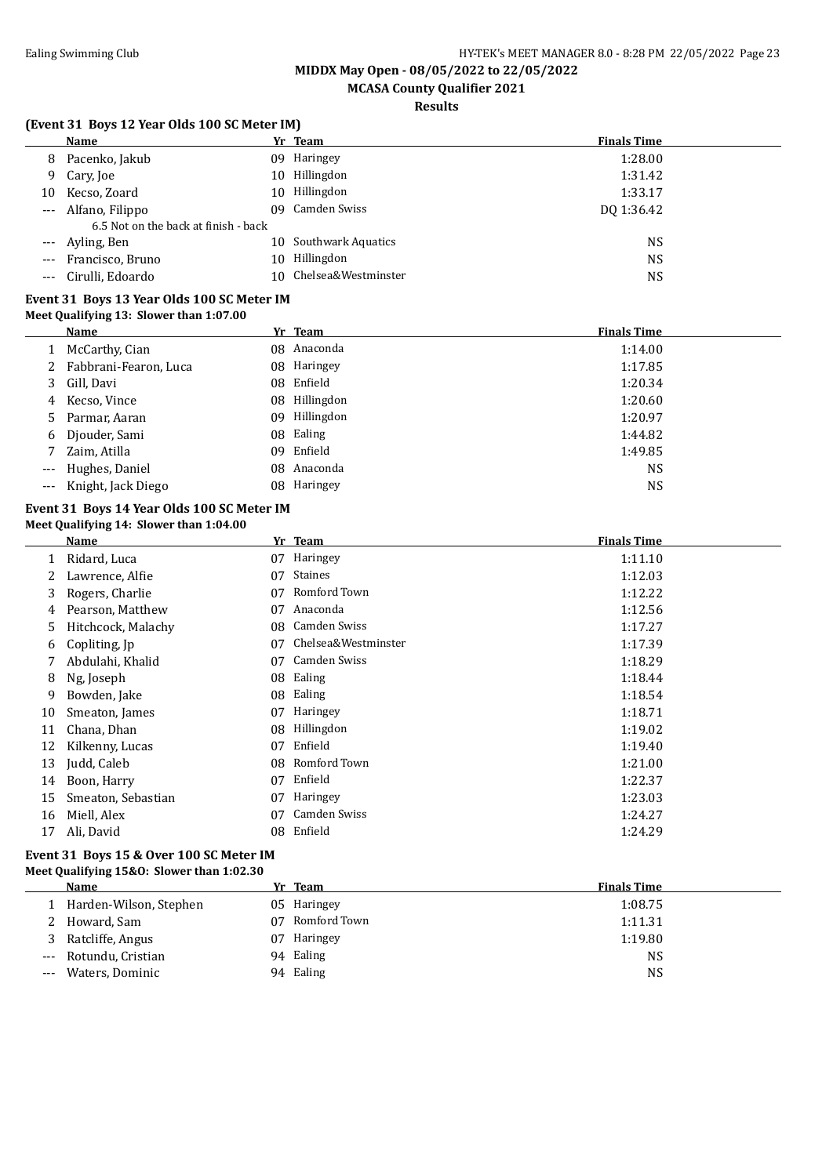# **MCASA County Qualifier 2021**

### **Results**

### **(Event 31 Boys 12 Year Olds 100 SC Meter IM)**

|                     | <b>Name</b>                          |     | Yr Team                | <b>Finals Time</b> |
|---------------------|--------------------------------------|-----|------------------------|--------------------|
| 8                   | Pacenko, Jakub                       | 09. | Haringey               | 1:28.00            |
|                     | 9 Cary, Joe                          | 10. | Hillingdon             | 1:31.42            |
| 10                  | Kecso, Zoard                         |     | 10 Hillingdon          | 1:33.17            |
| $\qquad \qquad - -$ | Alfano, Filippo                      |     | 09 Camden Swiss        | DO 1:36.42         |
|                     | 6.5 Not on the back at finish - back |     |                        |                    |
| $---$               | Ayling, Ben                          | 10. | Southwark Aquatics     | <b>NS</b>          |
| $\qquad \qquad - -$ | Francisco, Bruno                     | 10. | Hillingdon             | <b>NS</b>          |
|                     | Cirulli, Edoardo                     |     | 10 Chelsea&Westminster | <b>NS</b>          |
|                     |                                      |     |                        |                    |

#### **Event 31 Boys 13 Year Olds 100 SC Meter IM Meet Qualifying 13: Slower than 1:07.00**

|                     | Name                   |     | Yr Team     | <b>Finals Time</b> |
|---------------------|------------------------|-----|-------------|--------------------|
|                     | McCarthy, Cian         |     | 08 Anaconda | 1:14.00            |
|                     | Fabbrani-Fearon, Luca  |     | 08 Haringey | 1:17.85            |
|                     | 3 Gill, Davi           |     | 08 Enfield  | 1:20.34            |
| 4                   | Kecso, Vince           | 08  | Hillingdon  | 1:20.60            |
| 5.                  | Parmar, Aaran          | 09. | Hillingdon  | 1:20.97            |
| 6                   | Djouder, Sami          |     | 08 Ealing   | 1:44.82            |
|                     | 7 Zaim, Atilla         |     | 09 Enfield  | 1:49.85            |
| $\qquad \qquad - -$ | Hughes, Daniel         |     | 08 Anaconda | <b>NS</b>          |
|                     | --- Knight, Jack Diego |     | 08 Haringey | <b>NS</b>          |

#### **Event 31 Boys 14 Year Olds 100 SC Meter IM Meet Qualifying 14: Slower than 1:04.00**

|    | Name               | Yr | <b>Team</b>         | <b>Finals Time</b> |
|----|--------------------|----|---------------------|--------------------|
|    | Ridard, Luca       | 07 | Haringey            | 1:11.10            |
|    | Lawrence, Alfie    | 07 | Staines             | 1:12.03            |
| 3  | Rogers, Charlie    | 07 | Romford Town        | 1:12.22            |
| 4  | Pearson, Matthew   | 07 | Anaconda            | 1:12.56            |
| 5  | Hitchcock, Malachy | 08 | Camden Swiss        | 1:17.27            |
| 6  | Copliting, Jp      | 07 | Chelsea&Westminster | 1:17.39            |
|    | Abdulahi, Khalid   | 07 | Camden Swiss        | 1:18.29            |
| 8  | Ng, Joseph         | 08 | Ealing              | 1:18.44            |
| 9  | Bowden, Jake       | 08 | Ealing              | 1:18.54            |
| 10 | Smeaton, James     | 07 | Haringey            | 1:18.71            |
| 11 | Chana, Dhan        | 08 | Hillingdon          | 1:19.02            |
| 12 | Kilkenny, Lucas    | 07 | Enfield             | 1:19.40            |
| 13 | Judd, Caleb        | 08 | Romford Town        | 1:21.00            |
| 14 | Boon, Harry        | 07 | Enfield             | 1:22.37            |
| 15 | Smeaton, Sebastian | 07 | Haringey            | 1:23.03            |
| 16 | Miell, Alex        | 07 | Camden Swiss        | 1:24.27            |
| 17 | Ali, David         | 08 | Enfield             | 1:24.29            |

#### **Event 31 Boys 15 & Over 100 SC Meter IM Meet Qualifying 15&O: Slower than 1:02.30**

|          | Name                   |    | Yr Team      | <b>Finals Time</b> |
|----------|------------------------|----|--------------|--------------------|
|          | Harden-Wilson, Stephen |    | 05 Haringey  | 1:08.75            |
|          | Howard, Sam            | 07 | Romford Town | 1:11.31            |
| 3        | Ratcliffe, Angus       | 07 | Haringey     | 1:19.80            |
| $---$    | Rotundu, Cristian      |    | 94 Ealing    | <b>NS</b>          |
| $\cdots$ | Waters, Dominic        |    | 94 Ealing    | <b>NS</b>          |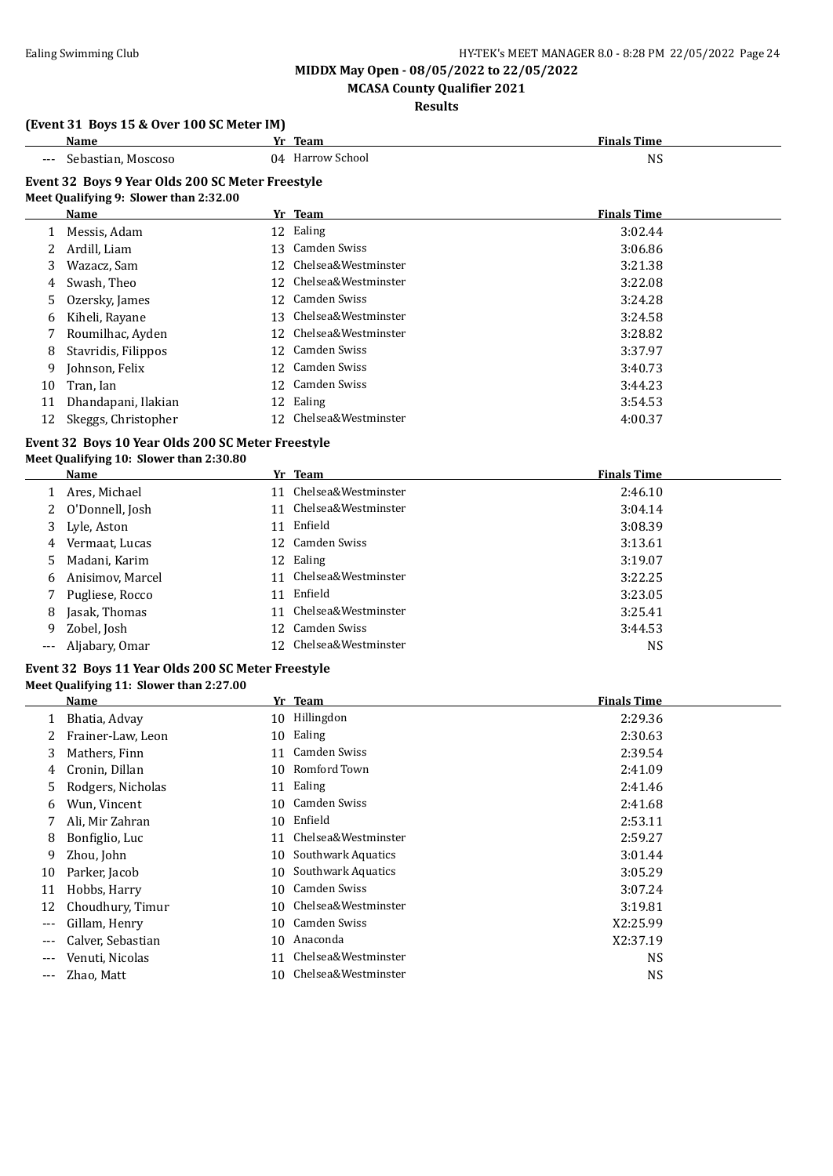# **MCASA County Qualifier 2021**

### **Results**

### **(Event 31 Boys 15 & Over 100 SC Meter IM)**

|                      | Name                                              |    | Yr Team                | <b>Finals Time</b> |
|----------------------|---------------------------------------------------|----|------------------------|--------------------|
|                      | Sebastian, Moscoso                                |    | 04 Harrow School       | <b>NS</b>          |
|                      | Event 32 Boys 9 Year Olds 200 SC Meter Freestyle  |    |                        |                    |
|                      | Meet Qualifying 9: Slower than 2:32.00            |    |                        |                    |
|                      | Name                                              |    | Yr Team                | <b>Finals Time</b> |
|                      | 1 Messis, Adam                                    |    | 12 Ealing              | 3:02.44            |
| 2                    | Ardill, Liam                                      |    | 13 Camden Swiss        | 3:06.86            |
| 3                    | Wazacz, Sam                                       |    | 12 Chelsea&Westminster | 3:21.38            |
| 4                    | Swash, Theo                                       |    | 12 Chelsea&Westminster | 3:22.08            |
| 5                    | Ozersky, James                                    |    | 12 Camden Swiss        | 3:24.28            |
| 6                    | Kiheli, Rayane                                    |    | 13 Chelsea&Westminster | 3:24.58            |
| 7                    | Roumilhac, Ayden                                  |    | 12 Chelsea&Westminster | 3:28.82            |
| 8                    | Stavridis, Filippos                               |    | 12 Camden Swiss        | 3:37.97            |
| 9                    | Johnson, Felix                                    |    | 12 Camden Swiss        | 3:40.73            |
| 10                   | Tran, Ian                                         |    | 12 Camden Swiss        | 3:44.23            |
| 11                   | Dhandapani, Ilakian                               |    | 12 Ealing              | 3:54.53            |
| 12                   | Skeggs, Christopher                               |    | 12 Chelsea&Westminster | 4:00.37            |
|                      | Event 32 Boys 10 Year Olds 200 SC Meter Freestyle |    |                        |                    |
|                      | Meet Qualifying 10: Slower than 2:30.80           |    |                        |                    |
|                      | Name                                              |    | Yr Team                | <b>Finals Time</b> |
| 1                    | Ares, Michael                                     |    | 11 Chelsea&Westminster | 2:46.10            |
| 2                    | O'Donnell, Josh                                   |    | 11 Chelsea&Westminster | 3:04.14            |
| 3                    | Lyle, Aston                                       |    | 11 Enfield             | 3:08.39            |
| 4                    | Vermaat, Lucas                                    |    | 12 Camden Swiss        | 3:13.61            |
| 5                    | Madani, Karim                                     |    | 12 Ealing              | 3:19.07            |
| 6                    | Anisimov, Marcel                                  |    | 11 Chelsea&Westminster | 3:22.25            |
| 7                    | Pugliese, Rocco                                   |    | 11 Enfield             | 3:23.05            |
| 8                    | Jasak, Thomas                                     |    | 11 Chelsea&Westminster | 3:25.41            |
| 9                    | Zobel, Josh                                       |    | 12 Camden Swiss        | 3:44.53            |
| ---                  | Aljabary, Omar                                    |    | 12 Chelsea&Westminster | <b>NS</b>          |
|                      | Event 32 Boys 11 Year Olds 200 SC Meter Freestyle |    |                        |                    |
|                      | Meet Qualifying 11: Slower than 2:27.00           |    |                        |                    |
|                      | Name                                              |    | Yr Team                | <b>Finals Time</b> |
|                      | 1 Bhatia, Advay                                   |    | 10 Hillingdon          | 2:29.36            |
|                      | Frainer-Law, Leon                                 |    | 10 Ealing              | 2:30.63            |
| 3                    | Mathers, Finn                                     |    | 11 Camden Swiss        | 2:39.54            |
| 4                    | Cronin, Dillan                                    |    | 10 Romford Town        | 2:41.09            |
| 5                    | Rodgers, Nicholas                                 | 11 | Ealing                 | 2:41.46            |
| 6                    | Wun, Vincent                                      | 10 | Camden Swiss           | 2:41.68            |
| 7                    | Ali, Mir Zahran                                   | 10 | Enfield                | 2:53.11            |
| 8                    | Bonfiglio, Luc                                    | 11 | Chelsea&Westminster    | 2:59.27            |
| 9                    | Zhou, John                                        | 10 | Southwark Aquatics     | 3:01.44            |
| 10                   | Parker, Jacob                                     | 10 | Southwark Aquatics     | 3:05.29            |
| 11                   | Hobbs, Harry                                      | 10 | Camden Swiss           | 3:07.24            |
| 12                   | Choudhury, Timur                                  | 10 | Chelsea&Westminster    | 3:19.81            |
| $\scriptstyle\cdots$ | Gillam, Henry                                     |    | 10 Camden Swiss        | X2:25.99           |

10 Chelsea&Westminster NS

- --- Calver, Sebastian 10 Anaconda 10 Anaconda X2:37.19
- --- Venuti, Nicolas 11 Chelsea&Westminster NS
-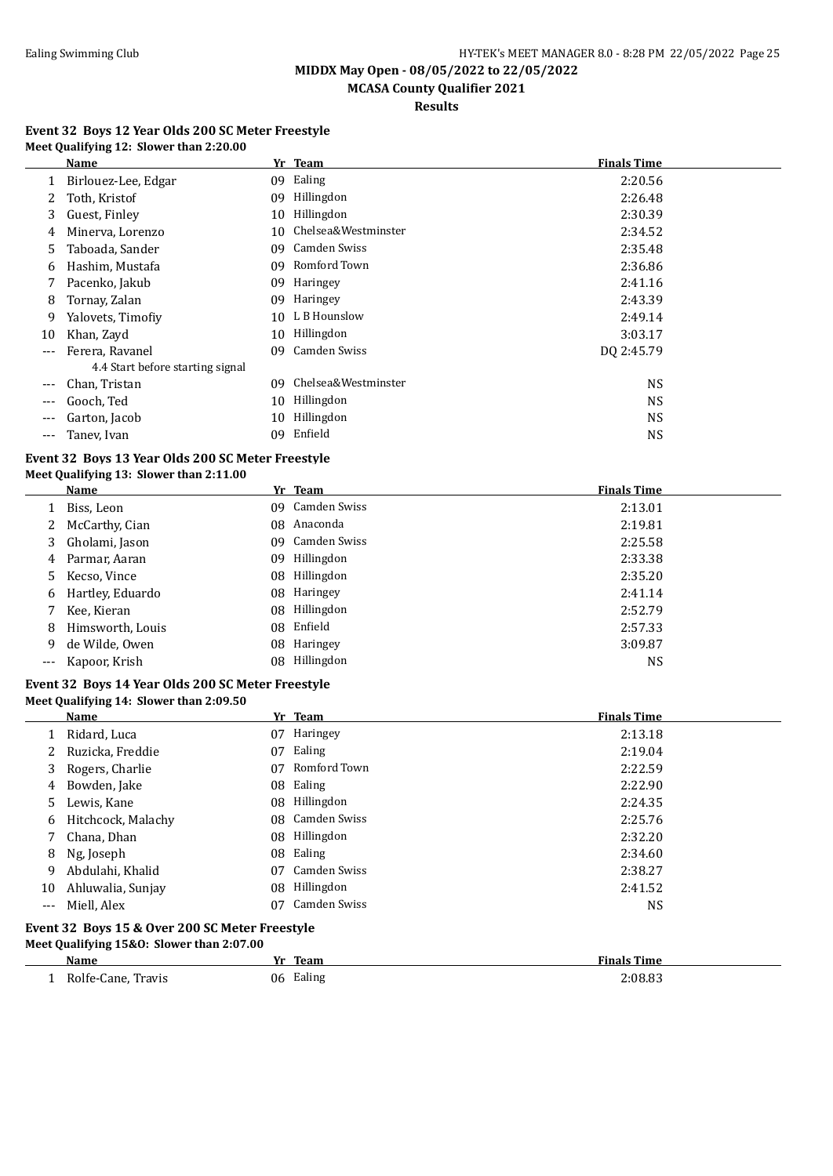**MCASA County Qualifier 2021**

**Results**

#### **Event 32 Boys 12 Year Olds 200 SC Meter Freestyle Meet Qualifying 12: Slower than 2:20.00**

|       | Name                             |    | Yr Team             | <b>Finals Time</b> |
|-------|----------------------------------|----|---------------------|--------------------|
|       | Birlouez-Lee, Edgar              | 09 | Ealing              | 2:20.56            |
|       | Toth, Kristof                    | 09 | Hillingdon          | 2:26.48            |
| 3     | Guest, Finley                    | 10 | Hillingdon          | 2:30.39            |
| 4     | Minerva, Lorenzo                 | 10 | Chelsea&Westminster | 2:34.52            |
| 5.    | Taboada, Sander                  | 09 | Camden Swiss        | 2:35.48            |
| 6     | Hashim, Mustafa                  | 09 | Romford Town        | 2:36.86            |
|       | Pacenko, Jakub                   | 09 | Haringey            | 2:41.16            |
| 8     | Tornay, Zalan                    | 09 | Haringey            | 2:43.39            |
| 9     | Yalovets, Timofiy                | 10 | L B Hounslow        | 2:49.14            |
| 10    | Khan, Zayd                       | 10 | Hillingdon          | 3:03.17            |
| $---$ | Ferera, Ravanel                  | 09 | Camden Swiss        | DQ 2:45.79         |
|       | 4.4 Start before starting signal |    |                     |                    |
| ---   | Chan, Tristan                    | 09 | Chelsea&Westminster | <b>NS</b>          |
| $---$ | Gooch, Ted                       | 10 | Hillingdon          | <b>NS</b>          |
| ---   | Garton, Jacob                    | 10 | Hillingdon          | <b>NS</b>          |
| $---$ | Taney, Ivan                      | 09 | Enfield             | <b>NS</b>          |

# **Event 32 Boys 13 Year Olds 200 SC Meter Freestyle**

| Meet Qualifying 13: Slower than 2:11.00 |  |  |  |  |
|-----------------------------------------|--|--|--|--|
|-----------------------------------------|--|--|--|--|

|   | Name               |     | Yr Team       | <b>Finals Time</b> |
|---|--------------------|-----|---------------|--------------------|
|   | Biss, Leon         | 09. | Camden Swiss  | 2:13.01            |
|   | 2 McCarthy, Cian   |     | 08 Anaconda   | 2:19.81            |
|   | 3 Gholami, Jason   | 09. | Camden Swiss  | 2:25.58            |
|   | 4 Parmar, Aaran    | 09  | Hillingdon    | 2:33.38            |
|   | 5 Kecso, Vince     | 08  | Hillingdon    | 2:35.20            |
|   | 6 Hartley, Eduardo |     | 08 Haringey   | 2:41.14            |
|   | Kee, Kieran        |     | 08 Hillingdon | 2:52.79            |
| 8 | Himsworth, Louis   |     | 08 Enfield    | 2:57.33            |
| 9 | de Wilde, Owen     |     | 08 Haringey   | 3:09.87            |
|   | --- Kapoor, Krish  |     | 08 Hillingdon | NS                 |

#### **Event 32 Boys 14 Year Olds 200 SC Meter Freestyle Meet Qualifying 14: Slower than 2:09.50**

|       | Name                                                                                                                                                                                               |     | Yr Team         | <b>Finals Time</b> |  |  |
|-------|----------------------------------------------------------------------------------------------------------------------------------------------------------------------------------------------------|-----|-----------------|--------------------|--|--|
|       | Ridard, Luca                                                                                                                                                                                       | 07  | Haringey        | 2:13.18            |  |  |
| 2     | Ruzicka, Freddie                                                                                                                                                                                   | 07  | Ealing          | 2:19.04            |  |  |
| 3     | Rogers, Charlie                                                                                                                                                                                    | 07  | Romford Town    | 2:22.59            |  |  |
| 4     | Bowden, Jake                                                                                                                                                                                       |     | 08 Ealing       | 2:22.90            |  |  |
| 5.    | Lewis, Kane                                                                                                                                                                                        |     | 08 Hillingdon   | 2:24.35            |  |  |
| 6     | Hitchcock, Malachy                                                                                                                                                                                 |     | 08 Camden Swiss | 2:25.76            |  |  |
| 7     | Chana, Dhan                                                                                                                                                                                        |     | 08 Hillingdon   | 2:32.20            |  |  |
| 8     | Ng, Joseph                                                                                                                                                                                         |     | 08 Ealing       | 2:34.60            |  |  |
| 9     | Abdulahi, Khalid                                                                                                                                                                                   | 07  | Camden Swiss    | 2:38.27            |  |  |
| 10    | Ahluwalia, Sunjay                                                                                                                                                                                  | 08. | Hillingdon      | 2:41.52            |  |  |
| $---$ | Miell. Alex                                                                                                                                                                                        | 07  | Camden Swiss    | NS                 |  |  |
|       | $F_{\text{scath}}$ $\Omega$ $D_{\text{c}}$ $\Omega$ $\Gamma$ $\theta$ $\Omega_{\text{scat}}$ $\Omega$ $\Omega$ $\Omega$ $\Omega_{\text{c}}$ $M_{\text{c}}$ $\Omega_{\text{c}}$ $\Omega_{\text{c}}$ |     |                 |                    |  |  |

#### **Event 32 Boys 15 & Over 200 SC Meter Freestyle Meet Qualifying 15&O: Slower than 2:07.00**

| -<br>.<br>Name                               | Team<br>Vr.  | <b>Finals Time</b> |
|----------------------------------------------|--------------|--------------------|
| Rolfe-<br>Travis<br>ີane<br>.<br>___<br>$ -$ | 06<br>Ealing | 2:08.83<br>.       |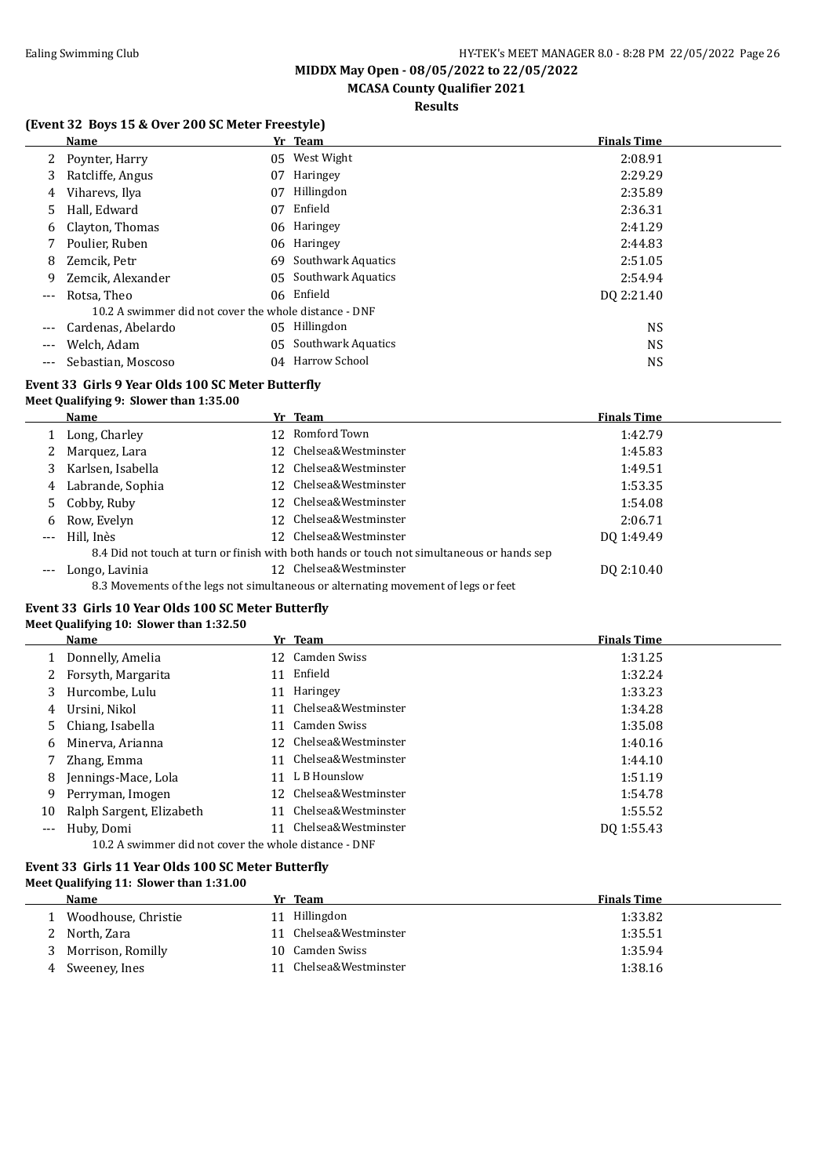# **MCASA County Qualifier 2021**

**Results**

### **(Event 32 Boys 15 & Over 200 SC Meter Freestyle)**

|     | <b>Name</b>                                           |    | Yr Team                   | <b>Finals Time</b> |
|-----|-------------------------------------------------------|----|---------------------------|--------------------|
|     | 2 Poynter, Harry                                      | 05 | West Wight                | 2:08.91            |
| 3   | Ratcliffe, Angus                                      | 07 | Haringey                  | 2:29.29            |
| 4   | Viharevs, Ilya                                        | 07 | Hillingdon                | 2:35.89            |
| 5.  | Hall, Edward                                          | 07 | Enfield                   | 2:36.31            |
| 6   | Clayton, Thomas                                       |    | 06 Haringey               | 2:41.29            |
|     | Poulier, Ruben                                        |    | 06 Haringey               | 2:44.83            |
| 8   | Zemcik, Petr                                          |    | 69 Southwark Aquatics     | 2:51.05            |
| 9   | Zemcik, Alexander                                     | 05 | Southwark Aquatics        | 2:54.94            |
| --- | Rotsa. Theo                                           |    | 06 Enfield                | DO 2:21.40         |
|     | 10.2 A swimmer did not cover the whole distance - DNF |    |                           |                    |
|     | Cardenas, Abelardo                                    |    | 05 Hillingdon             | <b>NS</b>          |
| --- | Welch, Adam                                           | 05 | <b>Southwark Aquatics</b> | <b>NS</b>          |
| --- | Sebastian, Moscoso                                    |    | 04 Harrow School          | <b>NS</b>          |

### **Event 33 Girls 9 Year Olds 100 SC Meter Butterfly**

#### **Meet Qualifying 9: Slower than 1:35.00**

|       | Name              | Yr Team                                                                                    | <b>Finals Time</b> |
|-------|-------------------|--------------------------------------------------------------------------------------------|--------------------|
|       | Long, Charley     | 12 Romford Town                                                                            | 1:42.79            |
|       | Marquez, Lara     | Chelsea&Westminster                                                                        | 1:45.83            |
|       | Karlsen, Isabella | Chelsea&Westminster                                                                        | 1:49.51            |
| 4     | Labrande, Sophia  | Chelsea&Westminster                                                                        | 1:53.35            |
|       | 5 Cobby, Ruby     | Chelsea&Westminster                                                                        | 1:54.08            |
| 6     | Row, Evelyn       | Chelsea&Westminster                                                                        | 2:06.71            |
| $---$ | Hill, Inès        | Chelsea&Westminster                                                                        | DQ 1:49.49         |
|       |                   | 8.4 Did not touch at turn or finish with both hands or touch not simultaneous or hands sep |                    |
| $---$ | Longo, Lavinia    | Chelsea&Westminster                                                                        | DO 2:10.40         |
|       |                   | 8.3 Movements of the legs not simultaneous or alternating movement of legs or feet         |                    |

#### **Event 33 Girls 10 Year Olds 100 SC Meter Butterfly**

#### **Meet Qualifying 10: Slower than 1:32.50**

|     | Name                                                  |    | Yr Team                | <b>Finals Time</b> |
|-----|-------------------------------------------------------|----|------------------------|--------------------|
|     | Donnelly, Amelia                                      |    | 12 Camden Swiss        | 1:31.25            |
|     | Forsyth, Margarita                                    | 11 | Enfield                | 1:32.24            |
| 3   | Hurcombe, Lulu                                        | 11 | Haringey               | 1:33.23            |
| 4   | Ursini, Nikol                                         |    | 11 Chelsea&Westminster | 1:34.28            |
| 5.  | Chiang, Isabella                                      | 11 | Camden Swiss           | 1:35.08            |
| 6   | Minerva, Arianna                                      |    | 12 Chelsea&Westminster | 1:40.16            |
|     | Zhang, Emma                                           |    | 11 Chelsea&Westminster | 1:44.10            |
| 8   | Jennings-Mace, Lola                                   |    | 11 L B Hounslow        | 1:51.19            |
| 9   | Perryman, Imogen                                      |    | 12 Chelsea&Westminster | 1:54.78            |
| 10  | Ralph Sargent, Elizabeth                              | 11 | Chelsea&Westminster    | 1:55.52            |
| --- | Huby, Domi                                            | 11 | Chelsea&Westminster    | DQ 1:55.43         |
|     | 10.2 A swimmer did not cover the whole distance - DNF |    |                        |                    |

#### **Event 33 Girls 11 Year Olds 100 SC Meter Butterfly Meet Qualifying 11: Slower than 1:31.00**

 $\overline{\phantom{0}}$ 

|   | <b>Name</b>         | Yr Team                | <b>Finals Time</b> |
|---|---------------------|------------------------|--------------------|
|   | Woodhouse, Christie | 11 Hillingdon          | 1:33.82            |
|   | 2 North, Zara       | 11 Chelsea&Westminster | 1:35.51            |
|   | 3 Morrison, Romilly | 10 Camden Swiss        | 1:35.94            |
| 4 | Sweeney, Ines       | Chelsea&Westminster    | 1:38.16            |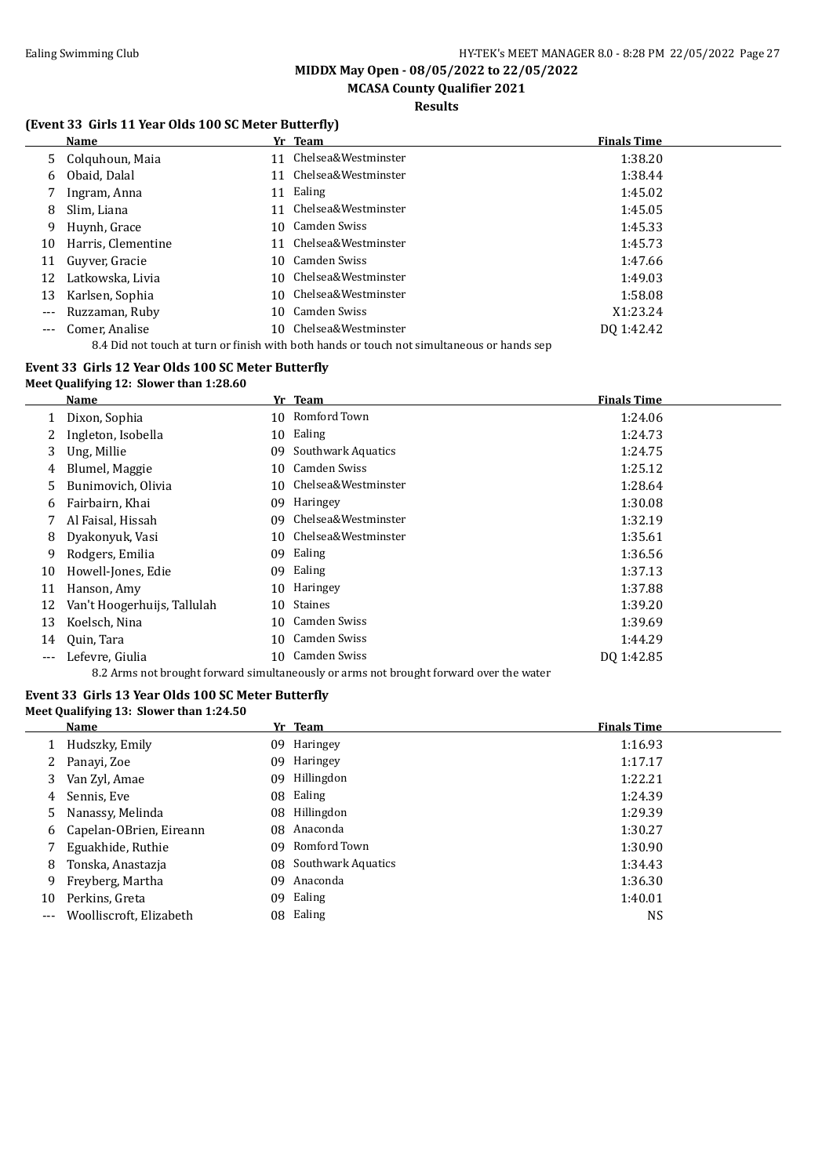**MCASA County Qualifier 2021**

### **Results**

### **(Event 33 Girls 11 Year Olds 100 SC Meter Butterfly)**

|          | <b>Name</b>        | <b>Finals Time</b><br>Yr Team                                                              |  |
|----------|--------------------|--------------------------------------------------------------------------------------------|--|
|          | 5 Colquhoun, Maia  | Chelsea&Westminster<br>1:38.20<br>11                                                       |  |
| 6        | Obaid, Dalal       | Chelsea&Westminster<br>1:38.44<br>11                                                       |  |
|          | Ingram, Anna       | Ealing<br>1:45.02<br>11                                                                    |  |
| 8        | Slim, Liana        | Chelsea&Westminster<br>1:45.05<br>11                                                       |  |
| 9.       | Huynh, Grace       | Camden Swiss<br>1:45.33<br>10.                                                             |  |
| 10       | Harris, Clementine | Chelsea&Westminster<br>1:45.73<br>11                                                       |  |
| 11       | Guyver, Gracie     | Camden Swiss<br>1:47.66<br>10.                                                             |  |
| 12       | Latkowska, Livia   | 10 Chelsea&Westminster<br>1:49.03                                                          |  |
| 13       | Karlsen, Sophia    | 10 Chelsea&Westminster<br>1:58.08                                                          |  |
| $\cdots$ | Ruzzaman, Ruby     | Camden Swiss<br>X1:23.24<br>10                                                             |  |
| ---      | Comer, Analise     | 10 Chelsea&Westminster<br>DQ 1:42.42                                                       |  |
|          |                    | 8.4 Did not touch at turn or finish with both hands or touch not simultaneous or hands sep |  |

#### **Event 33 Girls 12 Year Olds 100 SC Meter Butterfly Meet Qualifying 12: Slower than 1:28.60**

|     | Name                                                                                   |    | Yr Team             | <b>Finals Time</b> |  |  |  |
|-----|----------------------------------------------------------------------------------------|----|---------------------|--------------------|--|--|--|
|     | Dixon, Sophia                                                                          |    | 10 Romford Town     | 1:24.06            |  |  |  |
|     | Ingleton, Isobella                                                                     | 10 | Ealing              | 1:24.73            |  |  |  |
| 3   | Ung, Millie                                                                            | 09 | Southwark Aquatics  | 1:24.75            |  |  |  |
| 4   | Blumel, Maggie                                                                         | 10 | Camden Swiss        | 1:25.12            |  |  |  |
| 5   | Bunimovich, Olivia                                                                     | 10 | Chelsea&Westminster | 1:28.64            |  |  |  |
| 6   | Fairbairn, Khai                                                                        | 09 | <b>Haringey</b>     | 1:30.08            |  |  |  |
|     | Al Faisal, Hissah                                                                      | 09 | Chelsea&Westminster | 1:32.19            |  |  |  |
| 8   | Dyakonyuk, Vasi                                                                        | 10 | Chelsea&Westminster | 1:35.61            |  |  |  |
| 9   | Rodgers, Emilia                                                                        | 09 | Ealing              | 1:36.56            |  |  |  |
| 10  | Howell-Jones, Edie                                                                     | 09 | Ealing              | 1:37.13            |  |  |  |
| 11  | Hanson, Amy                                                                            | 10 | Haringey            | 1:37.88            |  |  |  |
| 12  | Van't Hoogerhuijs, Tallulah                                                            | 10 | Staines             | 1:39.20            |  |  |  |
| 13  | Koelsch, Nina                                                                          | 10 | Camden Swiss        | 1:39.69            |  |  |  |
| 14  | Quin, Tara                                                                             | 10 | Camden Swiss        | 1:44.29            |  |  |  |
| --- | Lefevre, Giulia                                                                        | 10 | Camden Swiss        | DQ 1:42.85         |  |  |  |
|     | 8.2 Arms not brought forward simultaneously or arms not brought forward over the water |    |                     |                    |  |  |  |

#### **Event 33 Girls 13 Year Olds 100 SC Meter Butterfly Meet Qualifying 13: Slower than 1:24.50**

|     | <b>Name</b>             |     | Yr Team               | <b>Finals Time</b> |
|-----|-------------------------|-----|-----------------------|--------------------|
|     | Hudszky, Emily          | 09. | Haringey              | 1:16.93            |
| 2   | Panayi, Zoe             | 09  | Haringey              | 1:17.17            |
| 3   | Van Zyl, Amae           | 09  | Hillingdon            | 1:22.21            |
| 4   | Sennis, Eve             |     | 08 Ealing             | 1:24.39            |
| 5.  | Nanassy, Melinda        |     | 08 Hillingdon         | 1:29.39            |
| 6   | Capelan-OBrien, Eireann |     | 08 Anaconda           | 1:30.27            |
|     | Eguakhide, Ruthie       | 09. | Romford Town          | 1:30.90            |
| 8   | Tonska, Anastazja       |     | 08 Southwark Aquatics | 1:34.43            |
| 9   | Freyberg, Martha        | 09  | Anaconda              | 1:36.30            |
| 10  | Perkins, Greta          | 09  | Ealing                | 1:40.01            |
| --- | Woolliscroft, Elizabeth |     | 08 Ealing             | NS                 |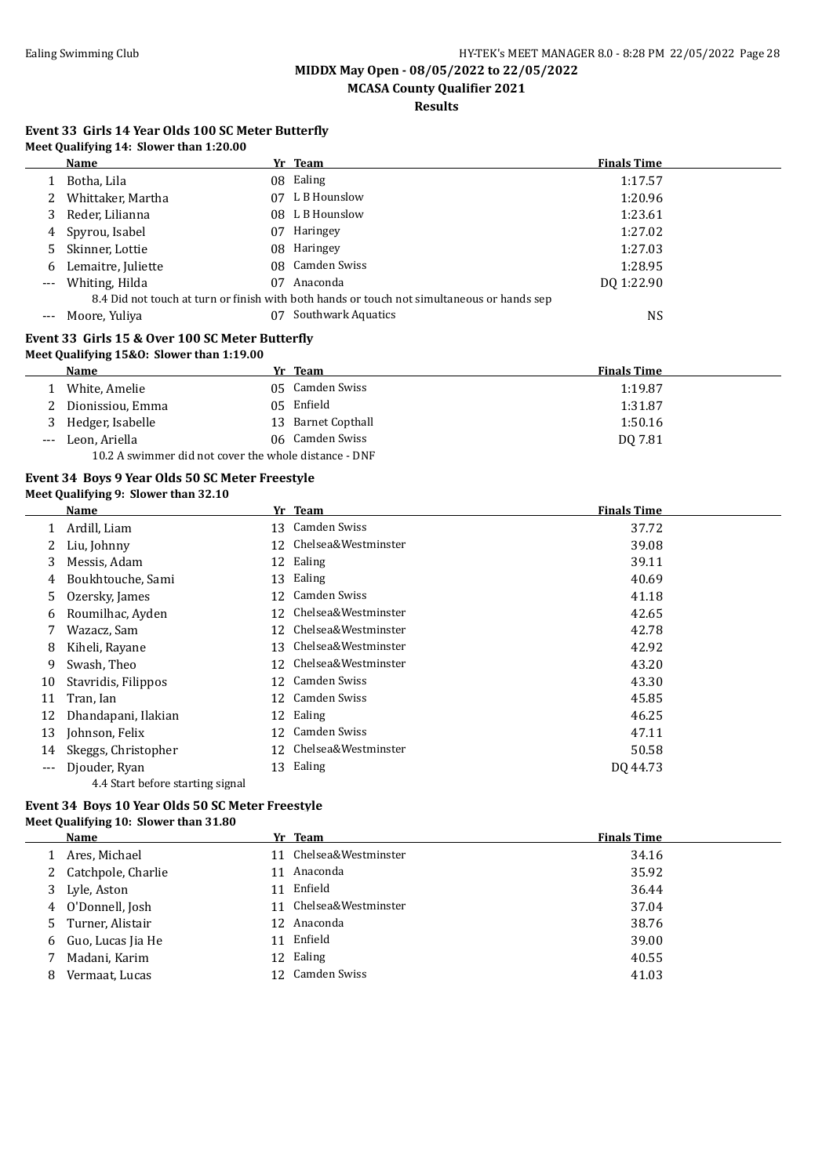**MCASA County Qualifier 2021**

**Results**

#### **Event 33 Girls 14 Year Olds 100 SC Meter Butterfly Meet Qualifying 14: Slower than 1:20.00**

|          | $\text{mctc}$ Quantying 11. Slower than 1.20.00 |    |                                                                                            |                    |
|----------|-------------------------------------------------|----|--------------------------------------------------------------------------------------------|--------------------|
|          | Name                                            |    | Yr Team                                                                                    | <b>Finals Time</b> |
|          | Botha, Lila                                     |    | 08 Ealing                                                                                  | 1:17.57            |
| 2        | Whittaker, Martha                               |    | 07 L B Hounslow                                                                            | 1:20.96            |
| 3        | Reder, Lilianna                                 |    | 08 L B Hounslow                                                                            | 1:23.61            |
| 4        | Spyrou, Isabel                                  | 07 | Haringey                                                                                   | 1:27.02            |
| 5.       | Skinner, Lottie                                 |    | 08 Haringey                                                                                | 1:27.03            |
| 6        | Lemaitre, Juliette                              |    | 08 Camden Swiss                                                                            | 1:28.95            |
| $\cdots$ | Whiting, Hilda                                  | 07 | Anaconda                                                                                   | DO 1:22.90         |
|          |                                                 |    | 8.4 Did not touch at turn or finish with both hands or touch not simultaneous or hands sep |                    |
|          | Moore, Yuliya                                   | 07 | Southwark Aquatics                                                                         | NS.                |
|          |                                                 |    |                                                                                            |                    |

#### **Event 33 Girls 15 & Over 100 SC Meter Butterfly Meet Qualifying 15&O: Slower than 1:19.00**

|          | $mct$ , $mct$ , $mct$ , $mct$ , $mct$ , $mct$ , $mct$ , $mct$ , $mct$ , $mct$ , $mct$ , $mct$ , $mct$ , $mct$ , $mct$ , $mct$ , $mct$ , $mct$ , $mct$ , $mct$ , $mct$ , $mct$ , $mct$ , $mct$ , $mct$ , $mct$ , $mct$ , $mct$ , $mct$ , $mct$ , $mct$ , $mct$ , $mct$ , $mct$ , $mct$ , $mct$ , $mct$ , |  |                    |                    |  |  |
|----------|---------------------------------------------------------------------------------------------------------------------------------------------------------------------------------------------------------------------------------------------------------------------------------------------------------|--|--------------------|--------------------|--|--|
|          | Name                                                                                                                                                                                                                                                                                                    |  | Yr Team            | <b>Finals Time</b> |  |  |
|          | White, Amelie                                                                                                                                                                                                                                                                                           |  | 05 Camden Swiss    | 1:19.87            |  |  |
|          | Dionissiou, Emma                                                                                                                                                                                                                                                                                        |  | 05 Enfield         | 1:31.87            |  |  |
|          | 3 Hedger, Isabelle                                                                                                                                                                                                                                                                                      |  | 13 Barnet Copthall | 1:50.16            |  |  |
| $\cdots$ | Leon. Ariella                                                                                                                                                                                                                                                                                           |  | 06 Camden Swiss    | DO 7.81            |  |  |
|          | 10.2 A swimmer did not cover the whole distance - DNF                                                                                                                                                                                                                                                   |  |                    |                    |  |  |

### **Event 34 Boys 9 Year Olds 50 SC Meter Freestyle**

#### **Meet Qualifying 9: Slower than 32.10**

|       | Name                             |    | Yr Team             | <b>Finals Time</b> |
|-------|----------------------------------|----|---------------------|--------------------|
|       | Ardill, Liam                     | 13 | Camden Swiss        | 37.72              |
|       | Liu, Johnny                      | 12 | Chelsea&Westminster | 39.08              |
| 3     | Messis, Adam                     |    | 12 Ealing           | 39.11              |
| 4     | Boukhtouche, Sami                |    | 13 Ealing           | 40.69              |
| 5.    | Ozersky, James                   | 12 | Camden Swiss        | 41.18              |
| 6     | Roumilhac, Ayden                 | 12 | Chelsea&Westminster | 42.65              |
| 7     | Wazacz, Sam                      | 12 | Chelsea&Westminster | 42.78              |
| 8     | Kiheli, Rayane                   | 13 | Chelsea&Westminster | 42.92              |
| 9     | Swash, Theo                      | 12 | Chelsea&Westminster | 43.20              |
| 10    | Stavridis, Filippos              | 12 | Camden Swiss        | 43.30              |
| 11    | Tran, Ian                        |    | 12 Camden Swiss     | 45.85              |
| 12    | Dhandapani, Ilakian              |    | 12 Ealing           | 46.25              |
| 13    | Johnson, Felix                   | 12 | Camden Swiss        | 47.11              |
| 14    | Skeggs, Christopher              | 12 | Chelsea&Westminster | 50.58              |
| $---$ | Djouder, Ryan                    |    | 13 Ealing           | DO 44.73           |
|       | 4.4 Start before starting signal |    |                     |                    |

#### **Event 34 Boys 10 Year Olds 50 SC Meter Freestyle Meet Qualifying 10: Slower than 31.80**

|   | Name                 |    | Yr Team                | <b>Finals Time</b> |
|---|----------------------|----|------------------------|--------------------|
|   | Ares, Michael        | 11 | Chelsea&Westminster    | 34.16              |
|   | 2 Catchpole, Charlie |    | 11 Anaconda            | 35.92              |
|   | 3 Lyle, Aston        | 11 | Enfield                | 36.44              |
|   | 4 O'Donnell, Josh    |    | 11 Chelsea&Westminster | 37.04              |
|   | 5 Turner, Alistair   |    | 12 Anaconda            | 38.76              |
|   | 6 Guo, Lucas Jia He  | 11 | Enfield                | 39.00              |
|   | Madani, Karim        |    | 12 Ealing              | 40.55              |
| 8 | Vermaat, Lucas       |    | 12 Camden Swiss        | 41.03              |
|   |                      |    |                        |                    |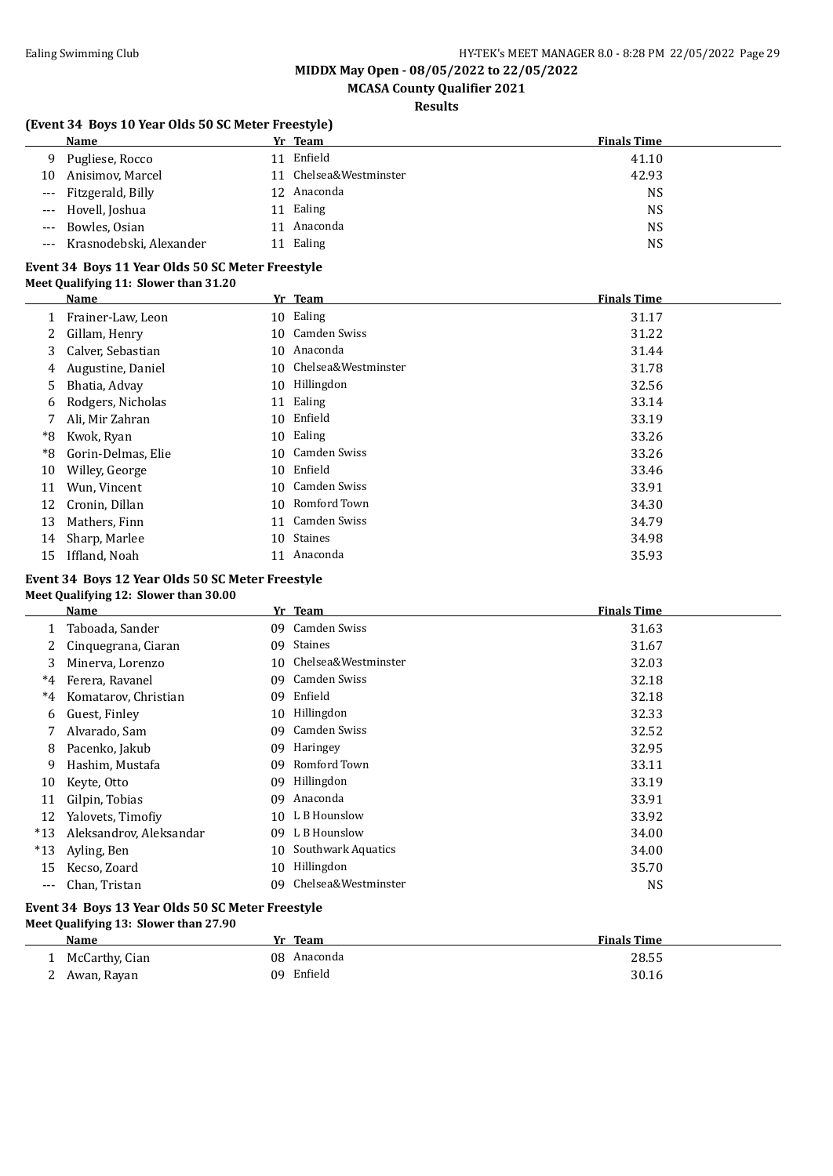# **MCASA County Qualifier 2021**

**Results**

#### **(Event 34 Boys 10 Year Olds 50 SC Meter Freestyle)**

|       | Name                    |    | Yr Team                | <b>Finals Time</b> |
|-------|-------------------------|----|------------------------|--------------------|
| 9.    | Pugliese, Rocco         | 11 | Enfield                | 41.10              |
| 10    | Anisimov, Marcel        |    | 11 Chelsea&Westminster | 42.93              |
|       | --- Fitzgerald, Billy   |    | 12 Anaconda            | <b>NS</b>          |
|       | --- Hovell, Joshua      | 11 | Ealing                 | <b>NS</b>          |
|       | --- Bowles, Osian       |    | Anaconda               | <b>NS</b>          |
| $---$ | Krasnodebski, Alexander |    | Ealing                 | NS                 |

#### **Event 34 Boys 11 Year Olds 50 SC Meter Freestyle Meet Qualifying 11: Slower than 31.20**

|    | Name               |    | Yr Team                | <b>Finals Time</b> |
|----|--------------------|----|------------------------|--------------------|
|    | Frainer-Law, Leon  |    | 10 Ealing              | 31.17              |
| 2  | Gillam, Henry      |    | 10 Camden Swiss        | 31.22              |
| 3  | Calver, Sebastian  | 10 | Anaconda               | 31.44              |
| 4  | Augustine, Daniel  |    | 10 Chelsea&Westminster | 31.78              |
| 5  | Bhatia, Advay      |    | 10 Hillingdon          | 32.56              |
| 6  | Rodgers, Nicholas  |    | 11 Ealing              | 33.14              |
| 7  | Ali, Mir Zahran    |    | 10 Enfield             | 33.19              |
| *8 | Kwok, Ryan         |    | 10 Ealing              | 33.26              |
| *8 | Gorin-Delmas, Elie |    | 10 Camden Swiss        | 33.26              |
| 10 | Willey, George     |    | 10 Enfield             | 33.46              |
| 11 | Wun, Vincent       |    | 10 Camden Swiss        | 33.91              |
| 12 | Cronin, Dillan     | 10 | Romford Town           | 34.30              |
| 13 | Mathers, Finn      |    | 11 Camden Swiss        | 34.79              |
| 14 | Sharp, Marlee      | 10 | Staines                | 34.98              |
| 15 | Iffland, Noah      |    | 11 Anaconda            | 35.93              |

#### **Event 34 Boys 12 Year Olds 50 SC Meter Freestyle Meet Qualifying 12: Slower than 30.00**

| Name                    |    |                     | <b>Finals Time</b>                         |
|-------------------------|----|---------------------|--------------------------------------------|
| Taboada, Sander         | 09 | Camden Swiss        | 31.63                                      |
| Cinquegrana, Ciaran     | 09 | <b>Staines</b>      | 31.67                                      |
| Minerva, Lorenzo        | 10 | Chelsea&Westminster | 32.03                                      |
| Ferera, Ravanel         | 09 | Camden Swiss        | 32.18                                      |
| Komatarov, Christian    | 09 | Enfield             | 32.18                                      |
| Guest, Finley           | 10 | Hillingdon          | 32.33                                      |
| Alvarado, Sam           | 09 | Camden Swiss        | 32.52                                      |
| Pacenko, Jakub          | 09 | <b>Haringey</b>     | 32.95                                      |
| Hashim, Mustafa         | 09 | Romford Town        | 33.11                                      |
| Keyte, Otto             | 09 | Hillingdon          | 33.19                                      |
| Gilpin, Tobias          | 09 | Anaconda            | 33.91                                      |
| Yalovets, Timofiy       |    |                     | 33.92                                      |
| Aleksandrov, Aleksandar | 09 |                     | 34.00                                      |
| Ayling, Ben             | 10 | Southwark Aquatics  | 34.00                                      |
| Kecso, Zoard            | 10 | Hillingdon          | 35.70                                      |
| Chan, Tristan           | 09 | Chelsea&Westminster | <b>NS</b>                                  |
|                         |    |                     | Yr Team<br>10 L B Hounslow<br>L B Hounslow |

#### **Event 34 Boys 13 Year Olds 50 SC Meter Freestyle Meet Qualifying 13: Slower than 27.90**

| Name             | Vr<br>Team  | <b>Finals Time</b> |
|------------------|-------------|--------------------|
| McCarthy, Cian   | 08 Anaconda | 28.55              |
| Awan, Rayan<br>∼ | 09 Enfield  | 30.16              |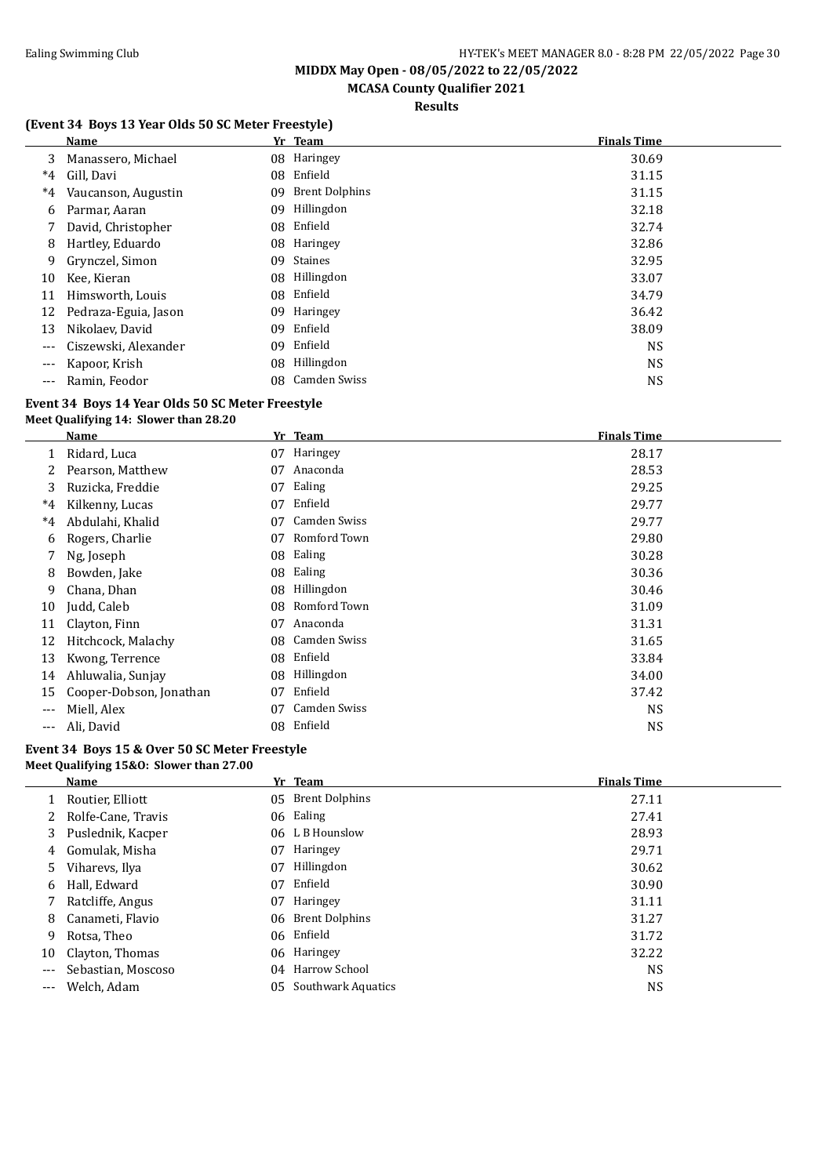# **MCASA County Qualifier 2021**

**Results**

### **(Event 34 Boys 13 Year Olds 50 SC Meter Freestyle)**

|       | <b>Name</b>          |     | Yr Team               | <b>Finals Time</b> |
|-------|----------------------|-----|-----------------------|--------------------|
| 3     | Manassero, Michael   |     | 08 Haringey           | 30.69              |
| $^*4$ | Gill, Davi           | 08  | Enfield               | 31.15              |
| $^*4$ | Vaucanson, Augustin  | 09  | <b>Brent Dolphins</b> | 31.15              |
| 6     | Parmar, Aaran        | 09  | Hillingdon            | 32.18              |
|       | David, Christopher   |     | 08 Enfield            | 32.74              |
| 8     | Hartley, Eduardo     | 08  | Haringey              | 32.86              |
| 9     | Grynczel, Simon      | 09  | Staines               | 32.95              |
| 10    | Kee, Kieran          | 08  | Hillingdon            | 33.07              |
| 11    | Himsworth, Louis     | 08  | Enfield               | 34.79              |
| 12    | Pedraza-Eguia, Jason | 09  | Haringey              | 36.42              |
| 13    | Nikolaev, David      | 09  | Enfield               | 38.09              |
| ---   | Ciszewski, Alexander | 09  | Enfield               | <b>NS</b>          |
| ---   | Kapoor, Krish        | 08  | Hillingdon            | <b>NS</b>          |
| ---   | Ramin, Feodor        | 08. | Camden Swiss          | <b>NS</b>          |

#### **Event 34 Boys 14 Year Olds 50 SC Meter Freestyle Meet Qualifying 14: Slower than 28.20**

| Name                    | Yr | <b>Team</b>  | <b>Finals Time</b> |
|-------------------------|----|--------------|--------------------|
| Ridard, Luca            | 07 | Haringey     | 28.17              |
| Pearson, Matthew        | 07 | Anaconda     | 28.53              |
| Ruzicka, Freddie        | 07 | Ealing       | 29.25              |
| Kilkenny, Lucas         | 07 | Enfield      | 29.77              |
| Abdulahi, Khalid        | 07 | Camden Swiss | 29.77              |
| Rogers, Charlie         | 07 | Romford Town | 29.80              |
| Ng, Joseph              | 08 | Ealing       | 30.28              |
| Bowden, Jake            | 08 | Ealing       | 30.36              |
| Chana, Dhan             | 08 | Hillingdon   | 30.46              |
| Judd, Caleb             | 08 | Romford Town | 31.09              |
| Clayton, Finn           | 07 | Anaconda     | 31.31              |
| Hitchcock, Malachy      | 08 |              | 31.65              |
| Kwong, Terrence         | 08 | Enfield      | 33.84              |
| Ahluwalia, Sunjay       | 08 | Hillingdon   | 34.00              |
| Cooper-Dobson, Jonathan | 07 | Enfield      | 37.42              |
| Miell, Alex             | 07 | Camden Swiss | <b>NS</b>          |
| Ali, David              | 08 | Enfield      | <b>NS</b>          |
|                         |    |              | Camden Swiss       |

#### **Event 34 Boys 15 & Over 50 SC Meter Freestyle Meet Qualifying 15&O: Slower than 27.00**

|     | Name               |    | Yr Team            | <b>Finals Time</b> |
|-----|--------------------|----|--------------------|--------------------|
|     | Routier, Elliott   |    | 05 Brent Dolphins  | 27.11              |
|     | Rolfe-Cane, Travis |    | 06 Ealing          | 27.41              |
| 3   | Puslednik, Kacper  |    | 06 L B Hounslow    | 28.93              |
| 4   | Gomulak, Misha     | 07 | Haringey           | 29.71              |
| 5.  | Viharevs, Ilya     | 07 | Hillingdon         | 30.62              |
| 6   | Hall, Edward       | 07 | Enfield            | 30.90              |
|     | Ratcliffe, Angus   | 07 | Haringey           | 31.11              |
| 8   | Canameti, Flavio   |    | 06 Brent Dolphins  | 31.27              |
| 9   | Rotsa, Theo        |    | 06 Enfield         | 31.72              |
| 10  | Clayton, Thomas    |    | 06 Haringey        | 32.22              |
| --- | Sebastian, Moscoso | 04 | Harrow School      | <b>NS</b>          |
| --- | Welch, Adam        | 05 | Southwark Aquatics | <b>NS</b>          |
|     |                    |    |                    |                    |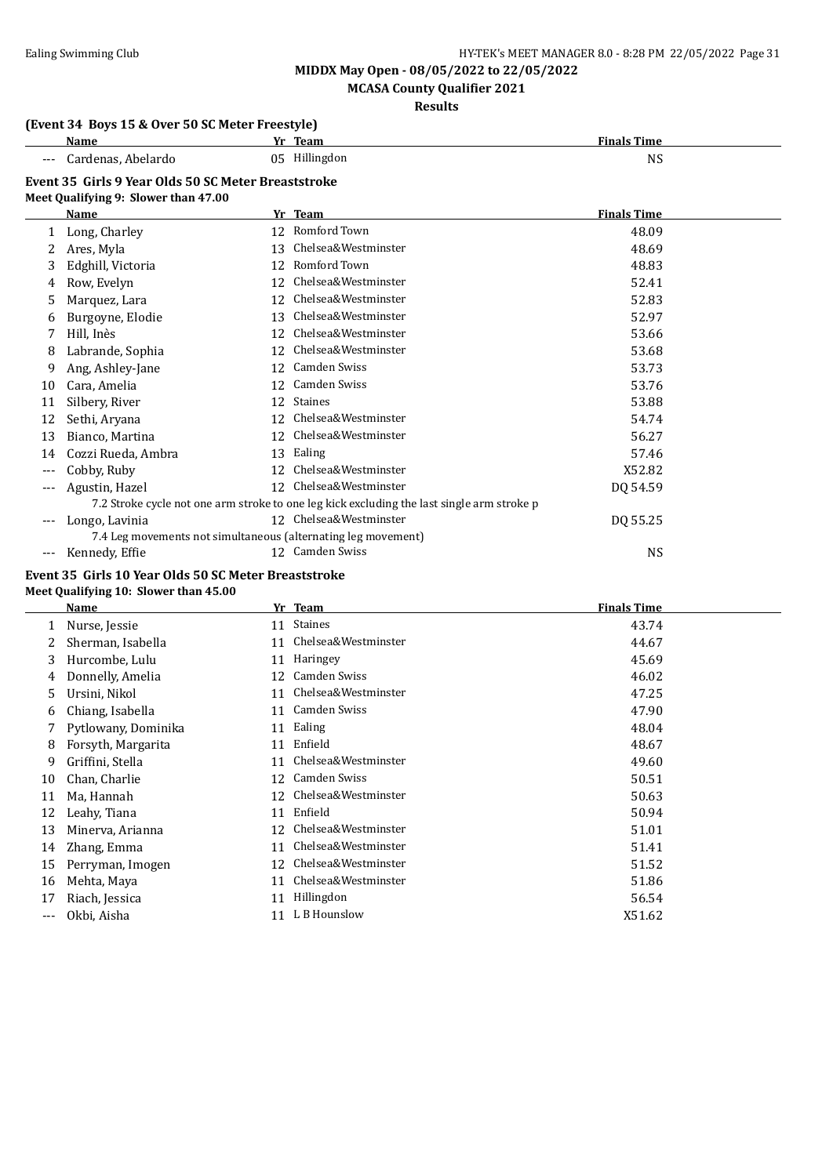### **MCASA County Qualifier 2021**

### **Results**

#### **(Event 34 Boys 15 & Over 50 SC Meter Freestyle)**

| Name                                                | Yr Team       | <b>Finals Time</b> |  |  |  |
|-----------------------------------------------------|---------------|--------------------|--|--|--|
| --- Cardenas, Abelardo                              | 05 Hillingdon | NS                 |  |  |  |
| Event 35 Girls 9 Year Olds 50 SC Meter Breaststroke |               |                    |  |  |  |

#### **Meet Qualifying 9: Slower than 47.00**

|       | Name                                                          |    | Yr Team                                                                                    | <b>Finals Time</b> |
|-------|---------------------------------------------------------------|----|--------------------------------------------------------------------------------------------|--------------------|
|       | Long, Charley                                                 |    | 12 Romford Town                                                                            | 48.09              |
|       | Ares, Myla                                                    | 13 | Chelsea&Westminster                                                                        | 48.69              |
| 3     | Edghill, Victoria                                             | 12 | Romford Town                                                                               | 48.83              |
| 4     | Row, Evelyn                                                   | 12 | Chelsea&Westminster                                                                        | 52.41              |
| 5     | Marquez, Lara                                                 | 12 | Chelsea&Westminster                                                                        | 52.83              |
| 6     | Burgoyne, Elodie                                              | 13 | Chelsea&Westminster                                                                        | 52.97              |
|       | Hill, Inès                                                    | 12 | Chelsea&Westminster                                                                        | 53.66              |
| 8     | Labrande, Sophia                                              | 12 | Chelsea&Westminster                                                                        | 53.68              |
| 9     | Ang, Ashley-Jane                                              | 12 | Camden Swiss                                                                               | 53.73              |
| 10    | Cara, Amelia                                                  | 12 | Camden Swiss                                                                               | 53.76              |
| 11    | Silbery, River                                                | 12 | Staines                                                                                    | 53.88              |
| 12    | Sethi, Aryana                                                 | 12 | Chelsea&Westminster                                                                        | 54.74              |
| 13    | Bianco, Martina                                               | 12 | Chelsea&Westminster                                                                        | 56.27              |
| 14    | Cozzi Rueda, Ambra                                            | 13 | Ealing                                                                                     | 57.46              |
| $---$ | Cobby, Ruby                                                   | 12 | Chelsea&Westminster                                                                        | X52.82             |
| ---   | Agustin, Hazel                                                | 12 | Chelsea&Westminster                                                                        | DQ 54.59           |
|       |                                                               |    | 7.2 Stroke cycle not one arm stroke to one leg kick excluding the last single arm stroke p |                    |
|       | Longo, Lavinia                                                |    | 12 Chelsea&Westminster                                                                     | DQ 55.25           |
|       | 7.4 Leg movements not simultaneous (alternating leg movement) |    |                                                                                            |                    |
| ---   | Kennedy, Effie                                                |    | 12 Camden Swiss                                                                            | <b>NS</b>          |

#### **Event 35 Girls 10 Year Olds 50 SC Meter Breaststroke Meet Qualifying 10: Slower than 45.00**

|     | Name                | Yr | <b>Team</b>         | <b>Finals Time</b> |
|-----|---------------------|----|---------------------|--------------------|
|     | Nurse, Jessie       | 11 | <b>Staines</b>      | 43.74              |
|     | Sherman, Isabella   | 11 | Chelsea&Westminster | 44.67              |
| 3   | Hurcombe, Lulu      | 11 | Haringey            | 45.69              |
| 4   | Donnelly, Amelia    | 12 | Camden Swiss        | 46.02              |
| 5   | Ursini, Nikol       | 11 | Chelsea&Westminster | 47.25              |
| 6   | Chiang, Isabella    | 11 | Camden Swiss        | 47.90              |
|     | Pytlowany, Dominika | 11 | Ealing              | 48.04              |
| 8   | Forsyth, Margarita  | 11 | Enfield             | 48.67              |
| 9   | Griffini, Stella    | 11 | Chelsea&Westminster | 49.60              |
| 10  | Chan, Charlie       | 12 | Camden Swiss        | 50.51              |
| 11  | Ma, Hannah          | 12 | Chelsea&Westminster | 50.63              |
| 12  | Leahy, Tiana        | 11 | Enfield             | 50.94              |
| 13  | Minerva, Arianna    | 12 | Chelsea&Westminster | 51.01              |
| 14  | Zhang, Emma         | 11 | Chelsea&Westminster | 51.41              |
| 15  | Perryman, Imogen    | 12 | Chelsea&Westminster | 51.52              |
| 16  | Mehta, Maya         | 11 | Chelsea&Westminster | 51.86              |
| 17  | Riach, Jessica      | 11 | Hillingdon          | 56.54              |
| --- | Okbi, Aisha         | 11 | L B Hounslow        | X51.62             |
|     |                     |    |                     |                    |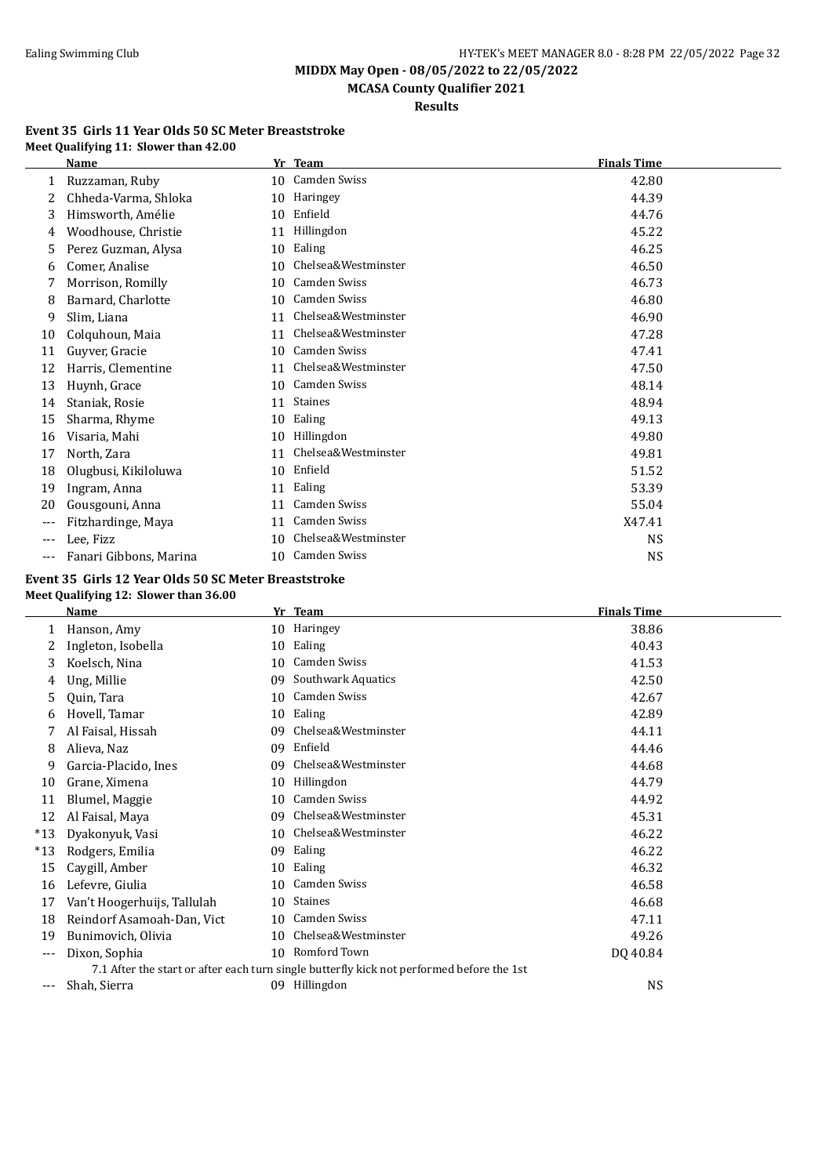**MIDDX May Open - 08/05/2022 to 22/05/2022 MCASA County Qualifier 2021**

**Results**

#### **Event 35 Girls 11 Year Olds 50 SC Meter Breaststroke Meet Qualifying 11: Slower than 42.00**

|       | Name                   |    | Yr Team             | <b>Finals Time</b> |
|-------|------------------------|----|---------------------|--------------------|
| 1     | Ruzzaman, Ruby         | 10 | <b>Camden Swiss</b> | 42.80              |
|       | Chheda-Varma, Shloka   | 10 | Haringey            | 44.39              |
| 3     | Himsworth, Amélie      | 10 | Enfield             | 44.76              |
| 4     | Woodhouse, Christie    | 11 | Hillingdon          | 45.22              |
| 5     | Perez Guzman, Alysa    | 10 | Ealing              | 46.25              |
| 6     | Comer, Analise         | 10 | Chelsea&Westminster | 46.50              |
| 7     | Morrison, Romilly      | 10 | <b>Camden Swiss</b> | 46.73              |
| 8     | Barnard, Charlotte     | 10 | <b>Camden Swiss</b> | 46.80              |
| 9     | Slim, Liana            | 11 | Chelsea&Westminster | 46.90              |
| 10    | Colquhoun, Maia        | 11 | Chelsea&Westminster | 47.28              |
| 11    | Guyver, Gracie         | 10 | <b>Camden Swiss</b> | 47.41              |
| 12    | Harris, Clementine     | 11 | Chelsea&Westminster | 47.50              |
| 13    | Huynh, Grace           | 10 | <b>Camden Swiss</b> | 48.14              |
| 14    | Staniak, Rosie         | 11 | <b>Staines</b>      | 48.94              |
| 15    | Sharma, Rhyme          | 10 | Ealing              | 49.13              |
| 16    | Visaria, Mahi          | 10 | Hillingdon          | 49.80              |
| 17    | North, Zara            | 11 | Chelsea&Westminster | 49.81              |
| 18    | Olugbusi, Kikiloluwa   | 10 | Enfield             | 51.52              |
| 19    | Ingram, Anna           | 11 | Ealing              | 53.39              |
| 20    | Gousgouni, Anna        | 11 | <b>Camden Swiss</b> | 55.04              |
| $---$ | Fitzhardinge, Maya     | 11 | <b>Camden Swiss</b> | X47.41             |
| $---$ | Lee, Fizz              | 10 | Chelsea&Westminster | <b>NS</b>          |
| ---   | Fanari Gibbons, Marina | 10 | <b>Camden Swiss</b> | <b>NS</b>          |

#### **Event 35 Girls 12 Year Olds 50 SC Meter Breaststroke Meet Qualifying 12: Slower than 36.00**

|       | <b>Name</b>                 | Yr | <b>Team</b>                                                                               | <b>Finals Time</b> |
|-------|-----------------------------|----|-------------------------------------------------------------------------------------------|--------------------|
|       | Hanson, Amy                 | 10 | Haringey                                                                                  | 38.86              |
|       | Ingleton, Isobella          | 10 | Ealing                                                                                    | 40.43              |
| 3     | Koelsch, Nina               | 10 | Camden Swiss                                                                              | 41.53              |
| 4     | Ung, Millie                 | 09 | <b>Southwark Aquatics</b>                                                                 | 42.50              |
| 5     | Quin, Tara                  | 10 | <b>Camden Swiss</b>                                                                       | 42.67              |
| 6     | Hovell, Tamar               | 10 | Ealing                                                                                    | 42.89              |
|       | Al Faisal, Hissah           | 09 | Chelsea&Westminster                                                                       | 44.11              |
| 8     | Alieva, Naz                 | 09 | Enfield                                                                                   | 44.46              |
| 9     | Garcia-Placido, Ines        | 09 | Chelsea&Westminster                                                                       | 44.68              |
| 10    | Grane, Ximena               | 10 | Hillingdon                                                                                | 44.79              |
| 11    | Blumel, Maggie              | 10 | <b>Camden Swiss</b>                                                                       | 44.92              |
| 12    | Al Faisal, Maya             | 09 | Chelsea&Westminster                                                                       | 45.31              |
| $*13$ | Dyakonyuk, Vasi             | 10 | Chelsea&Westminster                                                                       | 46.22              |
| $*13$ | Rodgers, Emilia             | 09 | Ealing                                                                                    | 46.22              |
| 15    | Caygill, Amber              | 10 | Ealing                                                                                    | 46.32              |
| 16    | Lefevre, Giulia             | 10 | Camden Swiss                                                                              | 46.58              |
| 17    | Van't Hoogerhuijs, Tallulah | 10 | <b>Staines</b>                                                                            | 46.68              |
| 18    | Reindorf Asamoah-Dan, Vict  | 10 | <b>Camden Swiss</b>                                                                       | 47.11              |
| 19    | Bunimovich, Olivia          | 10 | Chelsea&Westminster                                                                       | 49.26              |
| $---$ | Dixon, Sophia               | 10 | Romford Town                                                                              | DQ 40.84           |
|       |                             |    | 7.1 After the start or after each turn single butterfly kick not performed before the 1st |                    |
| $---$ | Shah, Sierra                | 09 | Hillingdon                                                                                | <b>NS</b>          |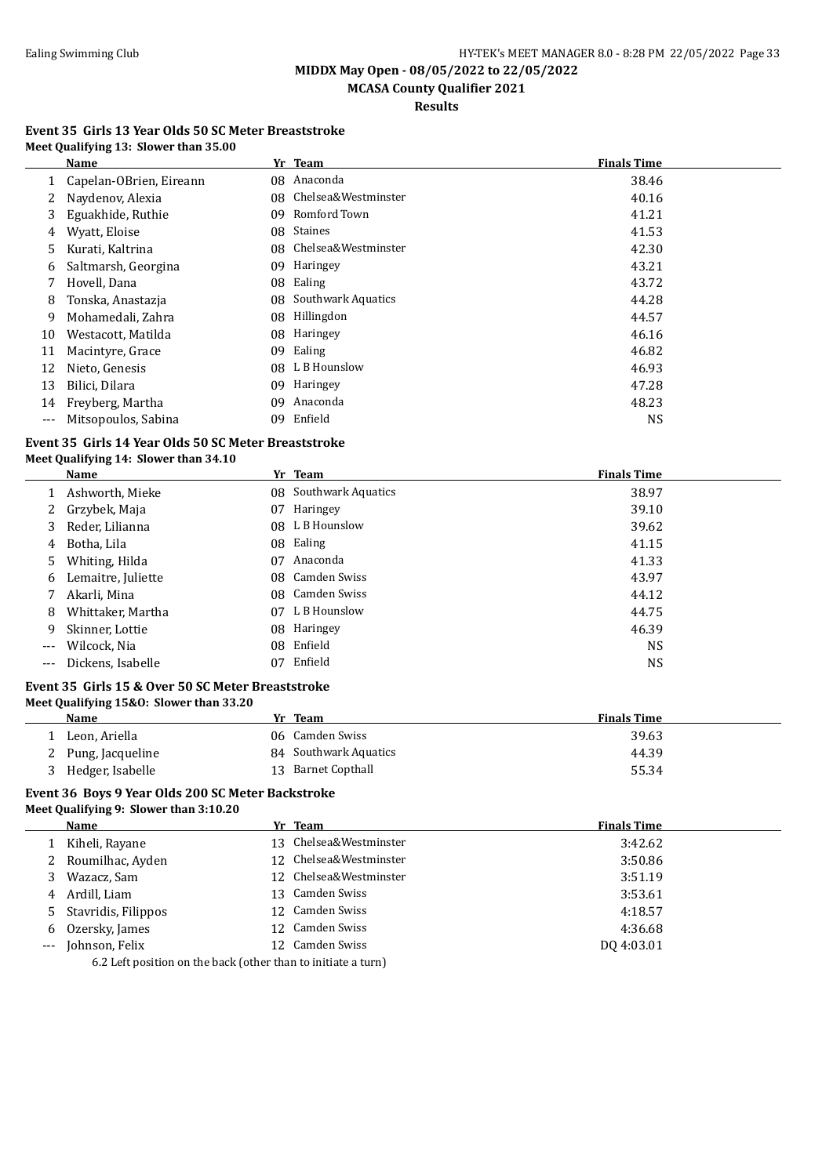$\overline{\phantom{a}}$ 

# **MIDDX May Open - 08/05/2022 to 22/05/2022**

# **MCASA County Qualifier 2021**

# **Results**

#### **Event 35 Girls 13 Year Olds 50 SC Meter Breaststroke Meet Qualifying 13: Slower than 35.00**

|     | Name                    |    | Yr Team                   | <b>Finals Time</b> |
|-----|-------------------------|----|---------------------------|--------------------|
|     | Capelan-OBrien, Eireann | 08 | Anaconda                  | 38.46              |
|     | Naydenov, Alexia        | 08 | Chelsea&Westminster       | 40.16              |
| 3   | Eguakhide, Ruthie       | 09 | Romford Town              | 41.21              |
| 4   | Wyatt, Eloise           | 08 | <b>Staines</b>            | 41.53              |
| 5.  | Kurati, Kaltrina        | 08 | Chelsea&Westminster       | 42.30              |
| 6   | Saltmarsh, Georgina     | 09 | Haringey                  | 43.21              |
|     | Hovell, Dana            | 08 | Ealing                    | 43.72              |
| 8   | Tonska, Anastazja       | 08 | <b>Southwark Aquatics</b> | 44.28              |
| 9   | Mohamedali, Zahra       | 08 | Hillingdon                | 44.57              |
| 10  | Westacott, Matilda      | 08 | Haringey                  | 46.16              |
| 11  | Macintyre, Grace        | 09 | Ealing                    | 46.82              |
| 12  | Nieto, Genesis          | 08 | L B Hounslow              | 46.93              |
| 13  | Bilici, Dilara          | 09 | Haringey                  | 47.28              |
| 14  | Freyberg, Martha        | 09 | Anaconda                  | 48.23              |
| --- | Mitsopoulos, Sabina     | 09 | Enfield                   | <b>NS</b>          |

#### **Event 35 Girls 14 Year Olds 50 SC Meter Breaststroke Meet Qualifying 14: Slower than 34.10**

|          | Name               |    | Yr Team               | <b>Finals Time</b> |
|----------|--------------------|----|-----------------------|--------------------|
|          | Ashworth, Mieke    |    | 08 Southwark Aquatics | 38.97              |
|          | 2 Grzybek, Maja    | 07 | Haringey              | 39.10              |
| 3        | Reder, Lilianna    |    | 08 L B Hounslow       | 39.62              |
| 4        | Botha, Lila        | 08 | Ealing                | 41.15              |
| 5        | Whiting, Hilda     | 07 | Anaconda              | 41.33              |
| 6        | Lemaitre, Juliette |    | 08 Camden Swiss       | 43.97              |
|          | Akarli, Mina       |    | 08 Camden Swiss       | 44.12              |
| 8        | Whittaker, Martha  | 07 | L B Hounslow          | 44.75              |
| 9        | Skinner, Lottie    | 08 | Haringey              | 46.39              |
| $\cdots$ | Wilcock, Nia       | 08 | Enfield               | <b>NS</b>          |
| $---$    | Dickens, Isabelle  | 07 | Enfield               | NS                 |

#### **Event 35 Girls 15 & Over 50 SC Meter Breaststroke Meet Qualifying 15&O: Slower than 33.20**

| Name               | Team<br>Yr.           | <b>Finals Time</b> |
|--------------------|-----------------------|--------------------|
| Leon, Ariella      | 06 Camden Swiss       | 39.63              |
| 2 Pung, Jacqueline | 84 Southwark Aquatics | 44.39              |
| Hedger, Isabelle   | 13 Barnet Copthall    | 55.34              |

#### **Event 36 Boys 9 Year Olds 200 SC Meter Backstroke Meet Qualifying 9: Slower than 3:10.20**

|       | Name                                                          |  | Yr Team                | <b>Finals Time</b> |  |  |
|-------|---------------------------------------------------------------|--|------------------------|--------------------|--|--|
|       | Kiheli, Rayane                                                |  | 13 Chelsea&Westminster | 3:42.62            |  |  |
|       | Roumilhac, Ayden                                              |  | 12 Chelsea&Westminster | 3:50.86            |  |  |
|       | Wazacz, Sam                                                   |  | 12 Chelsea&Westminster | 3:51.19            |  |  |
| 4     | Ardill, Liam                                                  |  | 13 Camden Swiss        | 3:53.61            |  |  |
|       | 5 Stavridis, Filippos                                         |  | 12 Camden Swiss        | 4:18.57            |  |  |
| 6     | Ozersky, James                                                |  | 12 Camden Swiss        | 4:36.68            |  |  |
| $---$ | Johnson, Felix                                                |  | 12 Camden Swiss        | DO 4:03.01         |  |  |
|       | 6.2 Left position on the back (other than to initiate a turn) |  |                        |                    |  |  |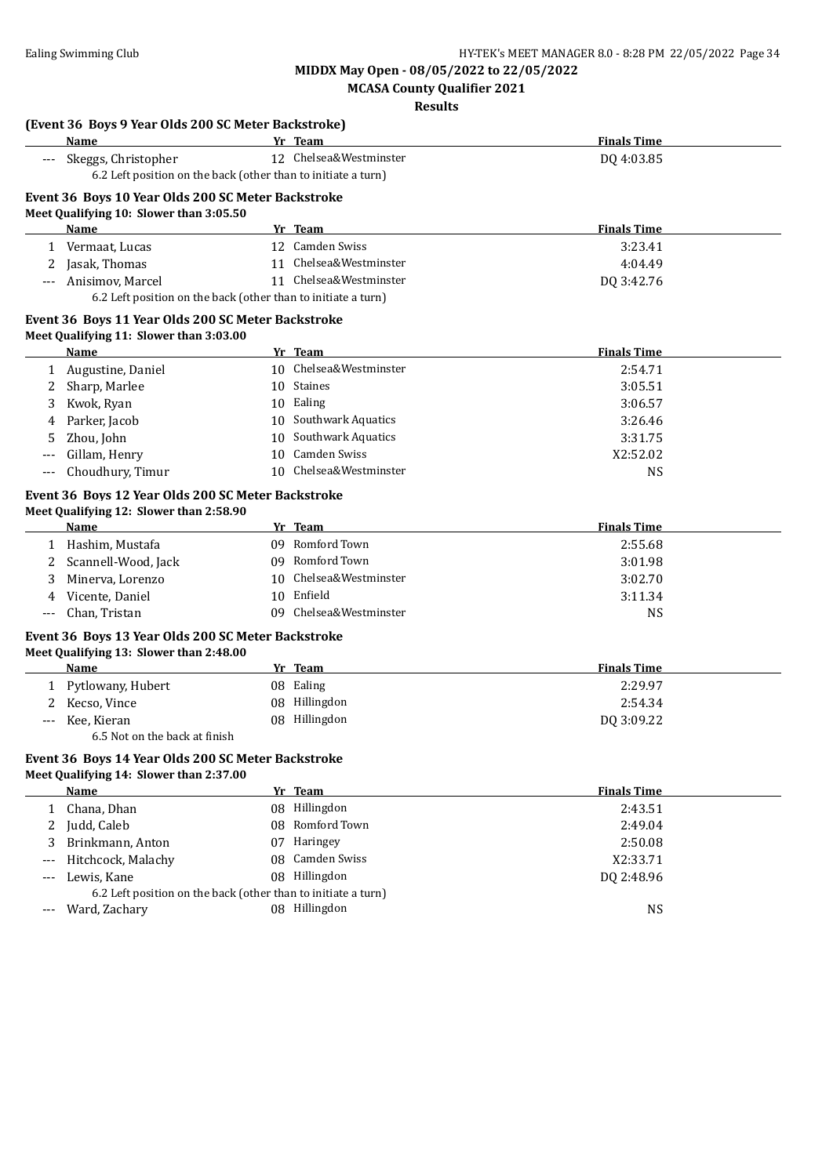**MCASA County Qualifier 2021**

### **Results**

|       | (Event 36 Boys 9 Year Olds 200 SC Meter Backstroke)<br>Name                    | Yr Team                | <b>Finals Time</b> |
|-------|--------------------------------------------------------------------------------|------------------------|--------------------|
| $---$ | Skeggs, Christopher                                                            | 12 Chelsea&Westminster | DQ 4:03.85         |
|       | 6.2 Left position on the back (other than to initiate a turn)                  |                        |                    |
|       | Event 36 Boys 10 Year Olds 200 SC Meter Backstroke                             |                        |                    |
|       | Meet Qualifying 10: Slower than 3:05.50                                        |                        |                    |
|       | Name                                                                           | Yr Team                | <b>Finals Time</b> |
|       | 1 Vermaat, Lucas                                                               | 12 Camden Swiss        | 3:23.41            |
|       | Jasak, Thomas                                                                  | 11 Chelsea&Westminster | 4:04.49            |
|       | Anisimov, Marcel                                                               | 11 Chelsea&Westminster | DQ 3:42.76         |
|       | 6.2 Left position on the back (other than to initiate a turn)                  |                        |                    |
|       | Event 36 Boys 11 Year Olds 200 SC Meter Backstroke                             |                        |                    |
|       | Meet Qualifying 11: Slower than 3:03.00                                        |                        |                    |
|       | Name                                                                           | Yr Team                | <b>Finals Time</b> |
|       | 1 Augustine, Daniel                                                            | 10 Chelsea&Westminster | 2:54.71            |
| 2     | Sharp, Marlee                                                                  | 10 Staines             | 3:05.51            |
| 3     | Kwok, Ryan                                                                     | 10 Ealing              | 3:06.57            |
| 4     | Parker, Jacob                                                                  | 10 Southwark Aquatics  | 3:26.46            |
| 5     | Zhou, John                                                                     | 10 Southwark Aquatics  | 3:31.75            |
|       | Gillam, Henry                                                                  | 10 Camden Swiss        | X2:52.02           |
|       | Choudhury, Timur                                                               | 10 Chelsea&Westminster | NS                 |
|       | Event 36 Boys 12 Year Olds 200 SC Meter Backstroke                             |                        |                    |
|       | Meet Qualifying 12: Slower than 2:58.90                                        |                        |                    |
|       | Name                                                                           | Yr Team                | <b>Finals Time</b> |
|       | 1 Hashim, Mustafa                                                              | 09 Romford Town        | 2:55.68            |
| 2     | Scannell-Wood, Jack                                                            | 09 Romford Town        | 3:01.98            |
| 3     | Minerva, Lorenzo                                                               | 10 Chelsea&Westminster | 3:02.70            |
| 4     | Vicente, Daniel                                                                | 10 Enfield             | 3:11.34            |
| $---$ | Chan, Tristan                                                                  | 09 Chelsea&Westminster | <b>NS</b>          |
|       |                                                                                |                        |                    |
|       | Event 36 Boys 13 Year Olds 200 SC Meter Backstroke                             |                        |                    |
|       | Meet Qualifying 13: Slower than 2:48.00                                        |                        |                    |
|       | Name                                                                           | Yr Team                | <b>Finals Time</b> |
|       | 1 Pytlowany, Hubert                                                            | 08 Ealing              | 2:29.97            |
|       | Kecso, Vince                                                                   | 08 Hillingdon          | 2:54.34            |
| $---$ | Kee, Kieran                                                                    | 08 Hillingdon          | DQ 3:09.22         |
|       | 6.5 Not on the back at finish                                                  |                        |                    |
|       | Event 36 Boys 14 Year Olds 200 SC Meter Backstroke                             |                        |                    |
|       | Meet Qualifying 14: Slower than 2:37.00                                        |                        |                    |
|       | Name                                                                           | Yr Team                | <b>Finals Time</b> |
|       | 1 Chana, Dhan                                                                  | 08 Hillingdon          | 2:43.51            |
|       |                                                                                |                        |                    |
| 2     | Judd, Caleb                                                                    | 08 Romford Town        | 2:49.04            |
| 3     | Brinkmann, Anton                                                               | 07 Haringey            | 2:50.08            |
|       | Hitchcock, Malachy                                                             | 08 Camden Swiss        | X2:33.71           |
|       | Lewis, Kane                                                                    | 08 Hillingdon          | DQ 2:48.96         |
|       | 6.2 Left position on the back (other than to initiate a turn)<br>Ward, Zachary | 08 Hillingdon          | <b>NS</b>          |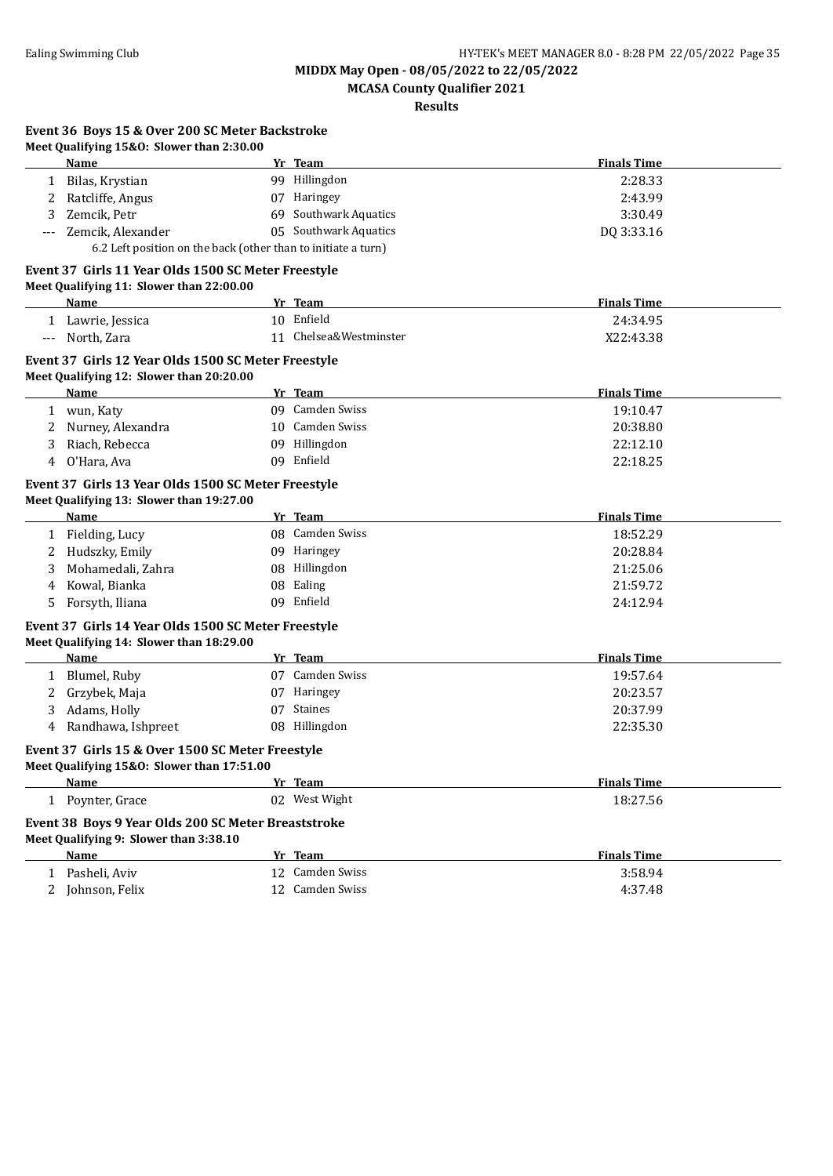**MCASA County Qualifier 2021**

**Results**

|        | Event 36 Boys 15 & Over 200 SC Meter Backstroke                                                 |                          |                    |  |
|--------|-------------------------------------------------------------------------------------------------|--------------------------|--------------------|--|
|        | Meet Qualifying 15&0: Slower than 2:30.00<br><b>Name</b>                                        |                          | <b>Finals Time</b> |  |
|        |                                                                                                 | Yr Team<br>99 Hillingdon | 2:28.33            |  |
|        | 1 Bilas, Krystian<br>Ratcliffe, Angus                                                           | 07 Haringey              | 2:43.99            |  |
| 2<br>3 | Zemcik, Petr                                                                                    | 69 Southwark Aquatics    | 3:30.49            |  |
|        |                                                                                                 | 05 Southwark Aquatics    |                    |  |
|        | Zemcik, Alexander<br>6.2 Left position on the back (other than to initiate a turn)              |                          | DQ 3:33.16         |  |
|        | Event 37 Girls 11 Year Olds 1500 SC Meter Freestyle                                             |                          |                    |  |
|        | Meet Qualifying 11: Slower than 22:00.00                                                        |                          |                    |  |
|        | Name                                                                                            | Yr Team                  | <b>Finals Time</b> |  |
|        | 1 Lawrie, Jessica                                                                               | 10 Enfield               | 24:34.95           |  |
| ---    | North, Zara                                                                                     | 11 Chelsea&Westminster   | X22:43.38          |  |
|        |                                                                                                 |                          |                    |  |
|        | Event 37 Girls 12 Year Olds 1500 SC Meter Freestyle<br>Meet Qualifying 12: Slower than 20:20.00 |                          |                    |  |
|        | <b>Name</b>                                                                                     | Yr Team                  | <b>Finals Time</b> |  |
|        | 1 wun, Katy                                                                                     | 09 Camden Swiss          | 19:10.47           |  |
| 2      | Nurney, Alexandra                                                                               | 10 Camden Swiss          | 20:38.80           |  |
| 3      | Riach, Rebecca                                                                                  | 09 Hillingdon            | 22:12.10           |  |
| 4      | O'Hara, Ava                                                                                     | 09 Enfield               | 22:18.25           |  |
|        |                                                                                                 |                          |                    |  |
|        | Event 37 Girls 13 Year Olds 1500 SC Meter Freestyle                                             |                          |                    |  |
|        | Meet Qualifying 13: Slower than 19:27.00                                                        |                          |                    |  |
|        | Name                                                                                            | Yr Team                  | <b>Finals Time</b> |  |
|        | 1 Fielding, Lucy                                                                                | 08 Camden Swiss          | 18:52.29           |  |
| 2      | Hudszky, Emily                                                                                  | 09 Haringey              | 20:28.84           |  |
| 3      | Mohamedali, Zahra                                                                               | 08 Hillingdon            | 21:25.06           |  |
| 4      | Kowal, Bianka                                                                                   | 08 Ealing                | 21:59.72           |  |
| 5      | Forsyth, Iliana                                                                                 | 09 Enfield               | 24:12.94           |  |
|        | Event 37 Girls 14 Year Olds 1500 SC Meter Freestyle                                             |                          |                    |  |
|        | Meet Qualifying 14: Slower than 18:29.00                                                        |                          |                    |  |
|        | Name                                                                                            | Yr Team                  | <b>Finals Time</b> |  |
|        | 1 Blumel, Ruby                                                                                  | 07 Camden Swiss          | 19:57.64           |  |
| 2      | Grzybek, Maja                                                                                   | 07 Haringey              | 20:23.57           |  |
| 3      | Adams, Holly                                                                                    | 07 Staines               | 20:37.99           |  |
|        | 4 Randhawa, Ishpreet                                                                            | 08 Hillingdon            | 22:35.30           |  |
|        | Event 37 Girls 15 & Over 1500 SC Meter Freestyle                                                |                          |                    |  |
|        | Meet Qualifying 15&0: Slower than 17:51.00                                                      |                          |                    |  |
|        | Name                                                                                            | Yr Team                  | <b>Finals Time</b> |  |
|        | 1 Poynter, Grace                                                                                | 02 West Wight            | 18:27.56           |  |
|        | Event 38 Boys 9 Year Olds 200 SC Meter Breaststroke                                             |                          |                    |  |
|        | Meet Qualifying 9: Slower than 3:38.10                                                          |                          |                    |  |
|        | Name                                                                                            | Yr Team                  | <b>Finals Time</b> |  |
|        | 1 Pasheli, Aviv                                                                                 | 12 Camden Swiss          | 3:58.94            |  |
|        | 2 Johnson, Felix                                                                                | 12 Camden Swiss          | 4:37.48            |  |
|        |                                                                                                 |                          |                    |  |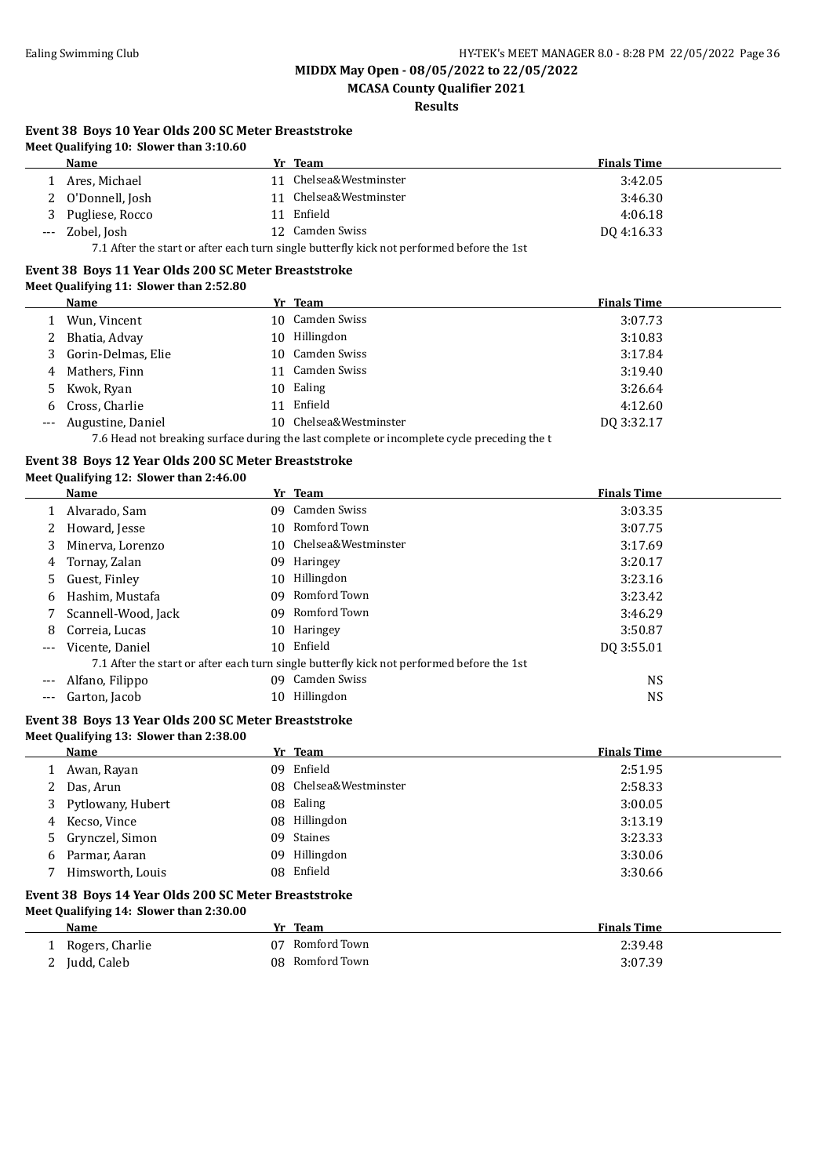**MCASA County Qualifier 2021**

**Results**

#### **Event 38 Boys 10 Year Olds 200 SC Meter Breaststroke Meet Qualifying 10: Slower than 3:10.60**

|       | $\cdot$ icet guannymig zor biower than britanoo                                           |  |                     |                    |  |
|-------|-------------------------------------------------------------------------------------------|--|---------------------|--------------------|--|
|       | Name                                                                                      |  | Yr Team             | <b>Finals Time</b> |  |
|       | Ares, Michael                                                                             |  | Chelsea&Westminster | 3:42.05            |  |
|       | O'Donnell, Josh                                                                           |  | Chelsea&Westminster | 3:46.30            |  |
| 3     | Pugliese, Rocco                                                                           |  | 11 Enfield          | 4:06.18            |  |
| $---$ | Zobel, Josh                                                                               |  | 12 Camden Swiss     | DO 4:16.33         |  |
|       | 7.1 After the start or after each turn single butterfly kick not performed before the 1st |  |                     |                    |  |

# **Event 38 Boys 11 Year Olds 200 SC Meter Breaststroke**

#### **Meet Qualifying 11: Slower than 2:52.80**

|                     | Name                                                                                       |    | Yr Team                | <b>Finals Time</b> |  |  |
|---------------------|--------------------------------------------------------------------------------------------|----|------------------------|--------------------|--|--|
|                     | Wun, Vincent                                                                               |    | 10 Camden Swiss        | 3:07.73            |  |  |
|                     | Bhatia, Advay                                                                              | 10 | Hillingdon             | 3:10.83            |  |  |
|                     | Gorin-Delmas, Elie                                                                         |    | 10 Camden Swiss        | 3:17.84            |  |  |
| 4                   | Mathers, Finn                                                                              |    | Camden Swiss           | 3:19.40            |  |  |
|                     | Kwok, Ryan                                                                                 |    | 10 Ealing              | 3:26.64            |  |  |
| 6                   | Cross, Charlie                                                                             | 11 | Enfield                | 4:12.60            |  |  |
| $\qquad \qquad - -$ | Augustine, Daniel                                                                          |    | 10 Chelsea&Westminster | DO 3:32.17         |  |  |
|                     | 7.6 Head not breaking surface during the last complete or incomplete cycle preceding the t |    |                        |                    |  |  |

### **Event 38 Boys 12 Year Olds 200 SC Meter Breaststroke**

#### **Meet Qualifying 12: Slower than 2:46.00**

|       | Name                |     | Yr Team                                                                                   | <b>Finals Time</b> |
|-------|---------------------|-----|-------------------------------------------------------------------------------------------|--------------------|
|       | Alvarado, Sam       | 09. | Camden Swiss                                                                              | 3:03.35            |
|       | Howard, Jesse       |     | 10 Romford Town                                                                           | 3:07.75            |
| 3     | Minerva, Lorenzo    |     | 10 Chelsea&Westminster                                                                    | 3:17.69            |
| 4     | Tornay, Zalan       | 09  | Haringey                                                                                  | 3:20.17            |
| 5.    | Guest, Finley       | 10. | Hillingdon                                                                                | 3:23.16            |
| 6     | Hashim, Mustafa     | 09. | Romford Town                                                                              | 3:23.42            |
|       | Scannell-Wood, Jack | 09. | Romford Town                                                                              | 3:46.29            |
| 8     | Correia, Lucas      |     | 10 Haringey                                                                               | 3:50.87            |
| $---$ | Vicente, Daniel     |     | 10 Enfield                                                                                | DQ 3:55.01         |
|       |                     |     | 7.1 After the start or after each turn single butterfly kick not performed before the 1st |                    |
|       | Alfano, Filippo     | 09  | Camden Swiss                                                                              | <b>NS</b>          |
|       | Garton, Jacob       | 10  | Hillingdon                                                                                | NS                 |

#### **Event 38 Boys 13 Year Olds 200 SC Meter Breaststroke Meet Qualifying 13: Slower than 2:38.00**

|    | <b>Name</b>         | Yr Team                | <b>Finals Time</b> |
|----|---------------------|------------------------|--------------------|
|    | Awan, Rayan         | 09 Enfield             | 2:51.95            |
|    | Das, Arun           | 08 Chelsea&Westminster | 2:58.33            |
|    | 3 Pytlowany, Hubert | 08 Ealing              | 3:00.05            |
|    | 4 Kecso, Vince      | 08 Hillingdon          | 3:13.19            |
|    | 5 Grynczel, Simon   | 09 Staines             | 3:23.33            |
| 6. | Parmar, Aaran       | 09 Hillingdon          | 3:30.06            |
|    | Himsworth, Louis    | 08 Enfield             | 3:30.66            |
|    |                     |                        |                    |

#### **Event 38 Boys 14 Year Olds 200 SC Meter Breaststroke Meet Qualifying 14: Slower than 2:30.00**

| Name                          | Team<br>Vr.     | <b>Finals Time</b> |
|-------------------------------|-----------------|--------------------|
| Rogers, Charlie               | 07 Romford Town | 2:39.48            |
| Judd, Caleb<br>$\overline{a}$ | 08 Romford Town | 3:07.39            |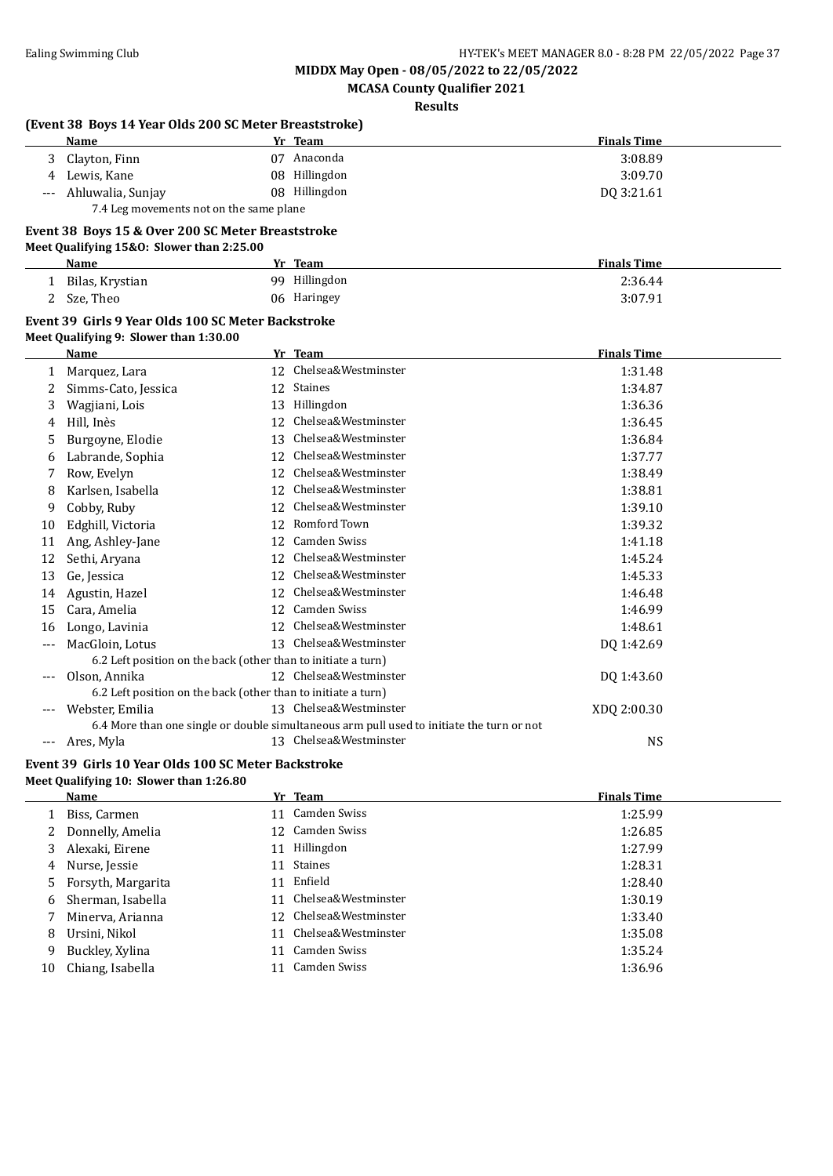**MCASA County Qualifier 2021**

**Results**

|       | (Event 38 Boys 14 Year Olds 200 SC Meter Breaststroke)        |    |                                                                                           |                    |  |
|-------|---------------------------------------------------------------|----|-------------------------------------------------------------------------------------------|--------------------|--|
|       | Name                                                          |    | Yr Team                                                                                   | <b>Finals Time</b> |  |
| 3     | Clayton, Finn                                                 |    | 07 Anaconda                                                                               | 3:08.89            |  |
| 4     | Lewis, Kane                                                   |    | 08 Hillingdon                                                                             | 3:09.70            |  |
|       | Ahluwalia, Sunjay                                             |    | 08 Hillingdon                                                                             | DQ 3:21.61         |  |
|       | 7.4 Leg movements not on the same plane                       |    |                                                                                           |                    |  |
|       | Event 38 Boys 15 & Over 200 SC Meter Breaststroke             |    |                                                                                           |                    |  |
|       | Meet Qualifying 15&0: Slower than 2:25.00                     |    |                                                                                           |                    |  |
|       | Name                                                          |    | Yr Team                                                                                   | <b>Finals Time</b> |  |
|       | 1 Bilas, Krystian                                             |    | 99 Hillingdon                                                                             | 2:36.44            |  |
| 2     | Sze, Theo                                                     |    | 06 Haringey                                                                               | 3:07.91            |  |
|       | Event 39 Girls 9 Year Olds 100 SC Meter Backstroke            |    |                                                                                           |                    |  |
|       | Meet Qualifying 9: Slower than 1:30.00                        |    |                                                                                           |                    |  |
|       | Name                                                          |    | Yr Team                                                                                   | <b>Finals Time</b> |  |
| 1     | Marquez, Lara                                                 |    | 12 Chelsea&Westminster                                                                    | 1:31.48            |  |
| 2     | Simms-Cato, Jessica                                           |    | 12 Staines                                                                                | 1:34.87            |  |
| 3     | Wagjiani, Lois                                                |    | 13 Hillingdon                                                                             | 1:36.36            |  |
| 4     | Hill, Inès                                                    |    | 12 Chelsea&Westminster                                                                    | 1:36.45            |  |
| 5     | Burgoyne, Elodie                                              | 13 | Chelsea&Westminster                                                                       | 1:36.84            |  |
| 6     | Labrande, Sophia                                              |    | 12 Chelsea&Westminster                                                                    | 1:37.77            |  |
| 7     | Row, Evelyn                                                   |    | 12 Chelsea&Westminster                                                                    | 1:38.49            |  |
| 8     | Karlsen, Isabella                                             |    | 12 Chelsea&Westminster                                                                    | 1:38.81            |  |
| 9     | Cobby, Ruby                                                   |    | 12 Chelsea&Westminster                                                                    | 1:39.10            |  |
| 10    | Edghill, Victoria                                             |    | 12 Romford Town                                                                           | 1:39.32            |  |
| 11    | Ang, Ashley-Jane                                              |    | 12 Camden Swiss                                                                           | 1:41.18            |  |
| 12    | Sethi, Aryana                                                 |    | 12 Chelsea&Westminster                                                                    | 1:45.24            |  |
| 13    | Ge, Jessica                                                   |    | 12 Chelsea&Westminster                                                                    | 1:45.33            |  |
| 14    | Agustin, Hazel                                                |    | 12 Chelsea&Westminster                                                                    | 1:46.48            |  |
| 15    | Cara, Amelia                                                  |    | 12 Camden Swiss                                                                           | 1:46.99            |  |
| 16    | Longo, Lavinia                                                |    | 12 Chelsea&Westminster                                                                    | 1:48.61            |  |
| $---$ | MacGloin, Lotus                                               |    | 13 Chelsea&Westminster                                                                    | DQ 1:42.69         |  |
|       | 6.2 Left position on the back (other than to initiate a turn) |    |                                                                                           |                    |  |
|       | Olson, Annika                                                 |    | 12 Chelsea&Westminster                                                                    | DQ 1:43.60         |  |
|       | 6.2 Left position on the back (other than to initiate a turn) |    |                                                                                           |                    |  |
|       | Webster, Emilia                                               |    | 13 Chelsea&Westminster                                                                    | XDQ 2:00.30        |  |
|       |                                                               |    | 6.4 More than one single or double simultaneous arm pull used to initiate the turn or not |                    |  |
|       | Ares, Myla                                                    |    | 13 Chelsea&Westminster                                                                    | <b>NS</b>          |  |
|       |                                                               |    |                                                                                           |                    |  |

#### **Event 39 Girls 10 Year Olds 100 SC Meter Backstroke Meet Qualifying 10: Slower than 1:26.80**

|    | <b>Name</b>          |    | Yr Team                | <b>Finals Time</b> |
|----|----------------------|----|------------------------|--------------------|
|    | Biss, Carmen         | 11 | Camden Swiss           | 1:25.99            |
|    | Donnelly, Amelia     |    | 12 Camden Swiss        | 1:26.85            |
| 3  | Alexaki, Eirene      | 11 | Hillingdon             | 1:27.99            |
| 4  | Nurse, Jessie        | 11 | Staines                | 1:28.31            |
|    | 5 Forsyth, Margarita | 11 | Enfield                | 1:28.40            |
| 6  | Sherman, Isabella    |    | 11 Chelsea&Westminster | 1:30.19            |
|    | Minerva, Arianna     |    | 12 Chelsea&Westminster | 1:33.40            |
| 8  | Ursini. Nikol        |    | 11 Chelsea&Westminster | 1:35.08            |
| 9  | Buckley, Xylina      | 11 | Camden Swiss           | 1:35.24            |
| 10 | Chiang, Isabella     | 11 | Camden Swiss           | 1:36.96            |
|    |                      |    |                        |                    |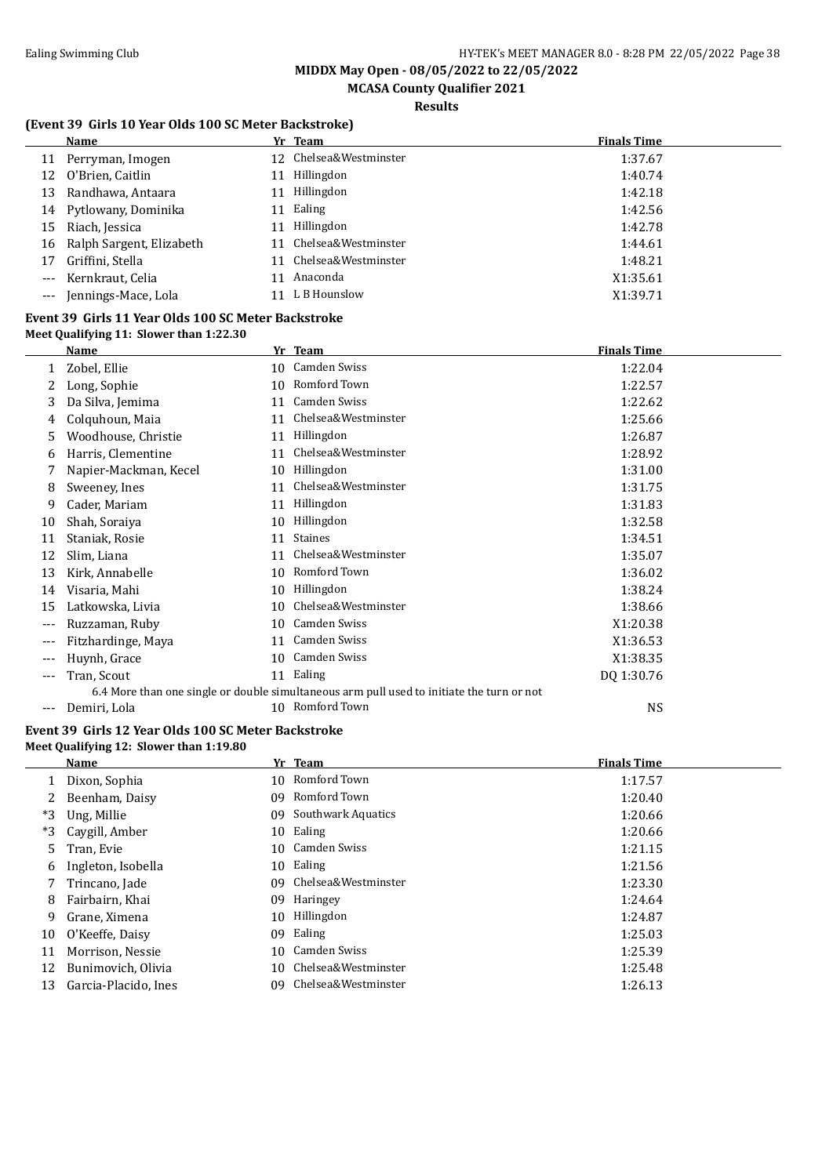**MCASA County Qualifier 2021**

### **Results**

### **(Event 39 Girls 10 Year Olds 100 SC Meter Backstroke)**

|                     | Name                        |    | Yr Team                | <b>Finals Time</b> |
|---------------------|-----------------------------|----|------------------------|--------------------|
|                     | 11 Perryman, Imogen         |    | 12 Chelsea&Westminster | 1:37.67            |
| 12                  | O'Brien, Caitlin            |    | Hillingdon             | 1:40.74            |
| 13                  | Randhawa, Antaara           |    | Hillingdon             | 1:42.18            |
|                     | 14 Pytlowany, Dominika      | 11 | Ealing                 | 1:42.56            |
| 15                  | Riach, Jessica              | 11 | Hillingdon             | 1:42.78            |
|                     | 16 Ralph Sargent, Elizabeth |    | 11 Chelsea&Westminster | 1:44.61            |
| 17                  | Griffini, Stella            |    | 11 Chelsea&Westminster | 1:48.21            |
| $---$               | Kernkraut, Celia            |    | Anaconda               | X1:35.61           |
| $\qquad \qquad - -$ | Jennings-Mace, Lola         |    | 11 L B Hounslow        | X1:39.71           |
|                     |                             |    |                        |                    |

#### **Event 39 Girls 11 Year Olds 100 SC Meter Backstroke Meet Qualifying 11: Slower than 1:22.30**

|     | Name                  |    | Yr Team                                                                                   | <b>Finals Time</b> |
|-----|-----------------------|----|-------------------------------------------------------------------------------------------|--------------------|
|     | Zobel, Ellie          |    | 10 Camden Swiss                                                                           | 1:22.04            |
|     | Long, Sophie          | 10 | Romford Town                                                                              | 1:22.57            |
| 3   | Da Silva, Jemima      | 11 | <b>Camden Swiss</b>                                                                       | 1:22.62            |
| 4   | Colquhoun, Maia       | 11 | Chelsea&Westminster                                                                       | 1:25.66            |
| 5   | Woodhouse, Christie   | 11 | Hillingdon                                                                                | 1:26.87            |
| 6   | Harris, Clementine    | 11 | Chelsea&Westminster                                                                       | 1:28.92            |
|     | Napier-Mackman, Kecel | 10 | Hillingdon                                                                                | 1:31.00            |
| 8   | Sweeney, Ines         | 11 | Chelsea&Westminster                                                                       | 1:31.75            |
| 9   | Cader, Mariam         | 11 | Hillingdon                                                                                | 1:31.83            |
| 10  | Shah, Soraiya         | 10 | Hillingdon                                                                                | 1:32.58            |
| 11  | Staniak, Rosie        | 11 | <b>Staines</b>                                                                            | 1:34.51            |
| 12  | Slim, Liana           | 11 | Chelsea&Westminster                                                                       | 1:35.07            |
| 13  | Kirk, Annabelle       | 10 | Romford Town                                                                              | 1:36.02            |
| 14  | Visaria, Mahi         | 10 | Hillingdon                                                                                | 1:38.24            |
| 15  | Latkowska, Livia      | 10 | Chelsea&Westminster                                                                       | 1:38.66            |
| --- | Ruzzaman, Ruby        | 10 | Camden Swiss                                                                              | X1:20.38           |
| --- | Fitzhardinge, Maya    | 11 | <b>Camden Swiss</b>                                                                       | X1:36.53           |
| --- | Huynh, Grace          | 10 | Camden Swiss                                                                              | X1:38.35           |
| --- | Tran, Scout           |    | 11 Ealing                                                                                 | DQ 1:30.76         |
|     |                       |    | 6.4 More than one single or double simultaneous arm pull used to initiate the turn or not |                    |
| --- | Demiri, Lola          | 10 | Romford Town                                                                              | <b>NS</b>          |
|     |                       |    |                                                                                           |                    |

#### **Event 39 Girls 12 Year Olds 100 SC Meter Backstroke Meet Qualifying 12: Slower than 1:19.80**

|    | Name                 |    | Yr Team                   | <b>Finals Time</b> |
|----|----------------------|----|---------------------------|--------------------|
|    | Dixon, Sophia        |    | 10 Romford Town           | 1:17.57            |
|    | Beenham, Daisy       | 09 | Romford Town              | 1:20.40            |
| *3 | Ung, Millie          | 09 | <b>Southwark Aquatics</b> | 1:20.66            |
| *3 | Caygill, Amber       | 10 | Ealing                    | 1:20.66            |
| 5. | Tran, Evie           | 10 | Camden Swiss              | 1:21.15            |
| 6  | Ingleton, Isobella   | 10 | Ealing                    | 1:21.56            |
|    | Trincano, Jade       | 09 | Chelsea&Westminster       | 1:23.30            |
| 8  | Fairbairn, Khai      | 09 | Haringey                  | 1:24.64            |
| 9  | Grane, Ximena        | 10 | Hillingdon                | 1:24.87            |
| 10 | O'Keeffe, Daisy      | 09 | Ealing                    | 1:25.03            |
|    | Morrison, Nessie     | 10 | Camden Swiss              | 1:25.39            |
| 12 | Bunimovich, Olivia   | 10 | Chelsea&Westminster       | 1:25.48            |
| 13 | Garcia-Placido, Ines | 09 | Chelsea&Westminster       | 1:26.13            |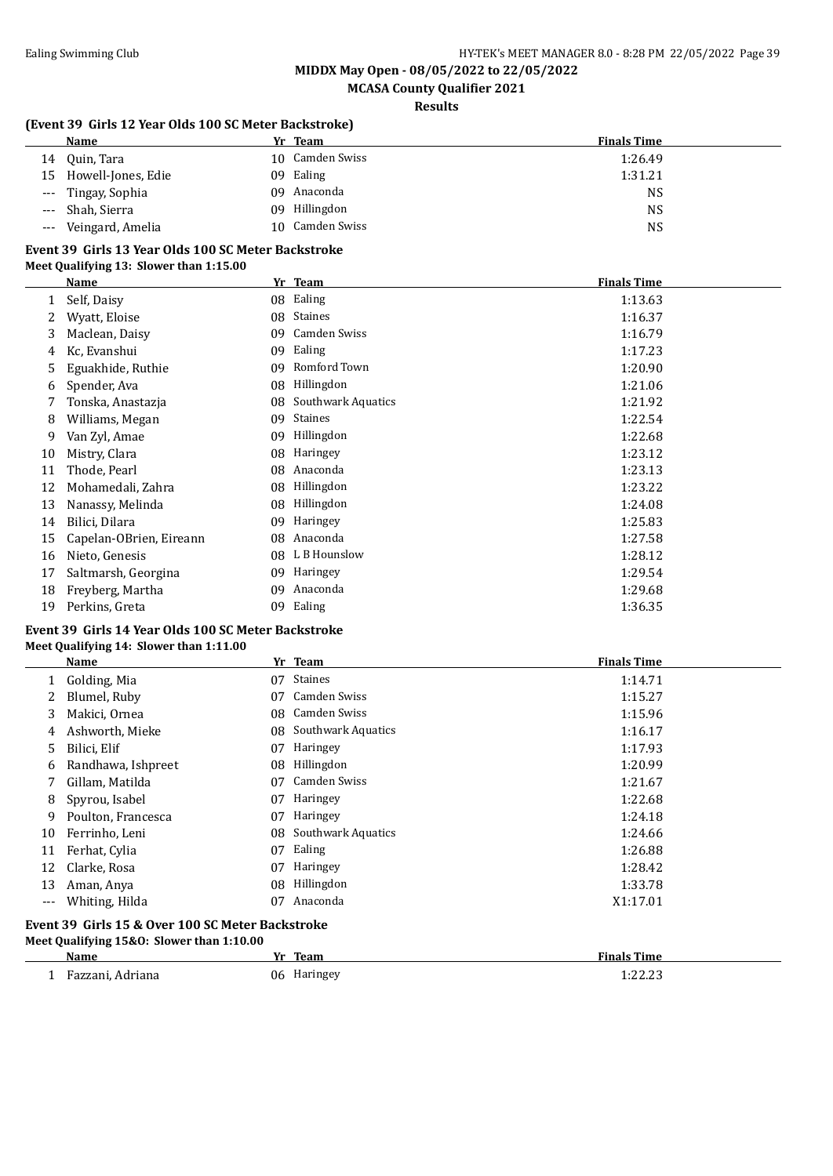**MCASA County Qualifier 2021**

### **Results**

#### **(Event 39 Girls 12 Year Olds 100 SC Meter Backstroke)**

|                     | Name                  | Yr Team         | <b>Finals Time</b> |
|---------------------|-----------------------|-----------------|--------------------|
| 14                  | Quin, Tara            | 10 Camden Swiss | 1:26.49            |
|                     | 15 Howell-Jones, Edie | 09 Ealing       | 1:31.21            |
|                     | --- Tingay, Sophia    | 09 Anaconda     | NS                 |
| $\qquad \qquad - -$ | Shah, Sierra          | 09 Hillingdon   | NS                 |
| $\qquad \qquad - -$ | Veingard, Amelia      | 10 Camden Swiss | NS                 |

#### **Event 39 Girls 13 Year Olds 100 SC Meter Backstroke Meet Qualifying 13: Slower than 1:15.00**

|    | Name                    |    | Yr Team                   | <b>Finals Time</b> |
|----|-------------------------|----|---------------------------|--------------------|
|    | Self, Daisy             | 08 | Ealing                    | 1:13.63            |
|    | Wyatt, Eloise           | 08 | Staines                   | 1:16.37            |
| 3  | Maclean, Daisy          | 09 | Camden Swiss              | 1:16.79            |
| 4  | Kc, Evanshui            | 09 | Ealing                    | 1:17.23            |
| 5  | Eguakhide, Ruthie       | 09 | Romford Town              | 1:20.90            |
| 6  | Spender, Ava            | 08 | Hillingdon                | 1:21.06            |
|    | Tonska, Anastazja       | 08 | <b>Southwark Aquatics</b> | 1:21.92            |
| 8  | Williams, Megan         | 09 | <b>Staines</b>            | 1:22.54            |
| 9  | Van Zyl, Amae           | 09 | Hillingdon                | 1:22.68            |
| 10 | Mistry, Clara           | 08 | Haringey                  | 1:23.12            |
| 11 | Thode, Pearl            | 08 | Anaconda                  | 1:23.13            |
| 12 | Mohamedali, Zahra       | 08 | Hillingdon                | 1:23.22            |
| 13 | Nanassy, Melinda        | 08 | Hillingdon                | 1:24.08            |
| 14 | Bilici, Dilara          | 09 | Haringey                  | 1:25.83            |
| 15 | Capelan-OBrien, Eireann | 08 | Anaconda                  | 1:27.58            |
| 16 | Nieto, Genesis          | 08 | L B Hounslow              | 1:28.12            |
| 17 | Saltmarsh, Georgina     | 09 | Haringey                  | 1:29.54            |
| 18 | Freyberg, Martha        | 09 | Anaconda                  | 1:29.68            |
| 19 | Perkins, Greta          | 09 | Ealing                    | 1:36.35            |

### **Event 39 Girls 14 Year Olds 100 SC Meter Backstroke**

#### **Meet Qualifying 14: Slower than 1:11.00**

|       | Name                                              |    | Yr Team                   | <b>Finals Time</b> |
|-------|---------------------------------------------------|----|---------------------------|--------------------|
| 1     | Golding, Mia                                      | 07 | <b>Staines</b>            | 1:14.71            |
| 2     | Blumel, Ruby                                      | 07 | Camden Swiss              | 1:15.27            |
| 3     | Makici, Ornea                                     | 08 | Camden Swiss              | 1:15.96            |
| 4     | Ashworth, Mieke                                   | 08 | <b>Southwark Aquatics</b> | 1:16.17            |
| 5     | Bilici, Elif                                      | 07 | Haringey                  | 1:17.93            |
| 6     | Randhawa, Ishpreet                                | 08 | Hillingdon                | 1:20.99            |
|       | Gillam, Matilda                                   | 07 | Camden Swiss              | 1:21.67            |
| 8     | Spyrou, Isabel                                    | 07 | Haringey                  | 1:22.68            |
| 9     | Poulton, Francesca                                | 07 | Haringey                  | 1:24.18            |
| 10    | Ferrinho, Leni                                    | 08 | <b>Southwark Aquatics</b> | 1:24.66            |
| 11    | Ferhat, Cylia                                     | 07 | Ealing                    | 1:26.88            |
| 12    | Clarke, Rosa                                      | 07 | Haringey                  | 1:28.42            |
| 13    | Aman, Anya                                        | 08 | Hillingdon                | 1:33.78            |
| $---$ | Whiting, Hilda                                    | 07 | Anaconda                  | X1:17.01           |
|       | Event 39  Girls 15 & Over 100 SC Meter Backstroke |    |                           |                    |

### **Meet Qualifying 15&O: Slower than 1:10.00**

| .<br>wan | m<br>$\cdot$<br>dlll<br>. . | --<br>,,,,, |
|----------|-----------------------------|-------------|
| na<br>.  | 06<br>пагш                  |             |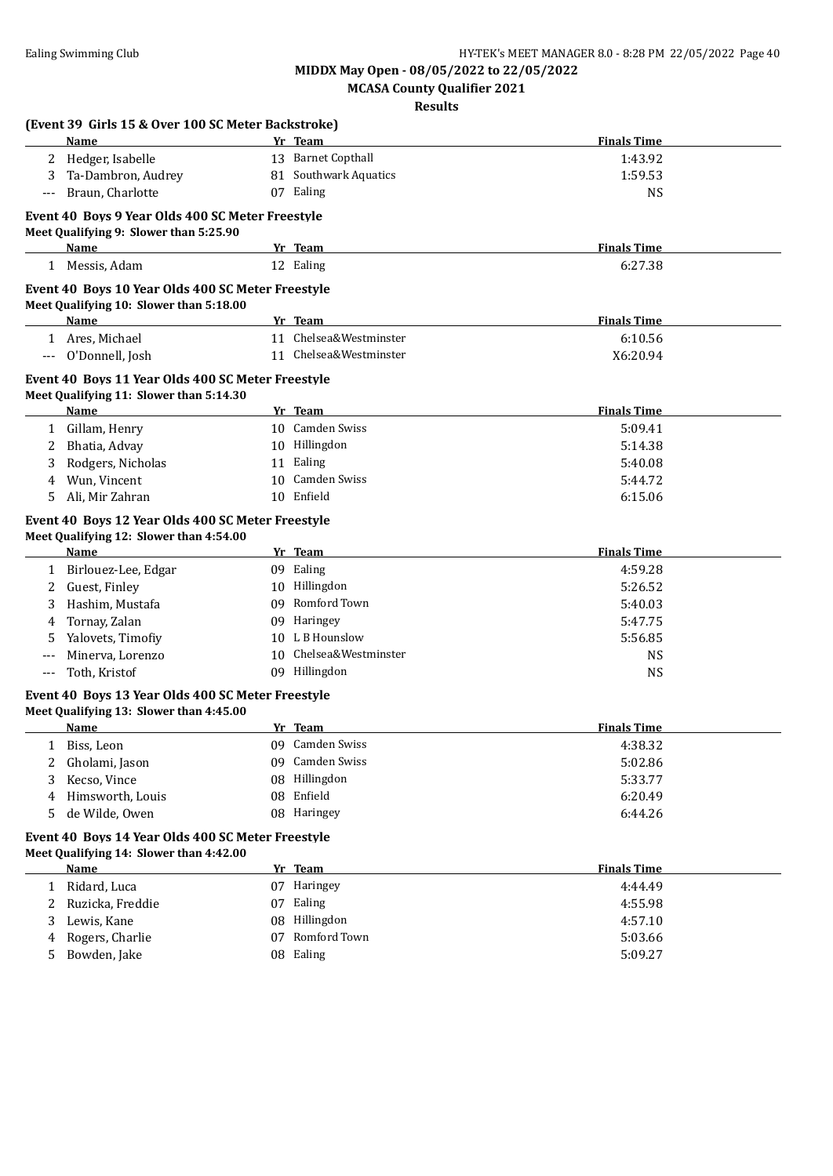**MCASA County Qualifier 2021**

**Results**

| Hedger, Isabelle<br>Ta-Dambron, Audrey<br>Braun, Charlotte<br>Event 40 Boys 9 Year Olds 400 SC Meter Freestyle<br>Meet Qualifying 9: Slower than 5:25.90<br>Name<br>1 Messis, Adam<br>Event 40 Boys 10 Year Olds 400 SC Meter Freestyle<br>Meet Qualifying 10: Slower than 5:18.00<br>Name |                                                                                                                                                                                            | 13 Barnet Copthall<br>81 Southwark Aquatics<br>07 Ealing<br>Yr Team<br>12 Ealing                                                                                         | <b>Finals Time</b><br>1:43.92<br>1:59.53<br>NS<br><b>Finals Time</b>                                                                                                                                                                                                                                                                                                                                                                                                                                                                                                                                                                          |                                                                                                                                                        |
|--------------------------------------------------------------------------------------------------------------------------------------------------------------------------------------------------------------------------------------------------------------------------------------------|--------------------------------------------------------------------------------------------------------------------------------------------------------------------------------------------|--------------------------------------------------------------------------------------------------------------------------------------------------------------------------|-----------------------------------------------------------------------------------------------------------------------------------------------------------------------------------------------------------------------------------------------------------------------------------------------------------------------------------------------------------------------------------------------------------------------------------------------------------------------------------------------------------------------------------------------------------------------------------------------------------------------------------------------|--------------------------------------------------------------------------------------------------------------------------------------------------------|
|                                                                                                                                                                                                                                                                                            |                                                                                                                                                                                            |                                                                                                                                                                          |                                                                                                                                                                                                                                                                                                                                                                                                                                                                                                                                                                                                                                               |                                                                                                                                                        |
|                                                                                                                                                                                                                                                                                            |                                                                                                                                                                                            |                                                                                                                                                                          |                                                                                                                                                                                                                                                                                                                                                                                                                                                                                                                                                                                                                                               |                                                                                                                                                        |
|                                                                                                                                                                                                                                                                                            |                                                                                                                                                                                            |                                                                                                                                                                          |                                                                                                                                                                                                                                                                                                                                                                                                                                                                                                                                                                                                                                               |                                                                                                                                                        |
|                                                                                                                                                                                                                                                                                            |                                                                                                                                                                                            |                                                                                                                                                                          |                                                                                                                                                                                                                                                                                                                                                                                                                                                                                                                                                                                                                                               |                                                                                                                                                        |
|                                                                                                                                                                                                                                                                                            |                                                                                                                                                                                            |                                                                                                                                                                          |                                                                                                                                                                                                                                                                                                                                                                                                                                                                                                                                                                                                                                               |                                                                                                                                                        |
|                                                                                                                                                                                                                                                                                            |                                                                                                                                                                                            |                                                                                                                                                                          |                                                                                                                                                                                                                                                                                                                                                                                                                                                                                                                                                                                                                                               |                                                                                                                                                        |
|                                                                                                                                                                                                                                                                                            |                                                                                                                                                                                            |                                                                                                                                                                          | 6:27.38                                                                                                                                                                                                                                                                                                                                                                                                                                                                                                                                                                                                                                       |                                                                                                                                                        |
|                                                                                                                                                                                                                                                                                            |                                                                                                                                                                                            |                                                                                                                                                                          |                                                                                                                                                                                                                                                                                                                                                                                                                                                                                                                                                                                                                                               |                                                                                                                                                        |
|                                                                                                                                                                                                                                                                                            |                                                                                                                                                                                            | Yr Team                                                                                                                                                                  | <b>Finals Time</b>                                                                                                                                                                                                                                                                                                                                                                                                                                                                                                                                                                                                                            |                                                                                                                                                        |
| 1 Ares, Michael                                                                                                                                                                                                                                                                            |                                                                                                                                                                                            | 11 Chelsea&Westminster                                                                                                                                                   | 6:10.56                                                                                                                                                                                                                                                                                                                                                                                                                                                                                                                                                                                                                                       |                                                                                                                                                        |
| O'Donnell, Josh                                                                                                                                                                                                                                                                            |                                                                                                                                                                                            | 11 Chelsea&Westminster                                                                                                                                                   | X6:20.94                                                                                                                                                                                                                                                                                                                                                                                                                                                                                                                                                                                                                                      |                                                                                                                                                        |
|                                                                                                                                                                                                                                                                                            |                                                                                                                                                                                            |                                                                                                                                                                          |                                                                                                                                                                                                                                                                                                                                                                                                                                                                                                                                                                                                                                               |                                                                                                                                                        |
|                                                                                                                                                                                                                                                                                            |                                                                                                                                                                                            |                                                                                                                                                                          |                                                                                                                                                                                                                                                                                                                                                                                                                                                                                                                                                                                                                                               |                                                                                                                                                        |
| <b>Name</b>                                                                                                                                                                                                                                                                                |                                                                                                                                                                                            |                                                                                                                                                                          | <b>Finals Time</b>                                                                                                                                                                                                                                                                                                                                                                                                                                                                                                                                                                                                                            |                                                                                                                                                        |
| 1 Gillam, Henry                                                                                                                                                                                                                                                                            |                                                                                                                                                                                            |                                                                                                                                                                          | 5:09.41                                                                                                                                                                                                                                                                                                                                                                                                                                                                                                                                                                                                                                       |                                                                                                                                                        |
| Bhatia, Advay                                                                                                                                                                                                                                                                              |                                                                                                                                                                                            |                                                                                                                                                                          | 5:14.38                                                                                                                                                                                                                                                                                                                                                                                                                                                                                                                                                                                                                                       |                                                                                                                                                        |
| Rodgers, Nicholas                                                                                                                                                                                                                                                                          |                                                                                                                                                                                            |                                                                                                                                                                          | 5:40.08                                                                                                                                                                                                                                                                                                                                                                                                                                                                                                                                                                                                                                       |                                                                                                                                                        |
| Wun, Vincent                                                                                                                                                                                                                                                                               |                                                                                                                                                                                            |                                                                                                                                                                          | 5:44.72                                                                                                                                                                                                                                                                                                                                                                                                                                                                                                                                                                                                                                       |                                                                                                                                                        |
| Ali, Mir Zahran                                                                                                                                                                                                                                                                            |                                                                                                                                                                                            |                                                                                                                                                                          | 6:15.06                                                                                                                                                                                                                                                                                                                                                                                                                                                                                                                                                                                                                                       |                                                                                                                                                        |
|                                                                                                                                                                                                                                                                                            |                                                                                                                                                                                            |                                                                                                                                                                          |                                                                                                                                                                                                                                                                                                                                                                                                                                                                                                                                                                                                                                               |                                                                                                                                                        |
|                                                                                                                                                                                                                                                                                            |                                                                                                                                                                                            |                                                                                                                                                                          |                                                                                                                                                                                                                                                                                                                                                                                                                                                                                                                                                                                                                                               |                                                                                                                                                        |
| Name                                                                                                                                                                                                                                                                                       |                                                                                                                                                                                            |                                                                                                                                                                          | <b>Finals Time</b>                                                                                                                                                                                                                                                                                                                                                                                                                                                                                                                                                                                                                            |                                                                                                                                                        |
| 1 Birlouez-Lee, Edgar                                                                                                                                                                                                                                                                      |                                                                                                                                                                                            |                                                                                                                                                                          | 4:59.28                                                                                                                                                                                                                                                                                                                                                                                                                                                                                                                                                                                                                                       |                                                                                                                                                        |
| Guest, Finley                                                                                                                                                                                                                                                                              |                                                                                                                                                                                            |                                                                                                                                                                          | 5:26.52                                                                                                                                                                                                                                                                                                                                                                                                                                                                                                                                                                                                                                       |                                                                                                                                                        |
| Hashim, Mustafa                                                                                                                                                                                                                                                                            |                                                                                                                                                                                            |                                                                                                                                                                          | 5:40.03                                                                                                                                                                                                                                                                                                                                                                                                                                                                                                                                                                                                                                       |                                                                                                                                                        |
| Tornay, Zalan                                                                                                                                                                                                                                                                              |                                                                                                                                                                                            |                                                                                                                                                                          | 5:47.75                                                                                                                                                                                                                                                                                                                                                                                                                                                                                                                                                                                                                                       |                                                                                                                                                        |
| Yalovets, Timofiy                                                                                                                                                                                                                                                                          |                                                                                                                                                                                            |                                                                                                                                                                          | 5:56.85                                                                                                                                                                                                                                                                                                                                                                                                                                                                                                                                                                                                                                       |                                                                                                                                                        |
| Minerva, Lorenzo                                                                                                                                                                                                                                                                           |                                                                                                                                                                                            |                                                                                                                                                                          | <b>NS</b>                                                                                                                                                                                                                                                                                                                                                                                                                                                                                                                                                                                                                                     |                                                                                                                                                        |
| Toth, Kristof                                                                                                                                                                                                                                                                              |                                                                                                                                                                                            |                                                                                                                                                                          | <b>NS</b>                                                                                                                                                                                                                                                                                                                                                                                                                                                                                                                                                                                                                                     |                                                                                                                                                        |
|                                                                                                                                                                                                                                                                                            |                                                                                                                                                                                            |                                                                                                                                                                          |                                                                                                                                                                                                                                                                                                                                                                                                                                                                                                                                                                                                                                               |                                                                                                                                                        |
|                                                                                                                                                                                                                                                                                            |                                                                                                                                                                                            |                                                                                                                                                                          |                                                                                                                                                                                                                                                                                                                                                                                                                                                                                                                                                                                                                                               |                                                                                                                                                        |
|                                                                                                                                                                                                                                                                                            |                                                                                                                                                                                            |                                                                                                                                                                          |                                                                                                                                                                                                                                                                                                                                                                                                                                                                                                                                                                                                                                               |                                                                                                                                                        |
|                                                                                                                                                                                                                                                                                            |                                                                                                                                                                                            |                                                                                                                                                                          |                                                                                                                                                                                                                                                                                                                                                                                                                                                                                                                                                                                                                                               |                                                                                                                                                        |
|                                                                                                                                                                                                                                                                                            |                                                                                                                                                                                            |                                                                                                                                                                          |                                                                                                                                                                                                                                                                                                                                                                                                                                                                                                                                                                                                                                               |                                                                                                                                                        |
|                                                                                                                                                                                                                                                                                            |                                                                                                                                                                                            |                                                                                                                                                                          |                                                                                                                                                                                                                                                                                                                                                                                                                                                                                                                                                                                                                                               |                                                                                                                                                        |
|                                                                                                                                                                                                                                                                                            |                                                                                                                                                                                            |                                                                                                                                                                          |                                                                                                                                                                                                                                                                                                                                                                                                                                                                                                                                                                                                                                               |                                                                                                                                                        |
|                                                                                                                                                                                                                                                                                            |                                                                                                                                                                                            |                                                                                                                                                                          |                                                                                                                                                                                                                                                                                                                                                                                                                                                                                                                                                                                                                                               |                                                                                                                                                        |
|                                                                                                                                                                                                                                                                                            |                                                                                                                                                                                            |                                                                                                                                                                          |                                                                                                                                                                                                                                                                                                                                                                                                                                                                                                                                                                                                                                               |                                                                                                                                                        |
|                                                                                                                                                                                                                                                                                            |                                                                                                                                                                                            |                                                                                                                                                                          |                                                                                                                                                                                                                                                                                                                                                                                                                                                                                                                                                                                                                                               |                                                                                                                                                        |
|                                                                                                                                                                                                                                                                                            |                                                                                                                                                                                            |                                                                                                                                                                          |                                                                                                                                                                                                                                                                                                                                                                                                                                                                                                                                                                                                                                               |                                                                                                                                                        |
|                                                                                                                                                                                                                                                                                            |                                                                                                                                                                                            |                                                                                                                                                                          |                                                                                                                                                                                                                                                                                                                                                                                                                                                                                                                                                                                                                                               |                                                                                                                                                        |
|                                                                                                                                                                                                                                                                                            |                                                                                                                                                                                            |                                                                                                                                                                          |                                                                                                                                                                                                                                                                                                                                                                                                                                                                                                                                                                                                                                               |                                                                                                                                                        |
|                                                                                                                                                                                                                                                                                            |                                                                                                                                                                                            |                                                                                                                                                                          |                                                                                                                                                                                                                                                                                                                                                                                                                                                                                                                                                                                                                                               |                                                                                                                                                        |
|                                                                                                                                                                                                                                                                                            |                                                                                                                                                                                            |                                                                                                                                                                          |                                                                                                                                                                                                                                                                                                                                                                                                                                                                                                                                                                                                                                               |                                                                                                                                                        |
|                                                                                                                                                                                                                                                                                            | Name<br>Biss, Leon<br>Gholami, Jason<br>Kecso, Vince<br>Himsworth, Louis<br>de Wilde, Owen<br>Name<br>1 Ridard, Luca<br>Ruzicka, Freddie<br>Lewis, Kane<br>Rogers, Charlie<br>Bowden, Jake | Meet Qualifying 11: Slower than 5:14.30<br>Meet Qualifying 12: Slower than 4:54.00<br>Meet Qualifying 13: Slower than 4:45.00<br>Meet Qualifying 14: Slower than 4:42.00 | Event 40 Boys 11 Year Olds 400 SC Meter Freestyle<br>Yr Team<br>10 Camden Swiss<br>10 Hillingdon<br>11 Ealing<br>10 Camden Swiss<br>10 Enfield<br>Event 40 Boys 12 Year Olds 400 SC Meter Freestyle<br>Yr Team<br>09 Ealing<br>10 Hillingdon<br>09 Romford Town<br>09 Haringey<br>10 L B Hounslow<br>10 Chelsea&Westminster<br>09 Hillingdon<br>Event 40 Boys 13 Year Olds 400 SC Meter Freestyle<br>Yr Team<br>09 Camden Swiss<br>09 Camden Swiss<br>08 Hillingdon<br>08 Enfield<br>08 Haringey<br>Event 40 Boys 14 Year Olds 400 SC Meter Freestyle<br>Yr Team<br>07 Haringey<br>07 Ealing<br>08 Hillingdon<br>07 Romford Town<br>08 Ealing | <b>Finals Time</b><br>4:38.32<br>5:02.86<br>5:33.77<br>6:20.49<br>6:44.26<br><b>Finals Time</b><br>4:44.49<br>4:55.98<br>4:57.10<br>5:03.66<br>5:09.27 |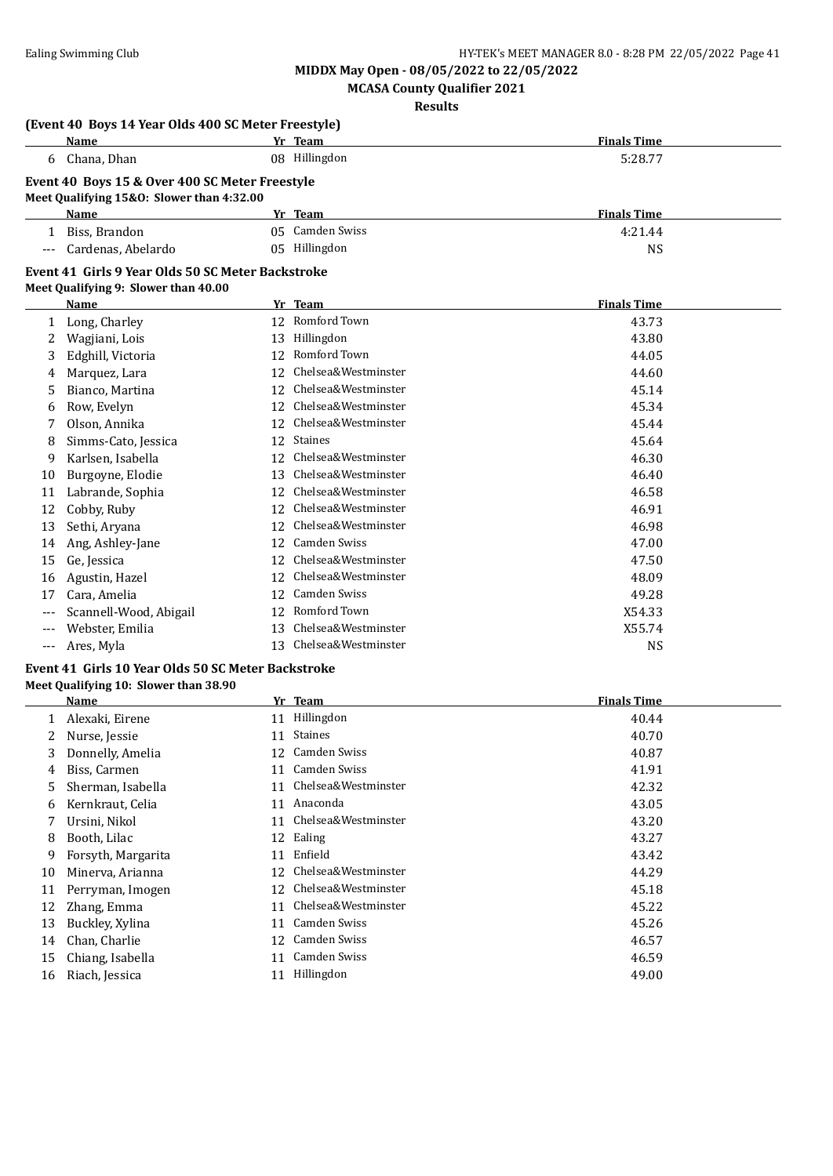**MCASA County Qualifier 2021**

**Results**

|              | (Event 40 Boys 14 Year Olds 400 SC Meter Freestyle) |     |                        |                    |  |
|--------------|-----------------------------------------------------|-----|------------------------|--------------------|--|
|              | Name                                                |     | Yr Team                | <b>Finals Time</b> |  |
|              | 6 Chana, Dhan                                       |     | 08 Hillingdon          | 5:28.77            |  |
|              | Event 40 Boys 15 & Over 400 SC Meter Freestyle      |     |                        |                    |  |
|              | Meet Qualifying 15&0: Slower than 4:32.00           |     |                        |                    |  |
|              | <b>Name</b>                                         |     | Yr Team                | <b>Finals Time</b> |  |
| $\mathbf{1}$ | Biss, Brandon                                       |     | 05 Camden Swiss        | 4:21.44            |  |
| $---$        | Cardenas, Abelardo                                  |     | 05 Hillingdon          | <b>NS</b>          |  |
|              | Event 41 Girls 9 Year Olds 50 SC Meter Backstroke   |     |                        |                    |  |
|              | Meet Qualifying 9: Slower than 40.00                |     |                        |                    |  |
|              | Name                                                |     | Yr Team                | <b>Finals Time</b> |  |
| 1            | Long, Charley                                       |     | 12 Romford Town        | 43.73              |  |
| 2            | Wagjiani, Lois                                      | 13  | Hillingdon             | 43.80              |  |
| 3            | Edghill, Victoria                                   | 12  | Romford Town           | 44.05              |  |
| 4            | Marquez, Lara                                       | 12  | Chelsea&Westminster    | 44.60              |  |
| 5            | Bianco, Martina                                     | 12  | Chelsea&Westminster    | 45.14              |  |
| 6            | Row, Evelyn                                         | 12  | Chelsea&Westminster    | 45.34              |  |
|              | Olson, Annika                                       | 12  | Chelsea&Westminster    | 45.44              |  |
| 8            | Simms-Cato, Jessica                                 | 12  | Staines                | 45.64              |  |
| 9            | Karlsen, Isabella                                   | 12  | Chelsea&Westminster    | 46.30              |  |
| 10           | Burgoyne, Elodie                                    | 13. | Chelsea&Westminster    | 46.40              |  |
| 11           | Labrande, Sophia                                    | 12  | Chelsea&Westminster    | 46.58              |  |
| 12           | Cobby, Ruby                                         | 12  | Chelsea&Westminster    | 46.91              |  |
| 13           | Sethi, Aryana                                       | 12  | Chelsea&Westminster    | 46.98              |  |
| 14           | Ang, Ashley-Jane                                    | 12  | <b>Camden Swiss</b>    | 47.00              |  |
| 15           | Ge, Jessica                                         | 12  | Chelsea&Westminster    | 47.50              |  |
| 16           | Agustin, Hazel                                      | 12  | Chelsea&Westminster    | 48.09              |  |
| 17           | Cara, Amelia                                        | 12  | <b>Camden Swiss</b>    | 49.28              |  |
|              | Scannell-Wood, Abigail                              | 12  | Romford Town           | X54.33             |  |
| $---$        | Webster, Emilia                                     | 13  | Chelsea&Westminster    | X55.74             |  |
| $---$        | Ares, Myla                                          |     | 13 Chelsea&Westminster | <b>NS</b>          |  |
|              | Event 41 Girls 10 Year Olds 50 SC Meter Backstroke  |     |                        |                    |  |

# **Meet Qualifying 10: Slower than 38.90**

|    | Name               |    | Yr Team             | <b>Finals Time</b> |
|----|--------------------|----|---------------------|--------------------|
|    | Alexaki, Eirene    | 11 | Hillingdon          | 40.44              |
| 2  | Nurse, Jessie      | 11 | <b>Staines</b>      | 40.70              |
| 3  | Donnelly, Amelia   | 12 | Camden Swiss        | 40.87              |
| 4  | Biss, Carmen       | 11 | <b>Camden Swiss</b> | 41.91              |
| 5  | Sherman, Isabella  | 11 | Chelsea&Westminster | 42.32              |
| 6  | Kernkraut, Celia   | 11 | Anaconda            | 43.05              |
|    | Ursini, Nikol      | 11 | Chelsea&Westminster | 43.20              |
| 8  | Booth, Lilac       |    | 12 Ealing           | 43.27              |
| 9  | Forsyth, Margarita | 11 | Enfield             | 43.42              |
| 10 | Minerva, Arianna   | 12 | Chelsea&Westminster | 44.29              |
| 11 | Perryman, Imogen   | 12 | Chelsea&Westminster | 45.18              |
| 12 | Zhang, Emma        | 11 | Chelsea&Westminster | 45.22              |
| 13 | Buckley, Xylina    | 11 | Camden Swiss        | 45.26              |
| 14 | Chan, Charlie      | 12 | Camden Swiss        | 46.57              |
| 15 | Chiang, Isabella   | 11 | Camden Swiss        | 46.59              |
| 16 | Riach, Jessica     | 11 | Hillingdon          | 49.00              |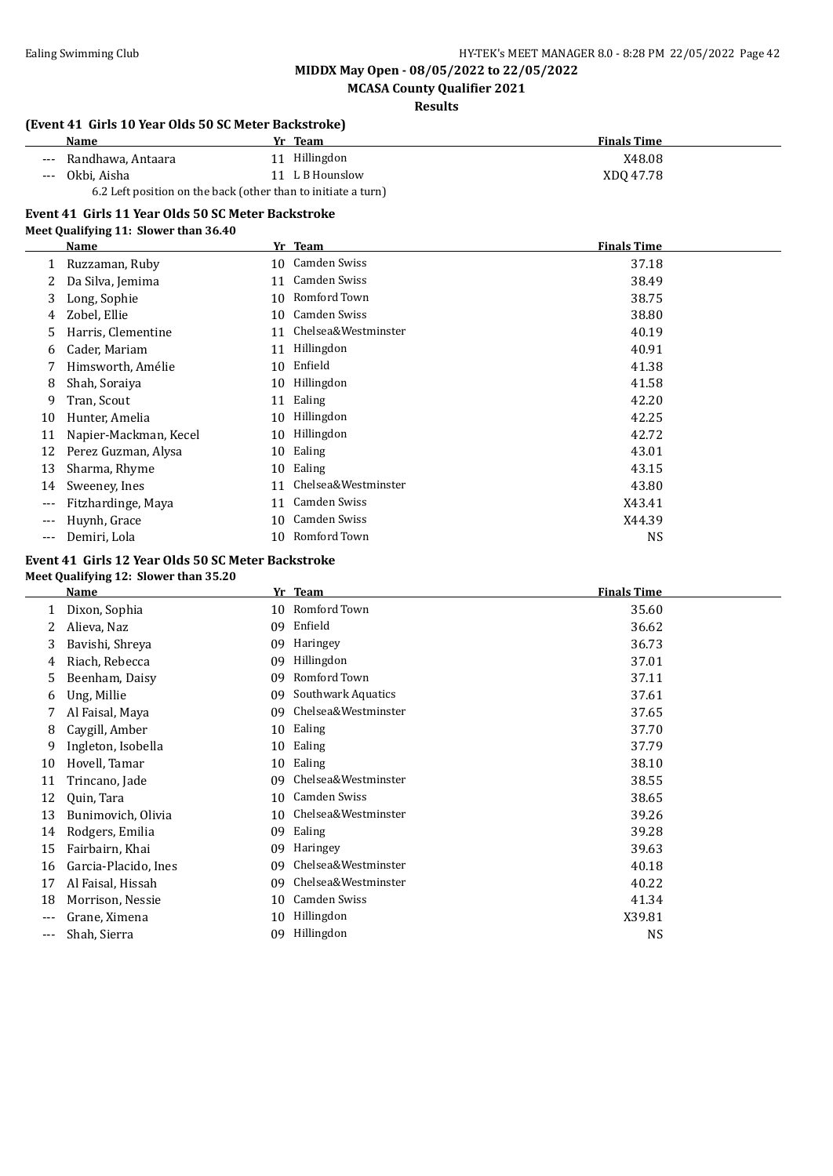### **MCASA County Qualifier 2021**

**Results**

### **(Event 41 Girls 10 Year Olds 50 SC Meter Backstroke)**

| <b>Name</b>                                                   | Team<br>Vr.     | <b>Finals Time</b> |
|---------------------------------------------------------------|-----------------|--------------------|
| --- Randhawa, Antaara                                         | 11 Hillingdon   | X48.08             |
| 0kbi. Aisha<br>$---$                                          | 11 L B Hounslow | XDO 47.78          |
| 6.2 Left position on the back (other than to initiate a turn) |                 |                    |

#### **Event 41 Girls 11 Year Olds 50 SC Meter Backstroke**

#### **Meet Qualifying 11: Slower than 36.40**

|     | <b>Name</b>           |    | Yr Team             | <b>Finals Time</b> |  |
|-----|-----------------------|----|---------------------|--------------------|--|
|     | Ruzzaman, Ruby        | 10 | Camden Swiss        | 37.18              |  |
|     | Da Silva, Jemima      | 11 | Camden Swiss        | 38.49              |  |
| 3   | Long, Sophie          | 10 | Romford Town        | 38.75              |  |
| 4   | Zobel, Ellie          | 10 | Camden Swiss        | 38.80              |  |
| 5   | Harris, Clementine    | 11 | Chelsea&Westminster | 40.19              |  |
| 6   | Cader, Mariam         | 11 | Hillingdon          | 40.91              |  |
|     | Himsworth, Amélie     | 10 | Enfield             | 41.38              |  |
| 8   | Shah, Soraiya         | 10 | Hillingdon          | 41.58              |  |
| 9   | Tran, Scout           | 11 | Ealing              | 42.20              |  |
| 10  | Hunter, Amelia        | 10 | Hillingdon          | 42.25              |  |
| 11  | Napier-Mackman, Kecel | 10 | Hillingdon          | 42.72              |  |
| 12  | Perez Guzman, Alysa   | 10 | Ealing              | 43.01              |  |
| 13  | Sharma, Rhyme         | 10 | Ealing              | 43.15              |  |
| 14  | Sweeney, Ines         | 11 | Chelsea&Westminster | 43.80              |  |
| --- | Fitzhardinge, Maya    | 11 | Camden Swiss        | X43.41             |  |
| --- | Huynh, Grace          | 10 | Camden Swiss        | X44.39             |  |
| --- | Demiri, Lola          | 10 | Romford Town        | <b>NS</b>          |  |

### **Event 41 Girls 12 Year Olds 50 SC Meter Backstroke**

#### **Meet Qualifying 12: Slower than 35.20**

|     | <b>Name</b>          | Yr | <b>Team</b>         | <b>Finals Time</b> |
|-----|----------------------|----|---------------------|--------------------|
|     | Dixon, Sophia        | 10 | Romford Town        | 35.60              |
| 2   | Alieva, Naz          | 09 | Enfield             | 36.62              |
| 3   | Bavishi, Shreya      | 09 | Haringey            | 36.73              |
| 4   | Riach, Rebecca       | 09 | Hillingdon          | 37.01              |
| 5   | Beenham, Daisy       | 09 | Romford Town        | 37.11              |
| 6   | Ung, Millie          | 09 | Southwark Aquatics  | 37.61              |
| 7   | Al Faisal, Maya      | 09 | Chelsea&Westminster | 37.65              |
| 8   | Caygill, Amber       | 10 | Ealing              | 37.70              |
| 9   | Ingleton, Isobella   | 10 | Ealing              | 37.79              |
| 10  | Hovell, Tamar        | 10 | Ealing              | 38.10              |
| 11  | Trincano, Jade       | 09 | Chelsea&Westminster | 38.55              |
| 12  | Quin, Tara           | 10 | Camden Swiss        | 38.65              |
| 13  | Bunimovich, Olivia   | 10 | Chelsea&Westminster | 39.26              |
| 14  | Rodgers, Emilia      | 09 | Ealing              | 39.28              |
| 15  | Fairbairn, Khai      | 09 | Haringey            | 39.63              |
| 16  | Garcia-Placido, Ines | 09 | Chelsea&Westminster | 40.18              |
| 17  | Al Faisal, Hissah    | 09 | Chelsea&Westminster | 40.22              |
| 18  | Morrison, Nessie     | 10 | <b>Camden Swiss</b> | 41.34              |
|     | Grane, Ximena        | 10 | Hillingdon          | X39.81             |
| --- | Shah, Sierra         | 09 | Hillingdon          | <b>NS</b>          |
|     |                      |    |                     |                    |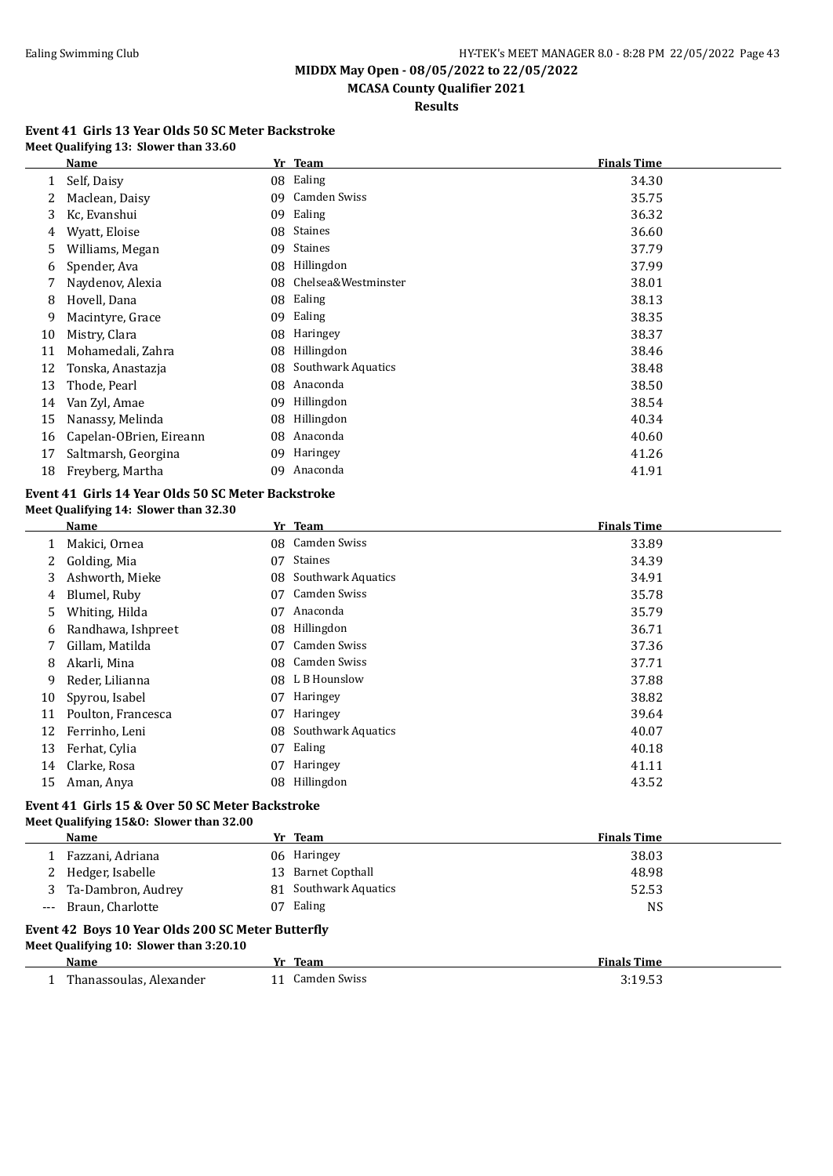# **MCASA County Qualifier 2021**

**Results**

#### **Event 41 Girls 13 Year Olds 50 SC Meter Backstroke Meet Qualifying 13: Slower than 33.60**

|    | Name                    | Yr | <b>Team</b>               | <b>Finals Time</b> |
|----|-------------------------|----|---------------------------|--------------------|
|    | Self, Daisy             | 08 | Ealing                    | 34.30              |
|    | Maclean, Daisy          | 09 | Camden Swiss              | 35.75              |
| 3  | Kc, Evanshui            | 09 | Ealing                    | 36.32              |
| 4  | Wyatt, Eloise           | 08 | Staines                   | 36.60              |
| 5  | Williams, Megan         | 09 | <b>Staines</b>            | 37.79              |
| 6  | Spender, Ava            | 08 | Hillingdon                | 37.99              |
|    | Naydenov, Alexia        | 08 | Chelsea&Westminster       | 38.01              |
| 8  | Hovell, Dana            | 08 | Ealing                    | 38.13              |
| 9  | Macintyre, Grace        | 09 | Ealing                    | 38.35              |
| 10 | Mistry, Clara           | 08 | Haringey                  | 38.37              |
| 11 | Mohamedali, Zahra       | 08 | Hillingdon                | 38.46              |
| 12 | Tonska, Anastazja       | 08 | <b>Southwark Aquatics</b> | 38.48              |
| 13 | Thode, Pearl            | 08 | Anaconda                  | 38.50              |
| 14 | Van Zyl, Amae           | 09 | Hillingdon                | 38.54              |
| 15 | Nanassy, Melinda        | 08 | Hillingdon                | 40.34              |
| 16 | Capelan-OBrien, Eireann | 08 | Anaconda                  | 40.60              |
| 17 | Saltmarsh, Georgina     | 09 | Haringey                  | 41.26              |
| 18 | Freyberg, Martha        | 09 | Anaconda                  | 41.91              |

#### **Event 41 Girls 14 Year Olds 50 SC Meter Backstroke Meet Qualifying 14: Slower than 32.30**

|    | Name               |     | Yr Team             | <b>Finals Time</b> |
|----|--------------------|-----|---------------------|--------------------|
|    | Makici, Ornea      | 08  | Camden Swiss        | 33.89              |
| 2  | Golding, Mia       | 07  | <b>Staines</b>      | 34.39              |
| 3  | Ashworth, Mieke    | 08  | Southwark Aquatics  | 34.91              |
| 4  | Blumel, Ruby       | 07  | <b>Camden Swiss</b> | 35.78              |
| 5  | Whiting, Hilda     | 07  | Anaconda            | 35.79              |
| 6  | Randhawa, Ishpreet | 08  | Hillingdon          | 36.71              |
| 7  | Gillam, Matilda    | 07  | Camden Swiss        | 37.36              |
| 8  | Akarli, Mina       | 08  | Camden Swiss        | 37.71              |
| 9  | Reder, Lilianna    | 08. | L B Hounslow        | 37.88              |
| 10 | Spyrou, Isabel     | 07  | Haringey            | 38.82              |
| 11 | Poulton, Francesca | 07  | Haringey            | 39.64              |
| 12 | Ferrinho, Leni     | 08  | Southwark Aquatics  | 40.07              |
| 13 | Ferhat, Cylia      | 07  | Ealing              | 40.18              |
| 14 | Clarke, Rosa       | 07  | Haringey            | 41.11              |
| 15 | Aman, Anya         | 08  | Hillingdon          | 43.52              |

#### **Event 41 Girls 15 & Over 50 SC Meter Backstroke Meet Qualifying 15&O: Slower than 32.00**

|                                                   | Name                 |     | Yr Team            | <b>Finals Time</b> |
|---------------------------------------------------|----------------------|-----|--------------------|--------------------|
|                                                   | Fazzani, Adriana     | 06- | Haringey           | 38.03              |
| 2                                                 | Hedger, Isabelle     |     | 13 Barnet Copthall | 48.98              |
| 3.                                                | Ta-Dambron, Audrey   | 81. | Southwark Aquatics | 52.53              |
|                                                   | --- Braun, Charlotte | 07  | Ealing             | NS                 |
| Event 42 Boys 10 Year Olds 200 SC Meter Butterfly |                      |     |                    |                    |
| Meet Qualifying 10: Slower than 3:20.10           |                      |     |                    |                    |
|                                                   |                      |     |                    | _____              |

| alom -<br>.                       | eam                | <b>CONTRACTOR</b><br>ше          |
|-----------------------------------|--------------------|----------------------------------|
| بر Thanassoulas<br>Alexander<br>. | . amden Swiss<br>. | $\sim$ $\sim$ $\sim$ $\sim$<br>. |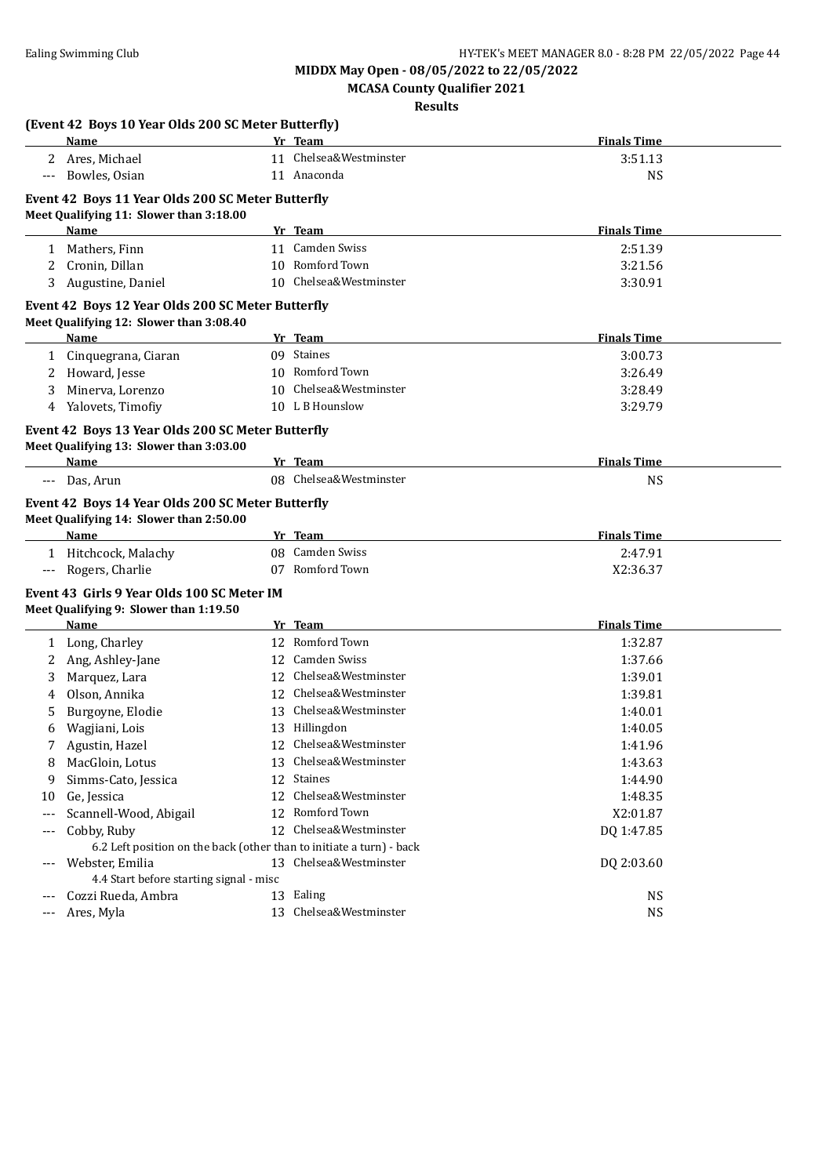**MCASA County Qualifier 2021**

**Results**

|       | (Event 42 Boys 10 Year Olds 200 SC Meter Butterfly)                  |    |                        |                    |  |
|-------|----------------------------------------------------------------------|----|------------------------|--------------------|--|
|       | Name                                                                 |    | Yr Team                | <b>Finals Time</b> |  |
|       | 2 Ares, Michael                                                      |    | 11 Chelsea&Westminster | 3:51.13            |  |
| $---$ | Bowles, Osian                                                        |    | 11 Anaconda            | <b>NS</b>          |  |
|       | Event 42 Boys 11 Year Olds 200 SC Meter Butterfly                    |    |                        |                    |  |
|       | Meet Qualifying 11: Slower than 3:18.00                              |    |                        |                    |  |
|       | Name                                                                 |    | Yr Team                | <b>Finals Time</b> |  |
|       | 1 Mathers, Finn                                                      |    | 11 Camden Swiss        | 2:51.39            |  |
| 2     | Cronin, Dillan                                                       |    | 10 Romford Town        | 3:21.56            |  |
| 3     | Augustine, Daniel                                                    |    | 10 Chelsea&Westminster | 3:30.91            |  |
|       | Event 42 Boys 12 Year Olds 200 SC Meter Butterfly                    |    |                        |                    |  |
|       | Meet Qualifying 12: Slower than 3:08.40                              |    |                        |                    |  |
|       | <u>Name</u>                                                          |    | Yr Team                | <b>Finals Time</b> |  |
|       | 1 Cinquegrana, Ciaran                                                |    | 09 Staines             | 3:00.73            |  |
| 2     | Howard, Jesse                                                        |    | 10 Romford Town        | 3:26.49            |  |
| 3     | Minerva, Lorenzo                                                     | 10 | Chelsea&Westminster    | 3:28.49            |  |
|       | 4 Yalovets, Timofiy                                                  |    | 10 L B Hounslow        | 3:29.79            |  |
|       | Event 42 Boys 13 Year Olds 200 SC Meter Butterfly                    |    |                        |                    |  |
|       | Meet Qualifying 13: Slower than 3:03.00                              |    |                        |                    |  |
|       | <b>Name</b>                                                          |    | Yr Team                | <b>Finals Time</b> |  |
|       | Das, Arun                                                            |    | 08 Chelsea&Westminster | <b>NS</b>          |  |
|       | Event 42 Boys 14 Year Olds 200 SC Meter Butterfly                    |    |                        |                    |  |
|       | Meet Qualifying 14: Slower than 2:50.00                              |    |                        |                    |  |
|       | Name                                                                 |    | Yr Team                | <b>Finals Time</b> |  |
|       | 1 Hitchcock, Malachy                                                 |    | 08 Camden Swiss        | 2:47.91            |  |
| $---$ | Rogers, Charlie                                                      |    | 07 Romford Town        | X2:36.37           |  |
|       | Event 43 Girls 9 Year Olds 100 SC Meter IM                           |    |                        |                    |  |
|       | Meet Qualifying 9: Slower than 1:19.50                               |    |                        |                    |  |
|       | Name                                                                 |    | Yr Team                | <b>Finals Time</b> |  |
|       | 1 Long, Charley                                                      |    | 12 Romford Town        | 1:32.87            |  |
| 2     | Ang, Ashley-Jane                                                     |    | 12 Camden Swiss        | 1:37.66            |  |
| 3     | Marquez, Lara                                                        |    | 12 Chelsea&Westminster | 1:39.01            |  |
| 4     | Olson, Annika                                                        |    | 12 Chelsea&Westminster | 1:39.81            |  |
| 5     | Burgoyne, Elodie                                                     |    | 13 Chelsea&Westminster | 1:40.01            |  |
| 6     | Wagjiani, Lois                                                       |    | 13 Hillingdon          | 1:40.05            |  |
| 7     | Agustin, Hazel                                                       |    | 12 Chelsea&Westminster | 1:41.96            |  |
| 8     | MacGloin, Lotus                                                      |    | 13 Chelsea&Westminster | 1:43.63            |  |
| 9     | Simms-Cato, Jessica                                                  |    | 12 Staines             | 1:44.90            |  |
| 10    | Ge, Jessica                                                          | 12 | Chelsea&Westminster    | 1:48.35            |  |
| $---$ | Scannell-Wood, Abigail                                               |    | 12 Romford Town        | X2:01.87           |  |
|       | Cobby, Ruby                                                          | 12 | Chelsea&Westminster    | DQ 1:47.85         |  |
|       | 6.2 Left position on the back (other than to initiate a turn) - back |    |                        |                    |  |
|       | Webster, Emilia                                                      |    | 13 Chelsea&Westminster | DQ 2:03.60         |  |
|       | 4.4 Start before starting signal - misc                              |    |                        |                    |  |
| $---$ | Cozzi Rueda, Ambra                                                   |    | 13 Ealing              | <b>NS</b>          |  |
| $---$ | Ares, Myla                                                           |    | 13 Chelsea&Westminster | NS                 |  |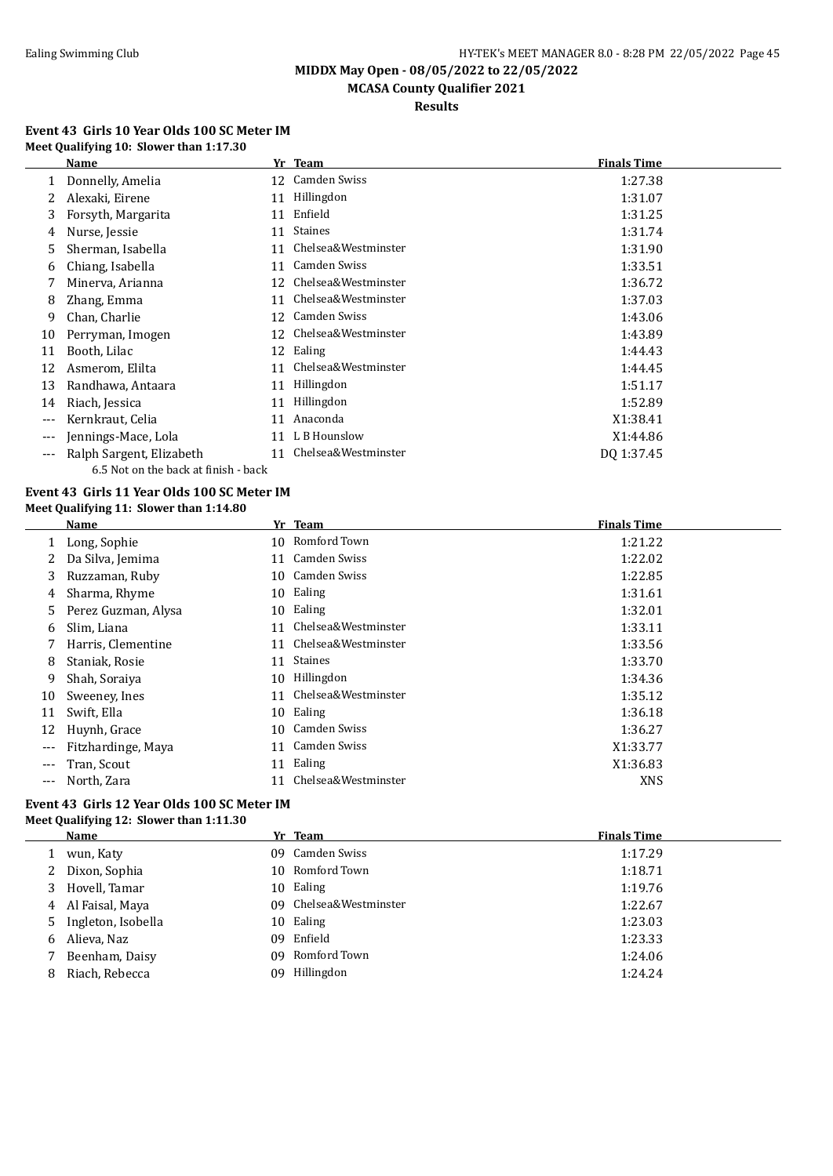#### Ealing Swimming Club **HY-TEK's MEET MANAGER 8.0 - 8:28 PM 22/05/2022** Page 45

**MIDDX May Open - 08/05/2022 to 22/05/2022**

# **MCASA County Qualifier 2021**

**Results**

#### **Event 43 Girls 10 Year Olds 100 SC Meter IM Meet Qualifying 10: Slower than 1:17.30**

|     | Name                                 |    | Yr Team             | <b>Finals Time</b> |
|-----|--------------------------------------|----|---------------------|--------------------|
|     | Donnelly, Amelia                     |    | 12 Camden Swiss     | 1:27.38            |
|     | Alexaki, Eirene                      | 11 | Hillingdon          | 1:31.07            |
| 3   | Forsyth, Margarita                   | 11 | Enfield             | 1:31.25            |
| 4   | Nurse, Jessie                        | 11 | Staines             | 1:31.74            |
| 5   | Sherman, Isabella                    | 11 | Chelsea&Westminster | 1:31.90            |
| 6   | Chiang, Isabella                     | 11 | <b>Camden Swiss</b> | 1:33.51            |
|     | Minerva, Arianna                     | 12 | Chelsea&Westminster | 1:36.72            |
| 8   | Zhang, Emma                          | 11 | Chelsea&Westminster | 1:37.03            |
| 9   | Chan, Charlie                        | 12 | Camden Swiss        | 1:43.06            |
| 10  | Perryman, Imogen                     | 12 | Chelsea&Westminster | 1:43.89            |
| 11  | Booth, Lilac                         |    | 12 Ealing           | 1:44.43            |
| 12  | Asmerom, Elilta                      | 11 | Chelsea&Westminster | 1:44.45            |
| 13  | Randhawa, Antaara                    | 11 | Hillingdon          | 1:51.17            |
| 14  | Riach, Jessica                       | 11 | Hillingdon          | 1:52.89            |
| --- | Kernkraut, Celia                     | 11 | Anaconda            | X1:38.41           |
| --- | Jennings-Mace, Lola                  | 11 | L B Hounslow        | X1:44.86           |
| --- | Ralph Sargent, Elizabeth             | 11 | Chelsea&Westminster | DQ 1:37.45         |
|     | 6.5 Not on the back at finish - back |    |                     |                    |

#### **Event 43 Girls 11 Year Olds 100 SC Meter IM Meet Qualifying 11: Slower than 1:14.80**

|       | Name                |    | Yr Team             | <b>Finals Time</b> |
|-------|---------------------|----|---------------------|--------------------|
|       | Long, Sophie        | 10 | Romford Town        | 1:21.22            |
|       | Da Silva, Jemima    | 11 | Camden Swiss        | 1:22.02            |
| 3.    | Ruzzaman, Ruby      | 10 | Camden Swiss        | 1:22.85            |
| 4     | Sharma, Rhyme       | 10 | Ealing              | 1:31.61            |
| 5.    | Perez Guzman, Alysa | 10 | Ealing              | 1:32.01            |
| b     | Slim, Liana         | 11 | Chelsea&Westminster | 1:33.11            |
|       | Harris, Clementine  | 11 | Chelsea&Westminster | 1:33.56            |
| 8     | Staniak, Rosie      | 11 | <b>Staines</b>      | 1:33.70            |
| 9     | Shah, Soraiya       | 10 | Hillingdon          | 1:34.36            |
| 10    | Sweeney, Ines       | 11 | Chelsea&Westminster | 1:35.12            |
| 11    | Swift, Ella         | 10 | Ealing              | 1:36.18            |
| 12    | Huynh, Grace        | 10 | Camden Swiss        | 1:36.27            |
| $---$ | Fitzhardinge, Maya  | 11 | Camden Swiss        | X1:33.77           |
| $---$ | Tran, Scout         | 11 | Ealing              | X1:36.83           |
| $---$ | North, Zara         |    | Chelsea&Westminster | <b>XNS</b>         |

#### **Event 43 Girls 12 Year Olds 100 SC Meter IM Meet Qualifying 12: Slower than 1:11.30**

|   | <b>Name</b>          |     | Yr Team                | <b>Finals Time</b> |
|---|----------------------|-----|------------------------|--------------------|
|   | wun, Katy            |     | 09 Camden Swiss        | 1:17.29            |
|   | 2 Dixon, Sophia      | 10  | Romford Town           | 1:18.71            |
| 3 | Hovell, Tamar        | 10. | Ealing                 | 1:19.76            |
|   | 4 Al Faisal, Maya    |     | 09 Chelsea&Westminster | 1:22.67            |
|   | 5 Ingleton, Isobella | 10  | Ealing                 | 1:23.03            |
| 6 | Alieva, Naz          | 09  | Enfield                | 1:23.33            |
|   | Beenham, Daisy       | 09  | Romford Town           | 1:24.06            |
| 8 | Riach, Rebecca       | 09  | Hillingdon             | 1:24.24            |
|   |                      |     |                        |                    |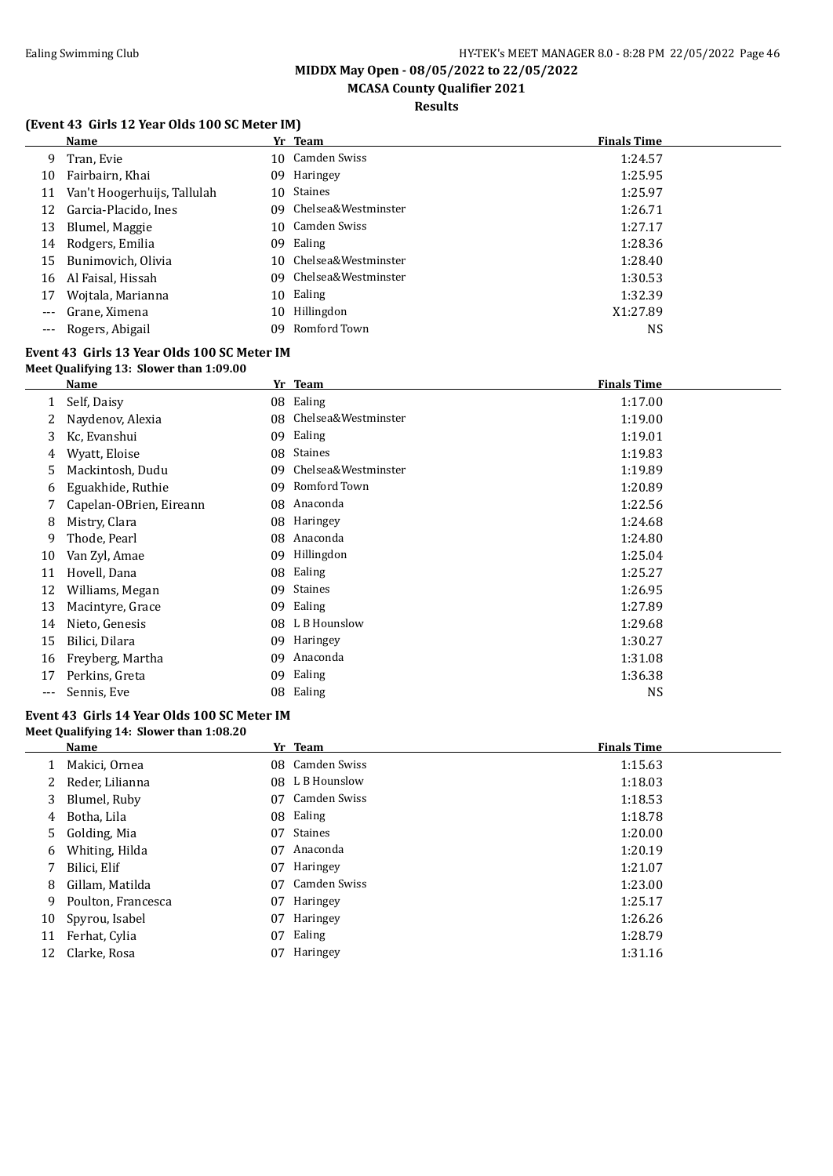# **MCASA County Qualifier 2021**

### **Results**

### **(Event 43 Girls 12 Year Olds 100 SC Meter IM)**

|       | <b>Name</b>                 |     | Yr Team                | <b>Finals Time</b> |
|-------|-----------------------------|-----|------------------------|--------------------|
| 9.    | Tran, Evie                  |     | 10 Camden Swiss        | 1:24.57            |
| 10    | Fairbairn, Khai             | 09  | Haringey               | 1:25.95            |
| 11    | Van't Hoogerhuijs, Tallulah | 10  | Staines                | 1:25.97            |
| 12    | Garcia-Placido, Ines        |     | 09 Chelsea&Westminster | 1:26.71            |
| 13    | Blumel, Maggie              | 10  | Camden Swiss           | 1:27.17            |
| 14    | Rodgers, Emilia             | 09  | Ealing                 | 1:28.36            |
| 15    | Bunimovich, Olivia          | 10. | Chelsea&Westminster    | 1:28.40            |
| 16    | Al Faisal, Hissah           |     | 09 Chelsea&Westminster | 1:30.53            |
| 17    | Wojtala, Marianna           | 10  | Ealing                 | 1:32.39            |
| $---$ | Grane, Ximena               | 10  | Hillingdon             | X1:27.89           |
|       | --- Rogers, Abigail         | 09  | Romford Town           | NS                 |

#### **Event 43 Girls 13 Year Olds 100 SC Meter IM Meet Qualifying 13: Slower than 1:09.00**

|     | Name                    |     | Yr Team             | <b>Finals Time</b> |
|-----|-------------------------|-----|---------------------|--------------------|
|     | Self, Daisy             |     | 08 Ealing           | 1:17.00            |
|     | Naydenov, Alexia        | 08  | Chelsea&Westminster | 1:19.00            |
| 3   | Kc, Evanshui            | 09  | Ealing              | 1:19.01            |
| 4   | Wyatt, Eloise           | 08  | <b>Staines</b>      | 1:19.83            |
| 5   | Mackintosh, Dudu        | 09  | Chelsea&Westminster | 1:19.89            |
| 6   | Eguakhide, Ruthie       | 09  | Romford Town        | 1:20.89            |
|     | Capelan-OBrien, Eireann | 08  | Anaconda            | 1:22.56            |
| 8   | Mistry, Clara           | 08  | Haringey            | 1:24.68            |
| 9   | Thode, Pearl            | 08  | Anaconda            | 1:24.80            |
| 10  | Van Zyl, Amae           | 09  | Hillingdon          | 1:25.04            |
| 11  | Hovell, Dana            | 08  | Ealing              | 1:25.27            |
| 12  | Williams, Megan         | 09  | <b>Staines</b>      | 1:26.95            |
| 13  | Macintyre, Grace        | 09  | Ealing              | 1:27.89            |
| 14  | Nieto, Genesis          | 08. | L B Hounslow        | 1:29.68            |
| 15  | Bilici, Dilara          | 09  | Haringey            | 1:30.27            |
| 16  | Freyberg, Martha        | 09  | Anaconda            | 1:31.08            |
| 17  | Perkins, Greta          | 09  | Ealing              | 1:36.38            |
| --- | Sennis, Eve             | 08  | Ealing              | <b>NS</b>          |

#### **Event 43 Girls 14 Year Olds 100 SC Meter IM Meet Qualifying 14: Slower than 1:08.20**

|    | <b>Name</b>        |    | Yr Team         | <b>Finals Time</b> |
|----|--------------------|----|-----------------|--------------------|
|    | Makici, Ornea      |    | 08 Camden Swiss | 1:15.63            |
|    | Reder, Lilianna    |    | 08 L B Hounslow | 1:18.03            |
| 3  | Blumel, Ruby       | 07 | Camden Swiss    | 1:18.53            |
| 4  | Botha, Lila        |    | 08 Ealing       | 1:18.78            |
|    | 5 Golding, Mia     | 07 | <b>Staines</b>  | 1:20.00            |
| 6  | Whiting, Hilda     | 07 | Anaconda        | 1:20.19            |
| 7  | Bilici, Elif       | 07 | Haringey        | 1:21.07            |
| 8  | Gillam, Matilda    | 07 | Camden Swiss    | 1:23.00            |
| 9  | Poulton, Francesca | 07 | Haringey        | 1:25.17            |
| 10 | Spyrou, Isabel     | 07 | Haringey        | 1:26.26            |
| 11 | Ferhat, Cylia      | 07 | Ealing          | 1:28.79            |
| 12 | Clarke, Rosa       | 07 | Haringey        | 1:31.16            |